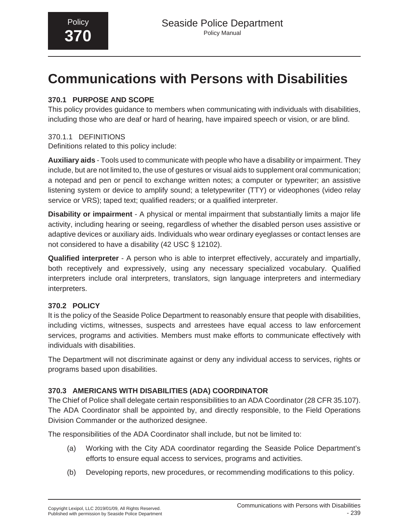# **Communications with Persons with Disabilities**

# **370.1 PURPOSE AND SCOPE**

This policy provides guidance to members when communicating with individuals with disabilities, including those who are deaf or hard of hearing, have impaired speech or vision, or are blind.

# 370.1.1 DEFINITIONS

Definitions related to this policy include:

**Auxiliary aids** - Tools used to communicate with people who have a disability or impairment. They include, but are not limited to, the use of gestures or visual aids to supplement oral communication; a notepad and pen or pencil to exchange written notes; a computer or typewriter; an assistive listening system or device to amplify sound; a teletypewriter (TTY) or videophones (video relay service or VRS); taped text; qualified readers; or a qualified interpreter.

**Disability or impairment** - A physical or mental impairment that substantially limits a major life activity, including hearing or seeing, regardless of whether the disabled person uses assistive or adaptive devices or auxiliary aids. Individuals who wear ordinary eyeglasses or contact lenses are not considered to have a disability (42 USC § 12102).

**Qualified interpreter** - A person who is able to interpret effectively, accurately and impartially, both receptively and expressively, using any necessary specialized vocabulary. Qualified interpreters include oral interpreters, translators, sign language interpreters and intermediary interpreters.

# **370.2 POLICY**

It is the policy of the Seaside Police Department to reasonably ensure that people with disabilities, including victims, witnesses, suspects and arrestees have equal access to law enforcement services, programs and activities. Members must make efforts to communicate effectively with individuals with disabilities.

The Department will not discriminate against or deny any individual access to services, rights or programs based upon disabilities.

# **370.3 AMERICANS WITH DISABILITIES (ADA) COORDINATOR**

The Chief of Police shall delegate certain responsibilities to an ADA Coordinator (28 CFR 35.107). The ADA Coordinator shall be appointed by, and directly responsible, to the Field Operations Division Commander or the authorized designee.

The responsibilities of the ADA Coordinator shall include, but not be limited to:

- (a) Working with the City ADA coordinator regarding the Seaside Police Department's efforts to ensure equal access to services, programs and activities.
- (b) Developing reports, new procedures, or recommending modifications to this policy.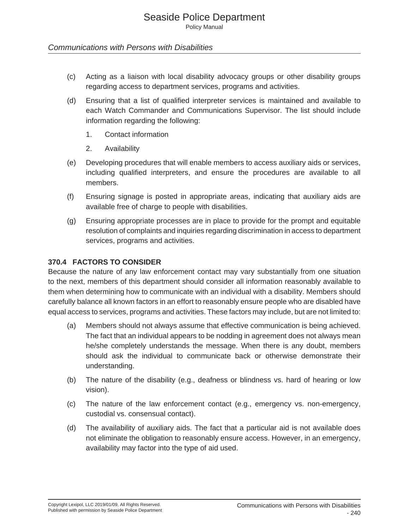#### *Communications with Persons with Disabilities*

- (c) Acting as a liaison with local disability advocacy groups or other disability groups regarding access to department services, programs and activities.
- (d) Ensuring that a list of qualified interpreter services is maintained and available to each Watch Commander and Communications Supervisor. The list should include information regarding the following:
	- 1. Contact information
	- 2. Availability
- (e) Developing procedures that will enable members to access auxiliary aids or services, including qualified interpreters, and ensure the procedures are available to all members.
- (f) Ensuring signage is posted in appropriate areas, indicating that auxiliary aids are available free of charge to people with disabilities.
- (g) Ensuring appropriate processes are in place to provide for the prompt and equitable resolution of complaints and inquiries regarding discrimination in access to department services, programs and activities.

#### **370.4 FACTORS TO CONSIDER**

Because the nature of any law enforcement contact may vary substantially from one situation to the next, members of this department should consider all information reasonably available to them when determining how to communicate with an individual with a disability. Members should carefully balance all known factors in an effort to reasonably ensure people who are disabled have equal access to services, programs and activities. These factors may include, but are not limited to:

- (a) Members should not always assume that effective communication is being achieved. The fact that an individual appears to be nodding in agreement does not always mean he/she completely understands the message. When there is any doubt, members should ask the individual to communicate back or otherwise demonstrate their understanding.
- (b) The nature of the disability (e.g., deafness or blindness vs. hard of hearing or low vision).
- (c) The nature of the law enforcement contact (e.g., emergency vs. non-emergency, custodial vs. consensual contact).
- (d) The availability of auxiliary aids. The fact that a particular aid is not available does not eliminate the obligation to reasonably ensure access. However, in an emergency, availability may factor into the type of aid used.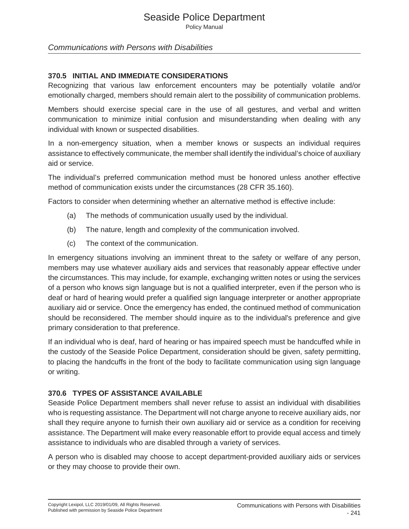Policy Manual

#### *Communications with Persons with Disabilities*

#### **370.5 INITIAL AND IMMEDIATE CONSIDERATIONS**

Recognizing that various law enforcement encounters may be potentially volatile and/or emotionally charged, members should remain alert to the possibility of communication problems.

Members should exercise special care in the use of all gestures, and verbal and written communication to minimize initial confusion and misunderstanding when dealing with any individual with known or suspected disabilities.

In a non-emergency situation, when a member knows or suspects an individual requires assistance to effectively communicate, the member shall identify the individual's choice of auxiliary aid or service.

The individual's preferred communication method must be honored unless another effective method of communication exists under the circumstances (28 CFR 35.160).

Factors to consider when determining whether an alternative method is effective include:

- (a) The methods of communication usually used by the individual.
- (b) The nature, length and complexity of the communication involved.
- (c) The context of the communication.

In emergency situations involving an imminent threat to the safety or welfare of any person, members may use whatever auxiliary aids and services that reasonably appear effective under the circumstances. This may include, for example, exchanging written notes or using the services of a person who knows sign language but is not a qualified interpreter, even if the person who is deaf or hard of hearing would prefer a qualified sign language interpreter or another appropriate auxiliary aid or service. Once the emergency has ended, the continued method of communication should be reconsidered. The member should inquire as to the individual's preference and give primary consideration to that preference.

If an individual who is deaf, hard of hearing or has impaired speech must be handcuffed while in the custody of the Seaside Police Department, consideration should be given, safety permitting, to placing the handcuffs in the front of the body to facilitate communication using sign language or writing.

# **370.6 TYPES OF ASSISTANCE AVAILABLE**

Seaside Police Department members shall never refuse to assist an individual with disabilities who is requesting assistance. The Department will not charge anyone to receive auxiliary aids, nor shall they require anyone to furnish their own auxiliary aid or service as a condition for receiving assistance. The Department will make every reasonable effort to provide equal access and timely assistance to individuals who are disabled through a variety of services.

A person who is disabled may choose to accept department-provided auxiliary aids or services or they may choose to provide their own.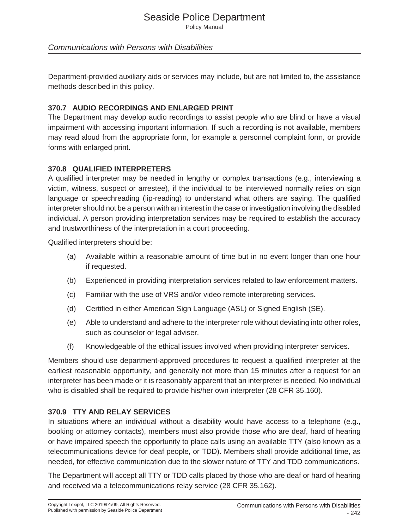Policy Manual

#### *Communications with Persons with Disabilities*

Department-provided auxiliary aids or services may include, but are not limited to, the assistance methods described in this policy.

#### **370.7 AUDIO RECORDINGS AND ENLARGED PRINT**

The Department may develop audio recordings to assist people who are blind or have a visual impairment with accessing important information. If such a recording is not available, members may read aloud from the appropriate form, for example a personnel complaint form, or provide forms with enlarged print.

#### **370.8 QUALIFIED INTERPRETERS**

A qualified interpreter may be needed in lengthy or complex transactions (e.g., interviewing a victim, witness, suspect or arrestee), if the individual to be interviewed normally relies on sign language or speechreading (lip-reading) to understand what others are saying. The qualified interpreter should not be a person with an interest in the case or investigation involving the disabled individual. A person providing interpretation services may be required to establish the accuracy and trustworthiness of the interpretation in a court proceeding.

Qualified interpreters should be:

- (a) Available within a reasonable amount of time but in no event longer than one hour if requested.
- (b) Experienced in providing interpretation services related to law enforcement matters.
- (c) Familiar with the use of VRS and/or video remote interpreting services.
- (d) Certified in either American Sign Language (ASL) or Signed English (SE).
- (e) Able to understand and adhere to the interpreter role without deviating into other roles, such as counselor or legal adviser.
- (f) Knowledgeable of the ethical issues involved when providing interpreter services.

Members should use department-approved procedures to request a qualified interpreter at the earliest reasonable opportunity, and generally not more than 15 minutes after a request for an interpreter has been made or it is reasonably apparent that an interpreter is needed. No individual who is disabled shall be required to provide his/her own interpreter (28 CFR 35.160).

# **370.9 TTY AND RELAY SERVICES**

In situations where an individual without a disability would have access to a telephone (e.g., booking or attorney contacts), members must also provide those who are deaf, hard of hearing or have impaired speech the opportunity to place calls using an available TTY (also known as a telecommunications device for deaf people, or TDD). Members shall provide additional time, as needed, for effective communication due to the slower nature of TTY and TDD communications.

The Department will accept all TTY or TDD calls placed by those who are deaf or hard of hearing and received via a telecommunications relay service (28 CFR 35.162).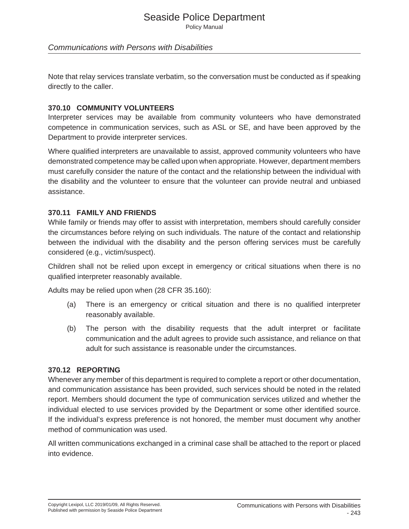Policy Manual

#### *Communications with Persons with Disabilities*

Note that relay services translate verbatim, so the conversation must be conducted as if speaking directly to the caller.

#### **370.10 COMMUNITY VOLUNTEERS**

Interpreter services may be available from community volunteers who have demonstrated competence in communication services, such as ASL or SE, and have been approved by the Department to provide interpreter services.

Where qualified interpreters are unavailable to assist, approved community volunteers who have demonstrated competence may be called upon when appropriate. However, department members must carefully consider the nature of the contact and the relationship between the individual with the disability and the volunteer to ensure that the volunteer can provide neutral and unbiased assistance.

#### **370.11 FAMILY AND FRIENDS**

While family or friends may offer to assist with interpretation, members should carefully consider the circumstances before relying on such individuals. The nature of the contact and relationship between the individual with the disability and the person offering services must be carefully considered (e.g., victim/suspect).

Children shall not be relied upon except in emergency or critical situations when there is no qualified interpreter reasonably available.

Adults may be relied upon when (28 CFR 35.160):

- (a) There is an emergency or critical situation and there is no qualified interpreter reasonably available.
- (b) The person with the disability requests that the adult interpret or facilitate communication and the adult agrees to provide such assistance, and reliance on that adult for such assistance is reasonable under the circumstances.

#### **370.12 REPORTING**

Whenever any member of this department is required to complete a report or other documentation, and communication assistance has been provided, such services should be noted in the related report. Members should document the type of communication services utilized and whether the individual elected to use services provided by the Department or some other identified source. If the individual's express preference is not honored, the member must document why another method of communication was used.

All written communications exchanged in a criminal case shall be attached to the report or placed into evidence.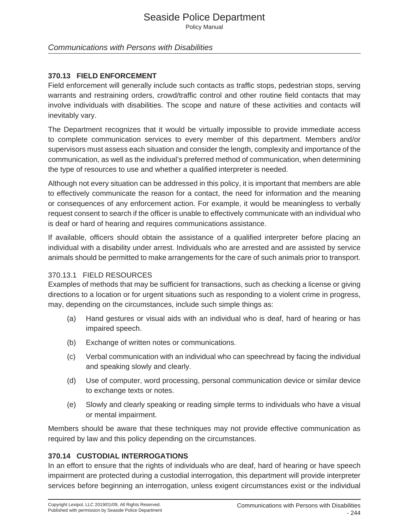Policy Manual

#### *Communications with Persons with Disabilities*

#### **370.13 FIELD ENFORCEMENT**

Field enforcement will generally include such contacts as traffic stops, pedestrian stops, serving warrants and restraining orders, crowd/traffic control and other routine field contacts that may involve individuals with disabilities. The scope and nature of these activities and contacts will inevitably vary.

The Department recognizes that it would be virtually impossible to provide immediate access to complete communication services to every member of this department. Members and/or supervisors must assess each situation and consider the length, complexity and importance of the communication, as well as the individual's preferred method of communication, when determining the type of resources to use and whether a qualified interpreter is needed.

Although not every situation can be addressed in this policy, it is important that members are able to effectively communicate the reason for a contact, the need for information and the meaning or consequences of any enforcement action. For example, it would be meaningless to verbally request consent to search if the officer is unable to effectively communicate with an individual who is deaf or hard of hearing and requires communications assistance.

If available, officers should obtain the assistance of a qualified interpreter before placing an individual with a disability under arrest. Individuals who are arrested and are assisted by service animals should be permitted to make arrangements for the care of such animals prior to transport.

#### 370.13.1 FIELD RESOURCES

Examples of methods that may be sufficient for transactions, such as checking a license or giving directions to a location or for urgent situations such as responding to a violent crime in progress, may, depending on the circumstances, include such simple things as:

- (a) Hand gestures or visual aids with an individual who is deaf, hard of hearing or has impaired speech.
- (b) Exchange of written notes or communications.
- (c) Verbal communication with an individual who can speechread by facing the individual and speaking slowly and clearly.
- (d) Use of computer, word processing, personal communication device or similar device to exchange texts or notes.
- (e) Slowly and clearly speaking or reading simple terms to individuals who have a visual or mental impairment.

Members should be aware that these techniques may not provide effective communication as required by law and this policy depending on the circumstances.

# **370.14 CUSTODIAL INTERROGATIONS**

In an effort to ensure that the rights of individuals who are deaf, hard of hearing or have speech impairment are protected during a custodial interrogation, this department will provide interpreter services before beginning an interrogation, unless exigent circumstances exist or the individual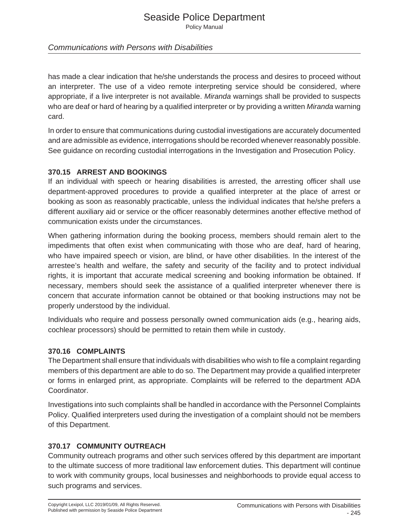Policy Manual

# *Communications with Persons with Disabilities*

has made a clear indication that he/she understands the process and desires to proceed without an interpreter. The use of a video remote interpreting service should be considered, where appropriate, if a live interpreter is not available. *Miranda* warnings shall be provided to suspects who are deaf or hard of hearing by a qualified interpreter or by providing a written *Miranda* warning card.

In order to ensure that communications during custodial investigations are accurately documented and are admissible as evidence, interrogations should be recorded whenever reasonably possible. See guidance on recording custodial interrogations in the Investigation and Prosecution Policy.

#### **370.15 ARREST AND BOOKINGS**

If an individual with speech or hearing disabilities is arrested, the arresting officer shall use department-approved procedures to provide a qualified interpreter at the place of arrest or booking as soon as reasonably practicable, unless the individual indicates that he/she prefers a different auxiliary aid or service or the officer reasonably determines another effective method of communication exists under the circumstances.

When gathering information during the booking process, members should remain alert to the impediments that often exist when communicating with those who are deaf, hard of hearing, who have impaired speech or vision, are blind, or have other disabilities. In the interest of the arrestee's health and welfare, the safety and security of the facility and to protect individual rights, it is important that accurate medical screening and booking information be obtained. If necessary, members should seek the assistance of a qualified interpreter whenever there is concern that accurate information cannot be obtained or that booking instructions may not be properly understood by the individual.

Individuals who require and possess personally owned communication aids (e.g., hearing aids, cochlear processors) should be permitted to retain them while in custody.

#### **370.16 COMPLAINTS**

The Department shall ensure that individuals with disabilities who wish to file a complaint regarding members of this department are able to do so. The Department may provide a qualified interpreter or forms in enlarged print, as appropriate. Complaints will be referred to the department ADA Coordinator.

Investigations into such complaints shall be handled in accordance with the Personnel Complaints Policy. Qualified interpreters used during the investigation of a complaint should not be members of this Department.

# **370.17 COMMUNITY OUTREACH**

Community outreach programs and other such services offered by this department are important to the ultimate success of more traditional law enforcement duties. This department will continue to work with community groups, local businesses and neighborhoods to provide equal access to such programs and services.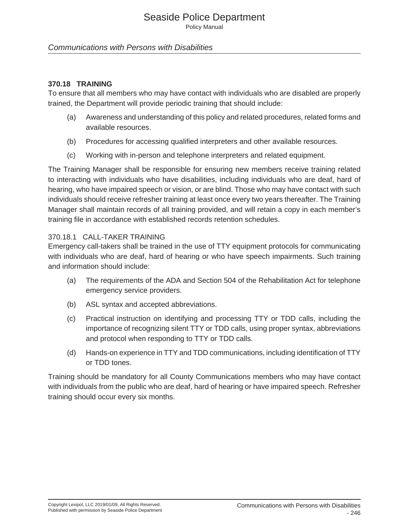Policy Manual

#### *Communications with Persons with Disabilities*

#### **370.18 TRAINING**

To ensure that all members who may have contact with individuals who are disabled are properly trained, the Department will provide periodic training that should include:

- (a) Awareness and understanding of this policy and related procedures, related forms and available resources.
- (b) Procedures for accessing qualified interpreters and other available resources.
- (c) Working with in-person and telephone interpreters and related equipment.

The Training Manager shall be responsible for ensuring new members receive training related to interacting with individuals who have disabilities, including individuals who are deaf, hard of hearing, who have impaired speech or vision, or are blind. Those who may have contact with such individuals should receive refresher training at least once every two years thereafter. The Training Manager shall maintain records of all training provided, and will retain a copy in each member's training file in accordance with established records retention schedules.

# 370.18.1 CALL-TAKER TRAINING

Emergency call-takers shall be trained in the use of TTY equipment protocols for communicating with individuals who are deaf, hard of hearing or who have speech impairments. Such training and information should include:

- (a) The requirements of the ADA and Section 504 of the Rehabilitation Act for telephone emergency service providers.
- (b) ASL syntax and accepted abbreviations.
- (c) Practical instruction on identifying and processing TTY or TDD calls, including the importance of recognizing silent TTY or TDD calls, using proper syntax, abbreviations and protocol when responding to TTY or TDD calls.
- (d) Hands-on experience in TTY and TDD communications, including identification of TTY or TDD tones.

Training should be mandatory for all County Communications members who may have contact with individuals from the public who are deaf, hard of hearing or have impaired speech. Refresher training should occur every six months.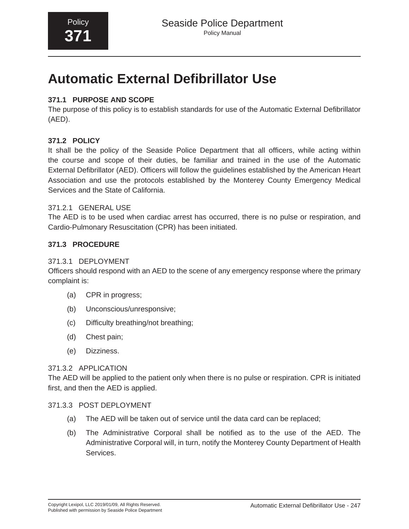# **Automatic External Defibrillator Use**

# **371.1 PURPOSE AND SCOPE**

The purpose of this policy is to establish standards for use of the Automatic External Defibrillator (AED).

# **371.2 POLICY**

It shall be the policy of the Seaside Police Department that all officers, while acting within the course and scope of their duties, be familiar and trained in the use of the Automatic External Defibrillator (AED). Officers will follow the guidelines established by the American Heart Association and use the protocols established by the Monterey County Emergency Medical Services and the State of California.

#### 371.2.1 GENERAL USE

The AED is to be used when cardiac arrest has occurred, there is no pulse or respiration, and Cardio-Pulmonary Resuscitation (CPR) has been initiated.

# **371.3 PROCEDURE**

### 371.3.1 DEPLOYMENT

Officers should respond with an AED to the scene of any emergency response where the primary complaint is:

- (a) CPR in progress;
- (b) Unconscious/unresponsive;
- (c) Difficulty breathing/not breathing;
- (d) Chest pain;
- (e) Dizziness.

#### 371.3.2 APPLICATION

The AED will be applied to the patient only when there is no pulse or respiration. CPR is initiated first, and then the AED is applied.

#### 371.3.3 POST DEPLOYMENT

- (a) The AED will be taken out of service until the data card can be replaced;
- (b) The Administrative Corporal shall be notified as to the use of the AED. The Administrative Corporal will, in turn, notify the Monterey County Department of Health Services.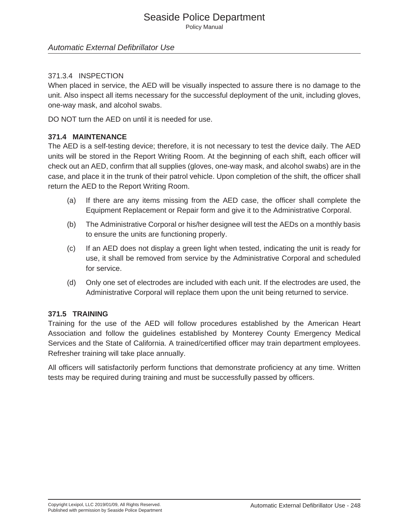### *Automatic External Defibrillator Use*

#### 371.3.4 INSPECTION

When placed in service, the AED will be visually inspected to assure there is no damage to the unit. Also inspect all items necessary for the successful deployment of the unit, including gloves, one-way mask, and alcohol swabs.

DO NOT turn the AED on until it is needed for use.

#### **371.4 MAINTENANCE**

The AED is a self-testing device; therefore, it is not necessary to test the device daily. The AED units will be stored in the Report Writing Room. At the beginning of each shift, each officer will check out an AED, confirm that all supplies (gloves, one-way mask, and alcohol swabs) are in the case, and place it in the trunk of their patrol vehicle. Upon completion of the shift, the officer shall return the AED to the Report Writing Room.

- (a) If there are any items missing from the AED case, the officer shall complete the Equipment Replacement or Repair form and give it to the Administrative Corporal.
- (b) The Administrative Corporal or his/her designee will test the AEDs on a monthly basis to ensure the units are functioning properly.
- (c) If an AED does not display a green light when tested, indicating the unit is ready for use, it shall be removed from service by the Administrative Corporal and scheduled for service.
- (d) Only one set of electrodes are included with each unit. If the electrodes are used, the Administrative Corporal will replace them upon the unit being returned to service.

#### **371.5 TRAINING**

Training for the use of the AED will follow procedures established by the American Heart Association and follow the guidelines established by Monterey County Emergency Medical Services and the State of California. A trained/certified officer may train department employees. Refresher training will take place annually.

All officers will satisfactorily perform functions that demonstrate proficiency at any time. Written tests may be required during training and must be successfully passed by officers.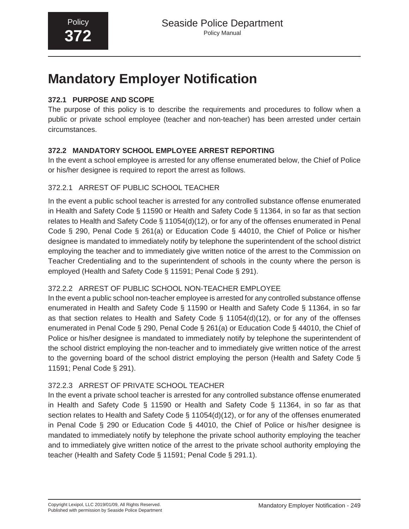# **Mandatory Employer Notification**

# **372.1 PURPOSE AND SCOPE**

The purpose of this policy is to describe the requirements and procedures to follow when a public or private school employee (teacher and non-teacher) has been arrested under certain circumstances.

# **372.2 MANDATORY SCHOOL EMPLOYEE ARREST REPORTING**

In the event a school employee is arrested for any offense enumerated below, the Chief of Police or his/her designee is required to report the arrest as follows.

# 372.2.1 ARREST OF PUBLIC SCHOOL TEACHER

In the event a public school teacher is arrested for any controlled substance offense enumerated in Health and Safety Code § 11590 or Health and Safety Code § 11364, in so far as that section relates to Health and Safety Code § 11054(d)(12), or for any of the offenses enumerated in Penal Code § 290, Penal Code § 261(a) or Education Code § 44010, the Chief of Police or his/her designee is mandated to immediately notify by telephone the superintendent of the school district employing the teacher and to immediately give written notice of the arrest to the Commission on Teacher Credentialing and to the superintendent of schools in the county where the person is employed (Health and Safety Code § 11591; Penal Code § 291).

# 372.2.2 ARREST OF PUBLIC SCHOOL NON-TEACHER EMPLOYEE

In the event a public school non-teacher employee is arrested for any controlled substance offense enumerated in Health and Safety Code § 11590 or Health and Safety Code § 11364, in so far as that section relates to Health and Safety Code § 11054(d)(12), or for any of the offenses enumerated in Penal Code § 290, Penal Code § 261(a) or Education Code § 44010, the Chief of Police or his/her designee is mandated to immediately notify by telephone the superintendent of the school district employing the non-teacher and to immediately give written notice of the arrest to the governing board of the school district employing the person (Health and Safety Code § 11591; Penal Code § 291).

# 372.2.3 ARREST OF PRIVATE SCHOOL TEACHER

In the event a private school teacher is arrested for any controlled substance offense enumerated in Health and Safety Code § 11590 or Health and Safety Code § 11364, in so far as that section relates to Health and Safety Code § 11054(d)(12), or for any of the offenses enumerated in Penal Code § 290 or Education Code § 44010, the Chief of Police or his/her designee is mandated to immediately notify by telephone the private school authority employing the teacher and to immediately give written notice of the arrest to the private school authority employing the teacher (Health and Safety Code § 11591; Penal Code § 291.1).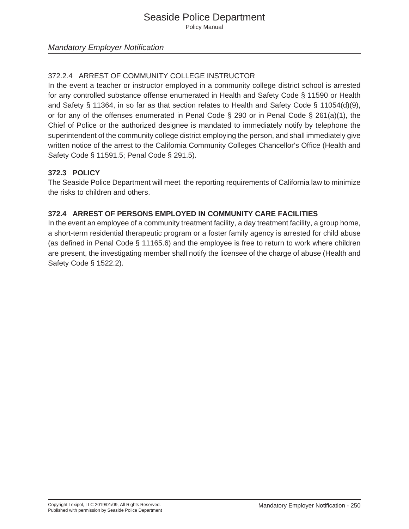# 372.2.4 ARREST OF COMMUNITY COLLEGE INSTRUCTOR

In the event a teacher or instructor employed in a community college district school is arrested for any controlled substance offense enumerated in Health and Safety Code § 11590 or Health and Safety § 11364, in so far as that section relates to Health and Safety Code § 11054(d)(9), or for any of the offenses enumerated in Penal Code § 290 or in Penal Code § 261(a)(1), the Chief of Police or the authorized designee is mandated to immediately notify by telephone the superintendent of the community college district employing the person, and shall immediately give written notice of the arrest to the California Community Colleges Chancellor's Office (Health and Safety Code § 11591.5; Penal Code § 291.5).

# **372.3 POLICY**

The Seaside Police Department will meet the reporting requirements of California law to minimize the risks to children and others.

# **372.4 ARREST OF PERSONS EMPLOYED IN COMMUNITY CARE FACILITIES**

In the event an employee of a community treatment facility, a day treatment facility, a group home, a short-term residential therapeutic program or a foster family agency is arrested for child abuse (as defined in Penal Code § 11165.6) and the employee is free to return to work where children are present, the investigating member shall notify the licensee of the charge of abuse (Health and Safety Code § 1522.2).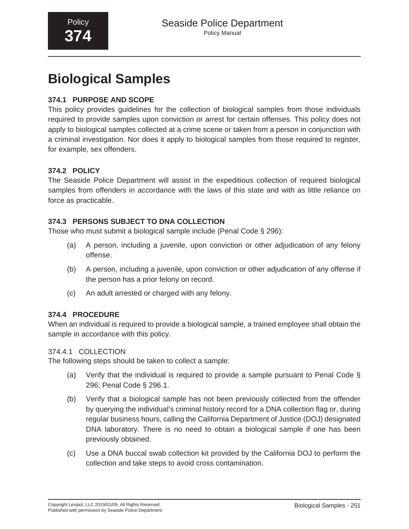# **Biological Samples**

# **374.1 PURPOSE AND SCOPE**

This policy provides guidelines for the collection of biological samples from those individuals required to provide samples upon conviction or arrest for certain offenses. This policy does not apply to biological samples collected at a crime scene or taken from a person in conjunction with a criminal investigation. Nor does it apply to biological samples from those required to register, for example, sex offenders.

# **374.2 POLICY**

The Seaside Police Department will assist in the expeditious collection of required biological samples from offenders in accordance with the laws of this state and with as little reliance on force as practicable.

# **374.3 PERSONS SUBJECT TO DNA COLLECTION**

Those who must submit a biological sample include (Penal Code § 296):

- (a) A person, including a juvenile, upon conviction or other adjudication of any felony offense.
- (b) A person, including a juvenile, upon conviction or other adjudication of any offense if the person has a prior felony on record.
- (c) An adult arrested or charged with any felony.

# **374.4 PROCEDURE**

When an individual is required to provide a biological sample, a trained employee shall obtain the sample in accordance with this policy.

# 374.4.1 COLLECTION

The following steps should be taken to collect a sample:

- (a) Verify that the individual is required to provide a sample pursuant to Penal Code § 296; Penal Code § 296.1.
- (b) Verify that a biological sample has not been previously collected from the offender by querying the individual's criminal history record for a DNA collection flag or, during regular business hours, calling the California Department of Justice (DOJ) designated DNA laboratory. There is no need to obtain a biological sample if one has been previously obtained.
- (c) Use a DNA buccal swab collection kit provided by the California DOJ to perform the collection and take steps to avoid cross contamination.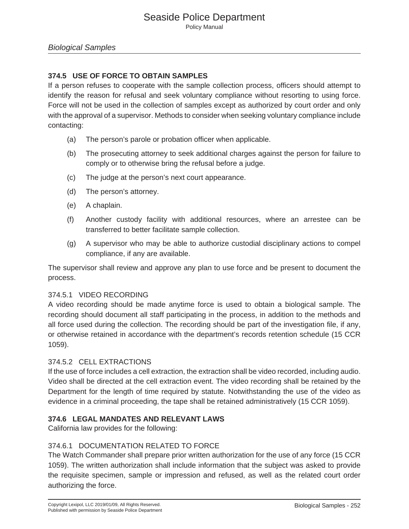# **374.5 USE OF FORCE TO OBTAIN SAMPLES**

If a person refuses to cooperate with the sample collection process, officers should attempt to identify the reason for refusal and seek voluntary compliance without resorting to using force. Force will not be used in the collection of samples except as authorized by court order and only with the approval of a supervisor. Methods to consider when seeking voluntary compliance include contacting:

- (a) The person's parole or probation officer when applicable.
- (b) The prosecuting attorney to seek additional charges against the person for failure to comply or to otherwise bring the refusal before a judge.
- (c) The judge at the person's next court appearance.
- (d) The person's attorney.
- (e) A chaplain.
- (f) Another custody facility with additional resources, where an arrestee can be transferred to better facilitate sample collection.
- (g) A supervisor who may be able to authorize custodial disciplinary actions to compel compliance, if any are available.

The supervisor shall review and approve any plan to use force and be present to document the process.

# 374.5.1 VIDEO RECORDING

A video recording should be made anytime force is used to obtain a biological sample. The recording should document all staff participating in the process, in addition to the methods and all force used during the collection. The recording should be part of the investigation file, if any, or otherwise retained in accordance with the department's records retention schedule (15 CCR 1059).

# 374.5.2 CELL EXTRACTIONS

If the use of force includes a cell extraction, the extraction shall be video recorded, including audio. Video shall be directed at the cell extraction event. The video recording shall be retained by the Department for the length of time required by statute. Notwithstanding the use of the video as evidence in a criminal proceeding, the tape shall be retained administratively (15 CCR 1059).

# **374.6 LEGAL MANDATES AND RELEVANT LAWS**

California law provides for the following:

# 374.6.1 DOCUMENTATION RELATED TO FORCE

The Watch Commander shall prepare prior written authorization for the use of any force (15 CCR 1059). The written authorization shall include information that the subject was asked to provide the requisite specimen, sample or impression and refused, as well as the related court order authorizing the force.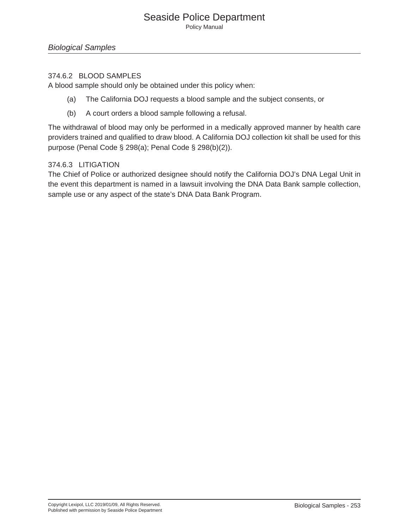Policy Manual

#### 374.6.2 BLOOD SAMPLES

A blood sample should only be obtained under this policy when:

- (a) The California DOJ requests a blood sample and the subject consents, or
- (b) A court orders a blood sample following a refusal.

The withdrawal of blood may only be performed in a medically approved manner by health care providers trained and qualified to draw blood. A California DOJ collection kit shall be used for this purpose (Penal Code § 298(a); Penal Code § 298(b)(2)).

#### 374.6.3 LITIGATION

The Chief of Police or authorized designee should notify the California DOJ's DNA Legal Unit in the event this department is named in a lawsuit involving the DNA Data Bank sample collection, sample use or any aspect of the state's DNA Data Bank Program.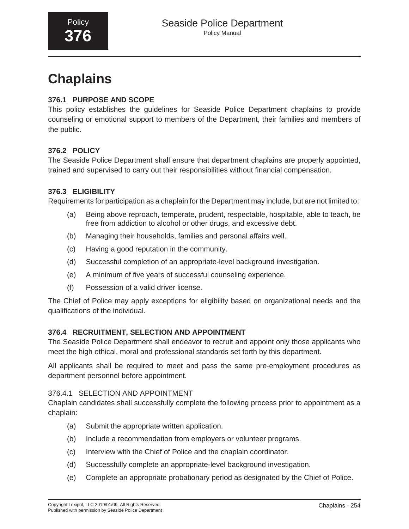# **Chaplains**

# **376.1 PURPOSE AND SCOPE**

This policy establishes the guidelines for Seaside Police Department chaplains to provide counseling or emotional support to members of the Department, their families and members of the public.

# **376.2 POLICY**

The Seaside Police Department shall ensure that department chaplains are properly appointed, trained and supervised to carry out their responsibilities without financial compensation.

# **376.3 ELIGIBILITY**

Requirements for participation as a chaplain for the Department may include, but are not limited to:

- (a) Being above reproach, temperate, prudent, respectable, hospitable, able to teach, be free from addiction to alcohol or other drugs, and excessive debt.
- (b) Managing their households, families and personal affairs well.
- (c) Having a good reputation in the community.
- (d) Successful completion of an appropriate-level background investigation.
- (e) A minimum of five years of successful counseling experience.
- (f) Possession of a valid driver license.

The Chief of Police may apply exceptions for eligibility based on organizational needs and the qualifications of the individual.

# **376.4 RECRUITMENT, SELECTION AND APPOINTMENT**

The Seaside Police Department shall endeavor to recruit and appoint only those applicants who meet the high ethical, moral and professional standards set forth by this department.

All applicants shall be required to meet and pass the same pre-employment procedures as department personnel before appointment.

# 376.4.1 SELECTION AND APPOINTMENT

Chaplain candidates shall successfully complete the following process prior to appointment as a chaplain:

- (a) Submit the appropriate written application.
- (b) Include a recommendation from employers or volunteer programs.
- (c) Interview with the Chief of Police and the chaplain coordinator.
- (d) Successfully complete an appropriate-level background investigation.
- (e) Complete an appropriate probationary period as designated by the Chief of Police.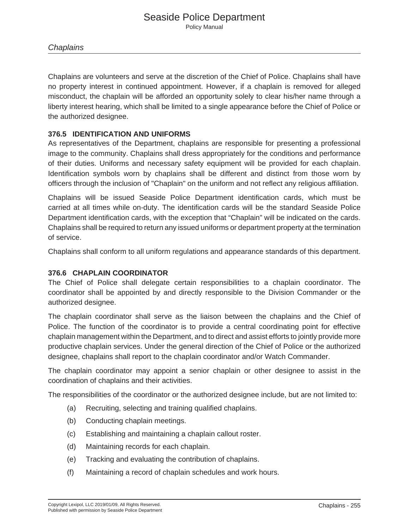Chaplains are volunteers and serve at the discretion of the Chief of Police. Chaplains shall have no property interest in continued appointment. However, if a chaplain is removed for alleged misconduct, the chaplain will be afforded an opportunity solely to clear his/her name through a liberty interest hearing, which shall be limited to a single appearance before the Chief of Police or the authorized designee.

#### **376.5 IDENTIFICATION AND UNIFORMS**

As representatives of the Department, chaplains are responsible for presenting a professional image to the community. Chaplains shall dress appropriately for the conditions and performance of their duties. Uniforms and necessary safety equipment will be provided for each chaplain. Identification symbols worn by chaplains shall be different and distinct from those worn by officers through the inclusion of "Chaplain" on the uniform and not reflect any religious affiliation.

Chaplains will be issued Seaside Police Department identification cards, which must be carried at all times while on-duty. The identification cards will be the standard Seaside Police Department identification cards, with the exception that "Chaplain" will be indicated on the cards. Chaplains shall be required to return any issued uniforms or department property at the termination of service.

Chaplains shall conform to all uniform regulations and appearance standards of this department.

#### **376.6 CHAPLAIN COORDINATOR**

The Chief of Police shall delegate certain responsibilities to a chaplain coordinator. The coordinator shall be appointed by and directly responsible to the Division Commander or the authorized designee.

The chaplain coordinator shall serve as the liaison between the chaplains and the Chief of Police. The function of the coordinator is to provide a central coordinating point for effective chaplain management within the Department, and to direct and assist efforts to jointly provide more productive chaplain services. Under the general direction of the Chief of Police or the authorized designee, chaplains shall report to the chaplain coordinator and/or Watch Commander.

The chaplain coordinator may appoint a senior chaplain or other designee to assist in the coordination of chaplains and their activities.

The responsibilities of the coordinator or the authorized designee include, but are not limited to:

- (a) Recruiting, selecting and training qualified chaplains.
- (b) Conducting chaplain meetings.
- (c) Establishing and maintaining a chaplain callout roster.
- (d) Maintaining records for each chaplain.
- (e) Tracking and evaluating the contribution of chaplains.
- (f) Maintaining a record of chaplain schedules and work hours.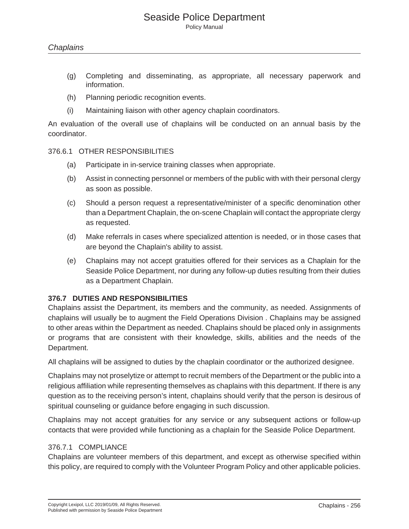- (g) Completing and disseminating, as appropriate, all necessary paperwork and information.
- (h) Planning periodic recognition events.
- (i) Maintaining liaison with other agency chaplain coordinators.

An evaluation of the overall use of chaplains will be conducted on an annual basis by the coordinator.

#### 376.6.1 OTHER RESPONSIBILITIES

- (a) Participate in in-service training classes when appropriate.
- (b) Assist in connecting personnel or members of the public with with their personal clergy as soon as possible.
- (c) Should a person request a representative/minister of a specific denomination other than a Department Chaplain, the on-scene Chaplain will contact the appropriate clergy as requested.
- (d) Make referrals in cases where specialized attention is needed, or in those cases that are beyond the Chaplain's ability to assist.
- (e) Chaplains may not accept gratuities offered for their services as a Chaplain for the Seaside Police Department, nor during any follow-up duties resulting from their duties as a Department Chaplain.

#### **376.7 DUTIES AND RESPONSIBILITIES**

Chaplains assist the Department, its members and the community, as needed. Assignments of chaplains will usually be to augment the Field Operations Division . Chaplains may be assigned to other areas within the Department as needed. Chaplains should be placed only in assignments or programs that are consistent with their knowledge, skills, abilities and the needs of the Department.

All chaplains will be assigned to duties by the chaplain coordinator or the authorized designee.

Chaplains may not proselytize or attempt to recruit members of the Department or the public into a religious affiliation while representing themselves as chaplains with this department. If there is any question as to the receiving person's intent, chaplains should verify that the person is desirous of spiritual counseling or guidance before engaging in such discussion.

Chaplains may not accept gratuities for any service or any subsequent actions or follow-up contacts that were provided while functioning as a chaplain for the Seaside Police Department.

#### 376.7.1 COMPLIANCE

Chaplains are volunteer members of this department, and except as otherwise specified within this policy, are required to comply with the Volunteer Program Policy and other applicable policies.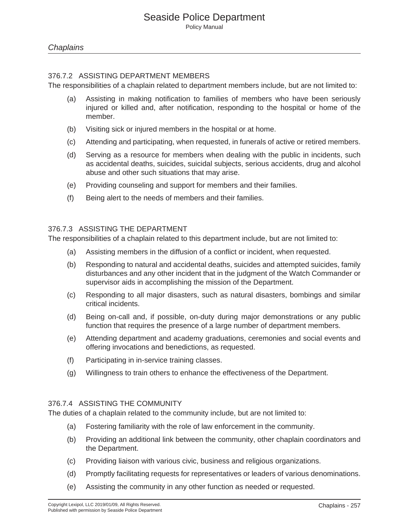#### 376.7.2 ASSISTING DEPARTMENT MEMBERS

The responsibilities of a chaplain related to department members include, but are not limited to:

- (a) Assisting in making notification to families of members who have been seriously injured or killed and, after notification, responding to the hospital or home of the member.
- (b) Visiting sick or injured members in the hospital or at home.
- (c) Attending and participating, when requested, in funerals of active or retired members.
- (d) Serving as a resource for members when dealing with the public in incidents, such as accidental deaths, suicides, suicidal subjects, serious accidents, drug and alcohol abuse and other such situations that may arise.
- (e) Providing counseling and support for members and their families.
- (f) Being alert to the needs of members and their families.

#### 376.7.3 ASSISTING THE DEPARTMENT

The responsibilities of a chaplain related to this department include, but are not limited to:

- (a) Assisting members in the diffusion of a conflict or incident, when requested.
- (b) Responding to natural and accidental deaths, suicides and attempted suicides, family disturbances and any other incident that in the judgment of the Watch Commander or supervisor aids in accomplishing the mission of the Department.
- (c) Responding to all major disasters, such as natural disasters, bombings and similar critical incidents.
- (d) Being on-call and, if possible, on-duty during major demonstrations or any public function that requires the presence of a large number of department members.
- (e) Attending department and academy graduations, ceremonies and social events and offering invocations and benedictions, as requested.
- (f) Participating in in-service training classes.
- (g) Willingness to train others to enhance the effectiveness of the Department.

#### 376.7.4 ASSISTING THE COMMUNITY

The duties of a chaplain related to the community include, but are not limited to:

- (a) Fostering familiarity with the role of law enforcement in the community.
- (b) Providing an additional link between the community, other chaplain coordinators and the Department.
- (c) Providing liaison with various civic, business and religious organizations.
- (d) Promptly facilitating requests for representatives or leaders of various denominations.
- (e) Assisting the community in any other function as needed or requested.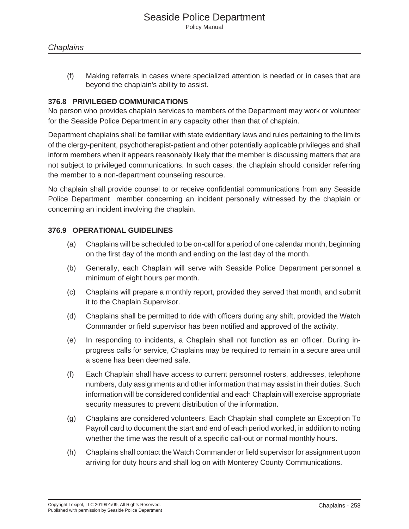(f) Making referrals in cases where specialized attention is needed or in cases that are beyond the chaplain's ability to assist.

#### **376.8 PRIVILEGED COMMUNICATIONS**

No person who provides chaplain services to members of the Department may work or volunteer for the Seaside Police Department in any capacity other than that of chaplain.

Department chaplains shall be familiar with state evidentiary laws and rules pertaining to the limits of the clergy-penitent, psychotherapist-patient and other potentially applicable privileges and shall inform members when it appears reasonably likely that the member is discussing matters that are not subject to privileged communications. In such cases, the chaplain should consider referring the member to a non-department counseling resource.

No chaplain shall provide counsel to or receive confidential communications from any Seaside Police Department member concerning an incident personally witnessed by the chaplain or concerning an incident involving the chaplain.

#### **376.9 OPERATIONAL GUIDELINES**

- (a) Chaplains will be scheduled to be on-call for a period of one calendar month, beginning on the first day of the month and ending on the last day of the month.
- (b) Generally, each Chaplain will serve with Seaside Police Department personnel a minimum of eight hours per month.
- (c) Chaplains will prepare a monthly report, provided they served that month, and submit it to the Chaplain Supervisor.
- (d) Chaplains shall be permitted to ride with officers during any shift, provided the Watch Commander or field supervisor has been notified and approved of the activity.
- (e) In responding to incidents, a Chaplain shall not function as an officer. During inprogress calls for service, Chaplains may be required to remain in a secure area until a scene has been deemed safe.
- (f) Each Chaplain shall have access to current personnel rosters, addresses, telephone numbers, duty assignments and other information that may assist in their duties. Such information will be considered confidential and each Chaplain will exercise appropriate security measures to prevent distribution of the information.
- (g) Chaplains are considered volunteers. Each Chaplain shall complete an Exception To Payroll card to document the start and end of each period worked, in addition to noting whether the time was the result of a specific call-out or normal monthly hours.
- (h) Chaplains shall contact the Watch Commander or field supervisor for assignment upon arriving for duty hours and shall log on with Monterey County Communications.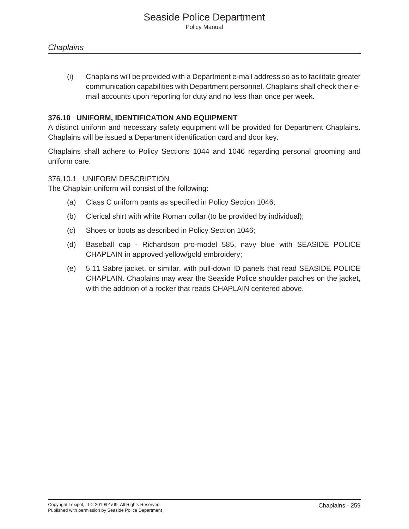(i) Chaplains will be provided with a Department e-mail address so as to facilitate greater communication capabilities with Department personnel. Chaplains shall check their email accounts upon reporting for duty and no less than once per week.

#### **376.10 UNIFORM, IDENTIFICATION AND EQUIPMENT**

A distinct uniform and necessary safety equipment will be provided for Department Chaplains. Chaplains will be issued a Department identification card and door key.

Chaplains shall adhere to Policy Sections 1044 and 1046 regarding personal grooming and uniform care.

#### 376.10.1 UNIFORM DESCRIPTION

The Chaplain uniform will consist of the following:

- (a) Class C uniform pants as specified in Policy Section 1046;
- (b) Clerical shirt with white Roman collar (to be provided by individual);
- (c) Shoes or boots as described in Policy Section 1046;
- (d) Baseball cap Richardson pro-model 585, navy blue with SEASIDE POLICE CHAPLAIN in approved yellow/gold embroidery;
- (e) 5.11 Sabre jacket, or similar, with pull-down ID panels that read SEASIDE POLICE CHAPLAIN. Chaplains may wear the Seaside Police shoulder patches on the jacket, with the addition of a rocker that reads CHAPLAIN centered above.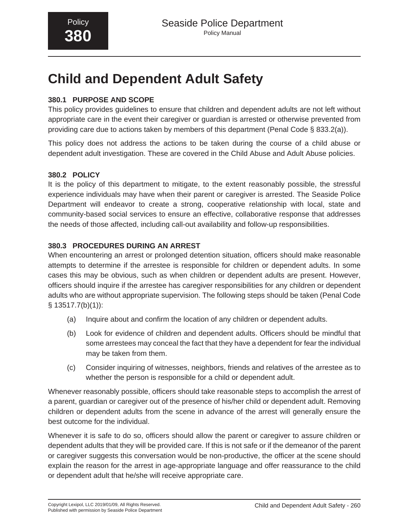# **Child and Dependent Adult Safety**

# **380.1 PURPOSE AND SCOPE**

This policy provides guidelines to ensure that children and dependent adults are not left without appropriate care in the event their caregiver or guardian is arrested or otherwise prevented from providing care due to actions taken by members of this department (Penal Code § 833.2(a)).

This policy does not address the actions to be taken during the course of a child abuse or dependent adult investigation. These are covered in the Child Abuse and Adult Abuse policies.

# **380.2 POLICY**

It is the policy of this department to mitigate, to the extent reasonably possible, the stressful experience individuals may have when their parent or caregiver is arrested. The Seaside Police Department will endeavor to create a strong, cooperative relationship with local, state and community-based social services to ensure an effective, collaborative response that addresses the needs of those affected, including call-out availability and follow-up responsibilities.

# **380.3 PROCEDURES DURING AN ARREST**

When encountering an arrest or prolonged detention situation, officers should make reasonable attempts to determine if the arrestee is responsible for children or dependent adults. In some cases this may be obvious, such as when children or dependent adults are present. However, officers should inquire if the arrestee has caregiver responsibilities for any children or dependent adults who are without appropriate supervision. The following steps should be taken (Penal Code § 13517.7(b)(1)):

- (a) Inquire about and confirm the location of any children or dependent adults.
- (b) Look for evidence of children and dependent adults. Officers should be mindful that some arrestees may conceal the fact that they have a dependent for fear the individual may be taken from them.
- (c) Consider inquiring of witnesses, neighbors, friends and relatives of the arrestee as to whether the person is responsible for a child or dependent adult.

Whenever reasonably possible, officers should take reasonable steps to accomplish the arrest of a parent, guardian or caregiver out of the presence of his/her child or dependent adult. Removing children or dependent adults from the scene in advance of the arrest will generally ensure the best outcome for the individual.

Whenever it is safe to do so, officers should allow the parent or caregiver to assure children or dependent adults that they will be provided care. If this is not safe or if the demeanor of the parent or caregiver suggests this conversation would be non-productive, the officer at the scene should explain the reason for the arrest in age-appropriate language and offer reassurance to the child or dependent adult that he/she will receive appropriate care.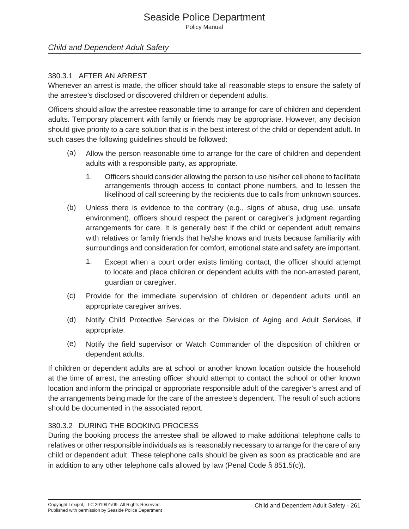#### 380.3.1 AFTER AN ARREST

Whenever an arrest is made, the officer should take all reasonable steps to ensure the safety of the arrestee's disclosed or discovered children or dependent adults.

Officers should allow the arrestee reasonable time to arrange for care of children and dependent adults. Temporary placement with family or friends may be appropriate. However, any decision should give priority to a care solution that is in the best interest of the child or dependent adult. In such cases the following guidelines should be followed:

- (a) Allow the person reasonable time to arrange for the care of children and dependent adults with a responsible party, as appropriate.
	- 1. Officers should consider allowing the person to use his/her cell phone to facilitate arrangements through access to contact phone numbers, and to lessen the likelihood of call screening by the recipients due to calls from unknown sources.
- (b) Unless there is evidence to the contrary (e.g., signs of abuse, drug use, unsafe environment), officers should respect the parent or caregiver's judgment regarding arrangements for care. It is generally best if the child or dependent adult remains with relatives or family friends that he/she knows and trusts because familiarity with surroundings and consideration for comfort, emotional state and safety are important.
	- 1. Except when a court order exists limiting contact, the officer should attempt to locate and place children or dependent adults with the non-arrested parent, guardian or caregiver.
- (c) Provide for the immediate supervision of children or dependent adults until an appropriate caregiver arrives.
- (d) Notify Child Protective Services or the Division of Aging and Adult Services, if appropriate.
- (e) Notify the field supervisor or Watch Commander of the disposition of children or dependent adults.

If children or dependent adults are at school or another known location outside the household at the time of arrest, the arresting officer should attempt to contact the school or other known location and inform the principal or appropriate responsible adult of the caregiver's arrest and of the arrangements being made for the care of the arrestee's dependent. The result of such actions should be documented in the associated report.

# 380.3.2 DURING THE BOOKING PROCESS

During the booking process the arrestee shall be allowed to make additional telephone calls to relatives or other responsible individuals as is reasonably necessary to arrange for the care of any child or dependent adult. These telephone calls should be given as soon as practicable and are in addition to any other telephone calls allowed by law (Penal Code  $\S$  851.5(c)).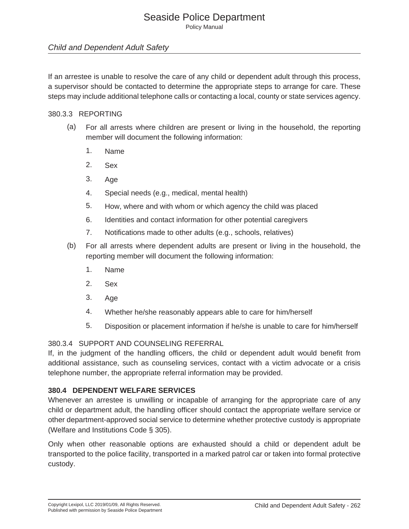# *Child and Dependent Adult Safety*

If an arrestee is unable to resolve the care of any child or dependent adult through this process, a supervisor should be contacted to determine the appropriate steps to arrange for care. These steps may include additional telephone calls or contacting a local, county or state services agency.

#### 380.3.3 REPORTING

- (a) For all arrests where children are present or living in the household, the reporting member will document the following information:
	- 1. Name
	- 2. Sex
	- 3. Age
	- 4. Special needs (e.g., medical, mental health)
	- 5. How, where and with whom or which agency the child was placed
	- 6. Identities and contact information for other potential caregivers
	- 7. Notifications made to other adults (e.g., schools, relatives)
- (b) For all arrests where dependent adults are present or living in the household, the reporting member will document the following information:
	- 1. Name
	- 2. Sex
	- 3. Age
	- 4. Whether he/she reasonably appears able to care for him/herself
	- 5. Disposition or placement information if he/she is unable to care for him/herself

#### 380.3.4 SUPPORT AND COUNSELING REFERRAL

If, in the judgment of the handling officers, the child or dependent adult would benefit from additional assistance, such as counseling services, contact with a victim advocate or a crisis telephone number, the appropriate referral information may be provided.

#### **380.4 DEPENDENT WELFARE SERVICES**

Whenever an arrestee is unwilling or incapable of arranging for the appropriate care of any child or department adult, the handling officer should contact the appropriate welfare service or other department-approved social service to determine whether protective custody is appropriate (Welfare and Institutions Code § 305).

Only when other reasonable options are exhausted should a child or dependent adult be transported to the police facility, transported in a marked patrol car or taken into formal protective custody.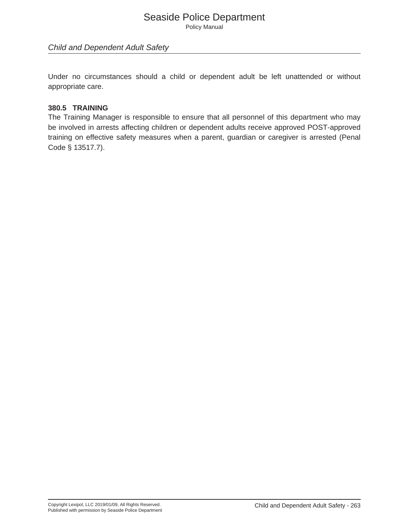#### *Child and Dependent Adult Safety*

Under no circumstances should a child or dependent adult be left unattended or without appropriate care.

#### **380.5 TRAINING**

The Training Manager is responsible to ensure that all personnel of this department who may be involved in arrests affecting children or dependent adults receive approved POST-approved training on effective safety measures when a parent, guardian or caregiver is arrested (Penal Code § 13517.7).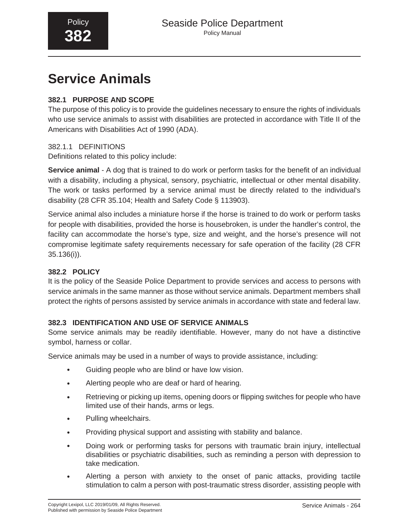# **Service Animals**

# **382.1 PURPOSE AND SCOPE**

The purpose of this policy is to provide the guidelines necessary to ensure the rights of individuals who use service animals to assist with disabilities are protected in accordance with Title II of the Americans with Disabilities Act of 1990 (ADA).

# 382.1.1 DEFINITIONS

Definitions related to this policy include:

**Service animal** - A dog that is trained to do work or perform tasks for the benefit of an individual with a disability, including a physical, sensory, psychiatric, intellectual or other mental disability. The work or tasks performed by a service animal must be directly related to the individual's disability (28 CFR 35.104; Health and Safety Code § 113903).

Service animal also includes a miniature horse if the horse is trained to do work or perform tasks for people with disabilities, provided the horse is housebroken, is under the handler's control, the facility can accommodate the horse's type, size and weight, and the horse's presence will not compromise legitimate safety requirements necessary for safe operation of the facility (28 CFR 35.136(i)).

# **382.2 POLICY**

It is the policy of the Seaside Police Department to provide services and access to persons with service animals in the same manner as those without service animals. Department members shall protect the rights of persons assisted by service animals in accordance with state and federal law.

# **382.3 IDENTIFICATION AND USE OF SERVICE ANIMALS**

Some service animals may be readily identifiable. However, many do not have a distinctive symbol, harness or collar.

Service animals may be used in a number of ways to provide assistance, including:

- Guiding people who are blind or have low vision.
- Alerting people who are deaf or hard of hearing.
- Retrieving or picking up items, opening doors or flipping switches for people who have limited use of their hands, arms or legs.
- Pulling wheelchairs.
- Providing physical support and assisting with stability and balance.
- Doing work or performing tasks for persons with traumatic brain injury, intellectual disabilities or psychiatric disabilities, such as reminding a person with depression to take medication.
- Alerting a person with anxiety to the onset of panic attacks, providing tactile stimulation to calm a person with post-traumatic stress disorder, assisting people with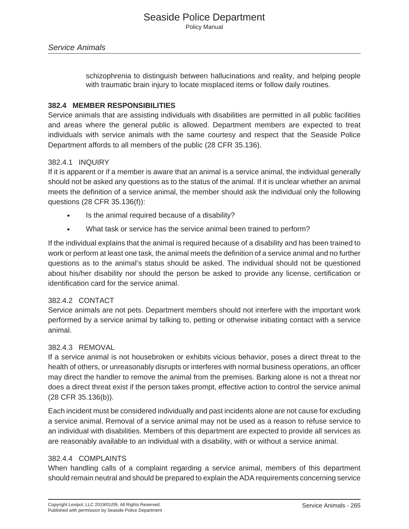schizophrenia to distinguish between hallucinations and reality, and helping people with traumatic brain injury to locate misplaced items or follow daily routines.

#### **382.4 MEMBER RESPONSIBILITIES**

Service animals that are assisting individuals with disabilities are permitted in all public facilities and areas where the general public is allowed. Department members are expected to treat individuals with service animals with the same courtesy and respect that the Seaside Police Department affords to all members of the public (28 CFR 35.136).

#### 382.4.1 INQUIRY

If it is apparent or if a member is aware that an animal is a service animal, the individual generally should not be asked any questions as to the status of the animal. If it is unclear whether an animal meets the definition of a service animal, the member should ask the individual only the following questions (28 CFR 35.136(f)):

- Is the animal required because of a disability?
- What task or service has the service animal been trained to perform?

If the individual explains that the animal is required because of a disability and has been trained to work or perform at least one task, the animal meets the definition of a service animal and no further questions as to the animal's status should be asked. The individual should not be questioned about his/her disability nor should the person be asked to provide any license, certification or identification card for the service animal.

#### 382.4.2 CONTACT

Service animals are not pets. Department members should not interfere with the important work performed by a service animal by talking to, petting or otherwise initiating contact with a service animal.

#### 382.4.3 REMOVAL

If a service animal is not housebroken or exhibits vicious behavior, poses a direct threat to the health of others, or unreasonably disrupts or interferes with normal business operations, an officer may direct the handler to remove the animal from the premises. Barking alone is not a threat nor does a direct threat exist if the person takes prompt, effective action to control the service animal (28 CFR 35.136(b)).

Each incident must be considered individually and past incidents alone are not cause for excluding a service animal. Removal of a service animal may not be used as a reason to refuse service to an individual with disabilities. Members of this department are expected to provide all services as are reasonably available to an individual with a disability, with or without a service animal.

#### 382.4.4 COMPLAINTS

When handling calls of a complaint regarding a service animal, members of this department should remain neutral and should be prepared to explain the ADA requirements concerning service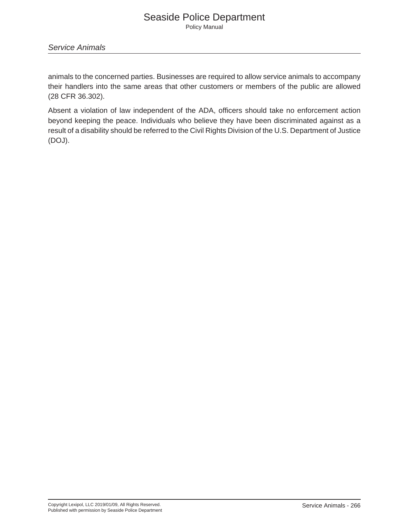*Service Animals*

animals to the concerned parties. Businesses are required to allow service animals to accompany their handlers into the same areas that other customers or members of the public are allowed (28 CFR 36.302).

Absent a violation of law independent of the ADA, officers should take no enforcement action beyond keeping the peace. Individuals who believe they have been discriminated against as a result of a disability should be referred to the Civil Rights Division of the U.S. Department of Justice (DOJ).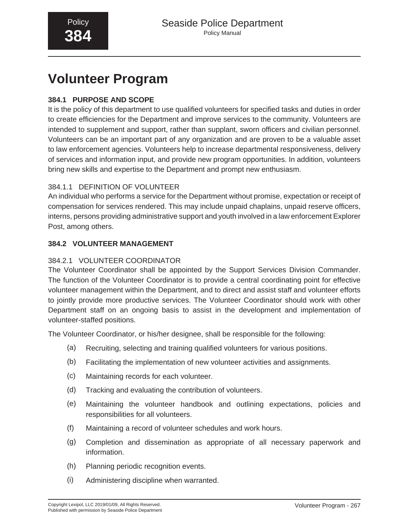# **Volunteer Program**

# **384.1 PURPOSE AND SCOPE**

It is the policy of this department to use qualified volunteers for specified tasks and duties in order to create efficiencies for the Department and improve services to the community. Volunteers are intended to supplement and support, rather than supplant, sworn officers and civilian personnel. Volunteers can be an important part of any organization and are proven to be a valuable asset to law enforcement agencies. Volunteers help to increase departmental responsiveness, delivery of services and information input, and provide new program opportunities. In addition, volunteers bring new skills and expertise to the Department and prompt new enthusiasm.

# 384.1.1 DEFINITION OF VOLUNTEER

An individual who performs a service for the Department without promise, expectation or receipt of compensation for services rendered. This may include unpaid chaplains, unpaid reserve officers, interns, persons providing administrative support and youth involved in a law enforcement Explorer Post, among others.

# **384.2 VOLUNTEER MANAGEMENT**

# 384.2.1 VOLUNTEER COORDINATOR

The Volunteer Coordinator shall be appointed by the Support Services Division Commander. The function of the Volunteer Coordinator is to provide a central coordinating point for effective volunteer management within the Department, and to direct and assist staff and volunteer efforts to jointly provide more productive services. The Volunteer Coordinator should work with other Department staff on an ongoing basis to assist in the development and implementation of volunteer-staffed positions.

The Volunteer Coordinator, or his/her designee, shall be responsible for the following:

- (a) Recruiting, selecting and training qualified volunteers for various positions.
- (b) Facilitating the implementation of new volunteer activities and assignments.
- (c) Maintaining records for each volunteer.
- (d) Tracking and evaluating the contribution of volunteers.
- (e) Maintaining the volunteer handbook and outlining expectations, policies and responsibilities for all volunteers.
- (f) Maintaining a record of volunteer schedules and work hours.
- (g) Completion and dissemination as appropriate of all necessary paperwork and information.
- (h) Planning periodic recognition events.
- (i) Administering discipline when warranted.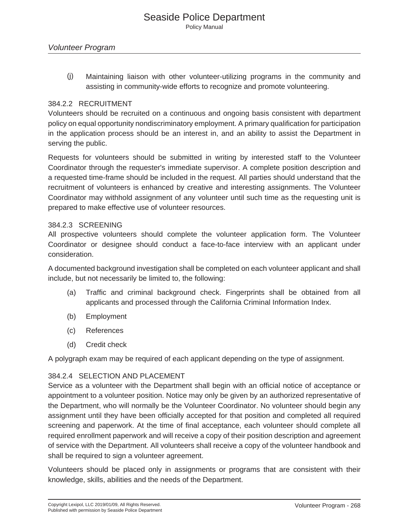(j) Maintaining liaison with other volunteer-utilizing programs in the community and assisting in community-wide efforts to recognize and promote volunteering.

#### 384.2.2 RECRUITMENT

Volunteers should be recruited on a continuous and ongoing basis consistent with department policy on equal opportunity nondiscriminatory employment. A primary qualification for participation in the application process should be an interest in, and an ability to assist the Department in serving the public.

Requests for volunteers should be submitted in writing by interested staff to the Volunteer Coordinator through the requester's immediate supervisor. A complete position description and a requested time-frame should be included in the request. All parties should understand that the recruitment of volunteers is enhanced by creative and interesting assignments. The Volunteer Coordinator may withhold assignment of any volunteer until such time as the requesting unit is prepared to make effective use of volunteer resources.

#### 384.2.3 SCREENING

All prospective volunteers should complete the volunteer application form. The Volunteer Coordinator or designee should conduct a face-to-face interview with an applicant under consideration.

A documented background investigation shall be completed on each volunteer applicant and shall include, but not necessarily be limited to, the following:

- (a) Traffic and criminal background check. Fingerprints shall be obtained from all applicants and processed through the California Criminal Information Index.
- (b) Employment
- (c) References
- (d) Credit check

A polygraph exam may be required of each applicant depending on the type of assignment.

#### 384.2.4 SELECTION AND PLACEMENT

Service as a volunteer with the Department shall begin with an official notice of acceptance or appointment to a volunteer position. Notice may only be given by an authorized representative of the Department, who will normally be the Volunteer Coordinator. No volunteer should begin any assignment until they have been officially accepted for that position and completed all required screening and paperwork. At the time of final acceptance, each volunteer should complete all required enrollment paperwork and will receive a copy of their position description and agreement of service with the Department. All volunteers shall receive a copy of the volunteer handbook and shall be required to sign a volunteer agreement.

Volunteers should be placed only in assignments or programs that are consistent with their knowledge, skills, abilities and the needs of the Department.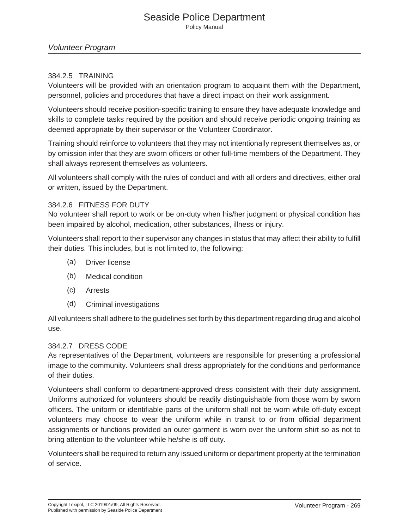#### *Volunteer Program*

#### 384.2.5 TRAINING

Volunteers will be provided with an orientation program to acquaint them with the Department, personnel, policies and procedures that have a direct impact on their work assignment.

Volunteers should receive position-specific training to ensure they have adequate knowledge and skills to complete tasks required by the position and should receive periodic ongoing training as deemed appropriate by their supervisor or the Volunteer Coordinator.

Training should reinforce to volunteers that they may not intentionally represent themselves as, or by omission infer that they are sworn officers or other full-time members of the Department. They shall always represent themselves as volunteers.

All volunteers shall comply with the rules of conduct and with all orders and directives, either oral or written, issued by the Department.

#### 384.2.6 FITNESS FOR DUTY

No volunteer shall report to work or be on-duty when his/her judgment or physical condition has been impaired by alcohol, medication, other substances, illness or injury.

Volunteers shall report to their supervisor any changes in status that may affect their ability to fulfill their duties. This includes, but is not limited to, the following:

- (a) Driver license
- (b) Medical condition
- (c) Arrests
- (d) Criminal investigations

All volunteers shall adhere to the guidelines set forth by this department regarding drug and alcohol use.

#### 384.2.7 DRESS CODE

As representatives of the Department, volunteers are responsible for presenting a professional image to the community. Volunteers shall dress appropriately for the conditions and performance of their duties.

Volunteers shall conform to department-approved dress consistent with their duty assignment. Uniforms authorized for volunteers should be readily distinguishable from those worn by sworn officers. The uniform or identifiable parts of the uniform shall not be worn while off-duty except volunteers may choose to wear the uniform while in transit to or from official department assignments or functions provided an outer garment is worn over the uniform shirt so as not to bring attention to the volunteer while he/she is off duty.

Volunteers shall be required to return any issued uniform or department property at the termination of service.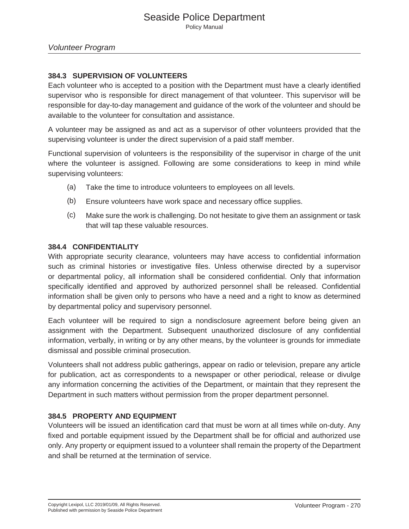#### **384.3 SUPERVISION OF VOLUNTEERS**

Each volunteer who is accepted to a position with the Department must have a clearly identified supervisor who is responsible for direct management of that volunteer. This supervisor will be responsible for day-to-day management and guidance of the work of the volunteer and should be available to the volunteer for consultation and assistance.

A volunteer may be assigned as and act as a supervisor of other volunteers provided that the supervising volunteer is under the direct supervision of a paid staff member.

Functional supervision of volunteers is the responsibility of the supervisor in charge of the unit where the volunteer is assigned. Following are some considerations to keep in mind while supervising volunteers:

- (a) Take the time to introduce volunteers to employees on all levels.
- (b) Ensure volunteers have work space and necessary office supplies.
- (c) Make sure the work is challenging. Do not hesitate to give them an assignment or task that will tap these valuable resources.

#### **384.4 CONFIDENTIALITY**

With appropriate security clearance, volunteers may have access to confidential information such as criminal histories or investigative files. Unless otherwise directed by a supervisor or departmental policy, all information shall be considered confidential. Only that information specifically identified and approved by authorized personnel shall be released. Confidential information shall be given only to persons who have a need and a right to know as determined by departmental policy and supervisory personnel.

Each volunteer will be required to sign a nondisclosure agreement before being given an assignment with the Department. Subsequent unauthorized disclosure of any confidential information, verbally, in writing or by any other means, by the volunteer is grounds for immediate dismissal and possible criminal prosecution.

Volunteers shall not address public gatherings, appear on radio or television, prepare any article for publication, act as correspondents to a newspaper or other periodical, release or divulge any information concerning the activities of the Department, or maintain that they represent the Department in such matters without permission from the proper department personnel.

#### **384.5 PROPERTY AND EQUIPMENT**

Volunteers will be issued an identification card that must be worn at all times while on-duty. Any fixed and portable equipment issued by the Department shall be for official and authorized use only. Any property or equipment issued to a volunteer shall remain the property of the Department and shall be returned at the termination of service.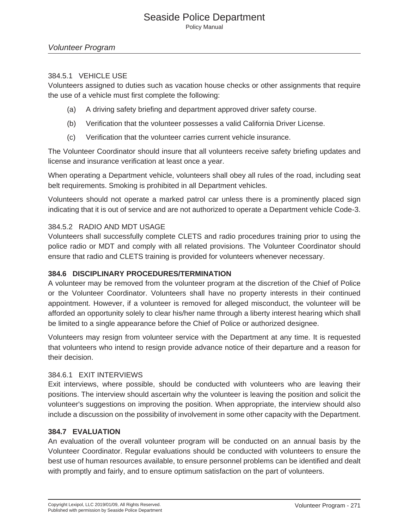#### 384.5.1 VEHICLE USE

Volunteers assigned to duties such as vacation house checks or other assignments that require the use of a vehicle must first complete the following:

- (a) A driving safety briefing and department approved driver safety course.
- (b) Verification that the volunteer possesses a valid California Driver License.
- (c) Verification that the volunteer carries current vehicle insurance.

The Volunteer Coordinator should insure that all volunteers receive safety briefing updates and license and insurance verification at least once a year.

When operating a Department vehicle, volunteers shall obey all rules of the road, including seat belt requirements. Smoking is prohibited in all Department vehicles.

Volunteers should not operate a marked patrol car unless there is a prominently placed sign indicating that it is out of service and are not authorized to operate a Department vehicle Code-3.

#### 384.5.2 RADIO AND MDT USAGE

Volunteers shall successfully complete CLETS and radio procedures training prior to using the police radio or MDT and comply with all related provisions. The Volunteer Coordinator should ensure that radio and CLETS training is provided for volunteers whenever necessary.

#### **384.6 DISCIPLINARY PROCEDURES/TERMINATION**

A volunteer may be removed from the volunteer program at the discretion of the Chief of Police or the Volunteer Coordinator. Volunteers shall have no property interests in their continued appointment. However, if a volunteer is removed for alleged misconduct, the volunteer will be afforded an opportunity solely to clear his/her name through a liberty interest hearing which shall be limited to a single appearance before the Chief of Police or authorized designee.

Volunteers may resign from volunteer service with the Department at any time. It is requested that volunteers who intend to resign provide advance notice of their departure and a reason for their decision.

# 384.6.1 EXIT INTERVIEWS

Exit interviews, where possible, should be conducted with volunteers who are leaving their positions. The interview should ascertain why the volunteer is leaving the position and solicit the volunteer's suggestions on improving the position. When appropriate, the interview should also include a discussion on the possibility of involvement in some other capacity with the Department.

#### **384.7 EVALUATION**

An evaluation of the overall volunteer program will be conducted on an annual basis by the Volunteer Coordinator. Regular evaluations should be conducted with volunteers to ensure the best use of human resources available, to ensure personnel problems can be identified and dealt with promptly and fairly, and to ensure optimum satisfaction on the part of volunteers.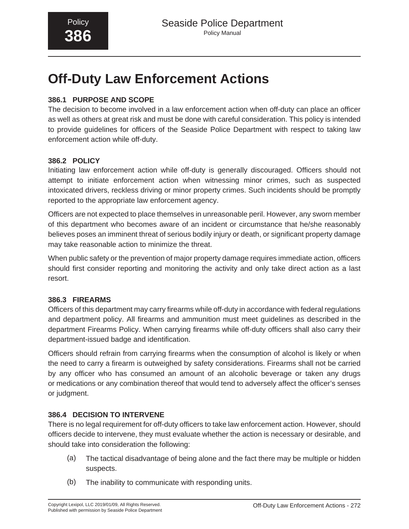# **Off-Duty Law Enforcement Actions**

# **386.1 PURPOSE AND SCOPE**

The decision to become involved in a law enforcement action when off-duty can place an officer as well as others at great risk and must be done with careful consideration. This policy is intended to provide guidelines for officers of the Seaside Police Department with respect to taking law enforcement action while off-duty.

#### **386.2 POLICY**

Initiating law enforcement action while off-duty is generally discouraged. Officers should not attempt to initiate enforcement action when witnessing minor crimes, such as suspected intoxicated drivers, reckless driving or minor property crimes. Such incidents should be promptly reported to the appropriate law enforcement agency.

Officers are not expected to place themselves in unreasonable peril. However, any sworn member of this department who becomes aware of an incident or circumstance that he/she reasonably believes poses an imminent threat of serious bodily injury or death, or significant property damage may take reasonable action to minimize the threat.

When public safety or the prevention of major property damage requires immediate action, officers should first consider reporting and monitoring the activity and only take direct action as a last resort.

# **386.3 FIREARMS**

Officers of this department may carry firearms while off-duty in accordance with federal regulations and department policy. All firearms and ammunition must meet guidelines as described in the department Firearms Policy. When carrying firearms while off-duty officers shall also carry their department-issued badge and identification.

Officers should refrain from carrying firearms when the consumption of alcohol is likely or when the need to carry a firearm is outweighed by safety considerations. Firearms shall not be carried by any officer who has consumed an amount of an alcoholic beverage or taken any drugs or medications or any combination thereof that would tend to adversely affect the officer's senses or judgment.

# **386.4 DECISION TO INTERVENE**

There is no legal requirement for off-duty officers to take law enforcement action. However, should officers decide to intervene, they must evaluate whether the action is necessary or desirable, and should take into consideration the following:

- (a) The tactical disadvantage of being alone and the fact there may be multiple or hidden suspects.
- (b) The inability to communicate with responding units.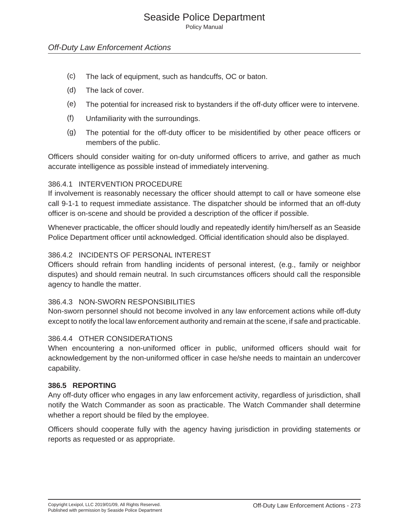Policy Manual

#### *Off-Duty Law Enforcement Actions*

- (c) The lack of equipment, such as handcuffs, OC or baton.
- (d) The lack of cover.
- (e) The potential for increased risk to bystanders if the off-duty officer were to intervene.
- (f) Unfamiliarity with the surroundings.
- (g) The potential for the off-duty officer to be misidentified by other peace officers or members of the public.

Officers should consider waiting for on-duty uniformed officers to arrive, and gather as much accurate intelligence as possible instead of immediately intervening.

#### 386.4.1 INTERVENTION PROCEDURE

If involvement is reasonably necessary the officer should attempt to call or have someone else call 9-1-1 to request immediate assistance. The dispatcher should be informed that an off-duty officer is on-scene and should be provided a description of the officer if possible.

Whenever practicable, the officer should loudly and repeatedly identify him/herself as an Seaside Police Department officer until acknowledged. Official identification should also be displayed.

#### 386.4.2 INCIDENTS OF PERSONAL INTEREST

Officers should refrain from handling incidents of personal interest, (e.g., family or neighbor disputes) and should remain neutral. In such circumstances officers should call the responsible agency to handle the matter.

#### 386.4.3 NON-SWORN RESPONSIBILITIES

Non-sworn personnel should not become involved in any law enforcement actions while off-duty except to notify the local law enforcement authority and remain at the scene, if safe and practicable.

#### 386.4.4 OTHER CONSIDERATIONS

When encountering a non-uniformed officer in public, uniformed officers should wait for acknowledgement by the non-uniformed officer in case he/she needs to maintain an undercover capability.

#### **386.5 REPORTING**

Any off-duty officer who engages in any law enforcement activity, regardless of jurisdiction, shall notify the Watch Commander as soon as practicable. The Watch Commander shall determine whether a report should be filed by the employee.

Officers should cooperate fully with the agency having jurisdiction in providing statements or reports as requested or as appropriate.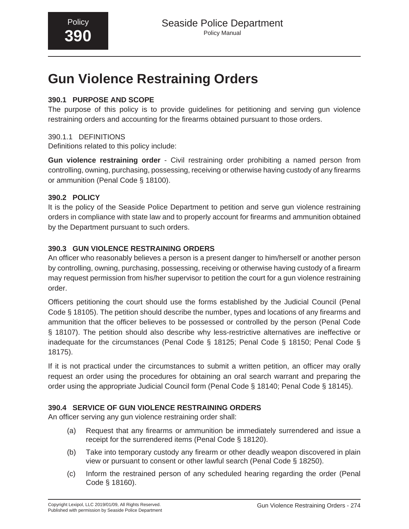# **Gun Violence Restraining Orders**

# **390.1 PURPOSE AND SCOPE**

The purpose of this policy is to provide guidelines for petitioning and serving gun violence restraining orders and accounting for the firearms obtained pursuant to those orders.

# 390.1.1 DEFINITIONS

Definitions related to this policy include:

**Gun violence restraining order** - Civil restraining order prohibiting a named person from controlling, owning, purchasing, possessing, receiving or otherwise having custody of any firearms or ammunition (Penal Code § 18100).

# **390.2 POLICY**

It is the policy of the Seaside Police Department to petition and serve gun violence restraining orders in compliance with state law and to properly account for firearms and ammunition obtained by the Department pursuant to such orders.

# **390.3 GUN VIOLENCE RESTRAINING ORDERS**

An officer who reasonably believes a person is a present danger to him/herself or another person by controlling, owning, purchasing, possessing, receiving or otherwise having custody of a firearm may request permission from his/her supervisor to petition the court for a gun violence restraining order.

Officers petitioning the court should use the forms established by the Judicial Council (Penal Code § 18105). The petition should describe the number, types and locations of any firearms and ammunition that the officer believes to be possessed or controlled by the person (Penal Code § 18107). The petition should also describe why less-restrictive alternatives are ineffective or inadequate for the circumstances (Penal Code § 18125; Penal Code § 18150; Penal Code § 18175).

If it is not practical under the circumstances to submit a written petition, an officer may orally request an order using the procedures for obtaining an oral search warrant and preparing the order using the appropriate Judicial Council form (Penal Code § 18140; Penal Code § 18145).

# **390.4 SERVICE OF GUN VIOLENCE RESTRAINING ORDERS**

An officer serving any gun violence restraining order shall:

- (a) Request that any firearms or ammunition be immediately surrendered and issue a receipt for the surrendered items (Penal Code § 18120).
- (b) Take into temporary custody any firearm or other deadly weapon discovered in plain view or pursuant to consent or other lawful search (Penal Code § 18250).
- (c) Inform the restrained person of any scheduled hearing regarding the order (Penal Code § 18160).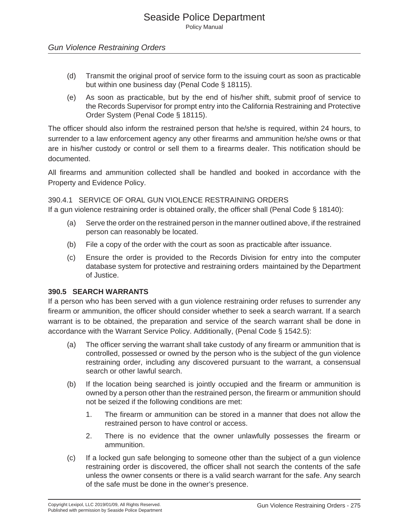- (d) Transmit the original proof of service form to the issuing court as soon as practicable but within one business day (Penal Code § 18115).
- (e) As soon as practicable, but by the end of his/her shift, submit proof of service to the Records Supervisor for prompt entry into the California Restraining and Protective Order System (Penal Code § 18115).

The officer should also inform the restrained person that he/she is required, within 24 hours, to surrender to a law enforcement agency any other firearms and ammunition he/she owns or that are in his/her custody or control or sell them to a firearms dealer. This notification should be documented.

All firearms and ammunition collected shall be handled and booked in accordance with the Property and Evidence Policy.

#### 390.4.1 SERVICE OF ORAL GUN VIOLENCE RESTRAINING ORDERS

If a gun violence restraining order is obtained orally, the officer shall (Penal Code § 18140):

- (a) Serve the order on the restrained person in the manner outlined above, if the restrained person can reasonably be located.
- (b) File a copy of the order with the court as soon as practicable after issuance.
- (c) Ensure the order is provided to the Records Division for entry into the computer database system for protective and restraining orders maintained by the Department of Justice.

## **390.5 SEARCH WARRANTS**

If a person who has been served with a gun violence restraining order refuses to surrender any firearm or ammunition, the officer should consider whether to seek a search warrant. If a search warrant is to be obtained, the preparation and service of the search warrant shall be done in accordance with the Warrant Service Policy. Additionally, (Penal Code § 1542.5):

- (a) The officer serving the warrant shall take custody of any firearm or ammunition that is controlled, possessed or owned by the person who is the subject of the gun violence restraining order, including any discovered pursuant to the warrant, a consensual search or other lawful search.
- (b) If the location being searched is jointly occupied and the firearm or ammunition is owned by a person other than the restrained person, the firearm or ammunition should not be seized if the following conditions are met:
	- 1. The firearm or ammunition can be stored in a manner that does not allow the restrained person to have control or access.
	- 2. There is no evidence that the owner unlawfully possesses the firearm or ammunition.
- (c) If a locked gun safe belonging to someone other than the subject of a gun violence restraining order is discovered, the officer shall not search the contents of the safe unless the owner consents or there is a valid search warrant for the safe. Any search of the safe must be done in the owner's presence.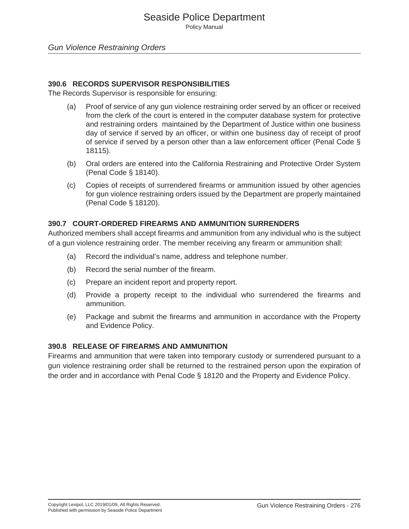#### **390.6 RECORDS SUPERVISOR RESPONSIBILITIES**

The Records Supervisor is responsible for ensuring:

- (a) Proof of service of any gun violence restraining order served by an officer or received from the clerk of the court is entered in the computer database system for protective and restraining orders maintained by the Department of Justice within one business day of service if served by an officer, or within one business day of receipt of proof of service if served by a person other than a law enforcement officer (Penal Code § 18115).
- (b) Oral orders are entered into the California Restraining and Protective Order System (Penal Code § 18140).
- (c) Copies of receipts of surrendered firearms or ammunition issued by other agencies for gun violence restraining orders issued by the Department are properly maintained (Penal Code § 18120).

#### **390.7 COURT-ORDERED FIREARMS AND AMMUNITION SURRENDERS**

Authorized members shall accept firearms and ammunition from any individual who is the subject of a gun violence restraining order. The member receiving any firearm or ammunition shall:

- (a) Record the individual's name, address and telephone number.
- (b) Record the serial number of the firearm.
- (c) Prepare an incident report and property report.
- (d) Provide a property receipt to the individual who surrendered the firearms and ammunition.
- (e) Package and submit the firearms and ammunition in accordance with the Property and Evidence Policy.

#### **390.8 RELEASE OF FIREARMS AND AMMUNITION**

Firearms and ammunition that were taken into temporary custody or surrendered pursuant to a gun violence restraining order shall be returned to the restrained person upon the expiration of the order and in accordance with Penal Code § 18120 and the Property and Evidence Policy.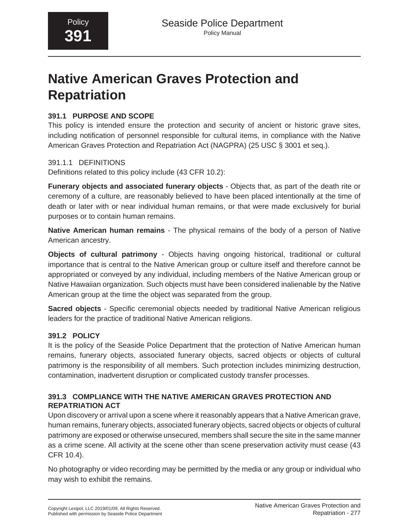# **Native American Graves Protection and Repatriation**

## **391.1 PURPOSE AND SCOPE**

This policy is intended ensure the protection and security of ancient or historic grave sites, including notification of personnel responsible for cultural items, in compliance with the Native American Graves Protection and Repatriation Act (NAGPRA) (25 USC § 3001 et seq.).

## 391.1.1 DEFINITIONS

Definitions related to this policy include (43 CFR 10.2):

**Funerary objects and associated funerary objects** - Objects that, as part of the death rite or ceremony of a culture, are reasonably believed to have been placed intentionally at the time of death or later with or near individual human remains, or that were made exclusively for burial purposes or to contain human remains.

**Native American human remains** - The physical remains of the body of a person of Native American ancestry.

**Objects of cultural patrimony** - Objects having ongoing historical, traditional or cultural importance that is central to the Native American group or culture itself and therefore cannot be appropriated or conveyed by any individual, including members of the Native American group or Native Hawaiian organization. Such objects must have been considered inalienable by the Native American group at the time the object was separated from the group.

**Sacred objects** - Specific ceremonial objects needed by traditional Native American religious leaders for the practice of traditional Native American religions.

## **391.2 POLICY**

It is the policy of the Seaside Police Department that the protection of Native American human remains, funerary objects, associated funerary objects, sacred objects or objects of cultural patrimony is the responsibility of all members. Such protection includes minimizing destruction, contamination, inadvertent disruption or complicated custody transfer processes.

## **391.3 COMPLIANCE WITH THE NATIVE AMERICAN GRAVES PROTECTION AND REPATRIATION ACT**

Upon discovery or arrival upon a scene where it reasonably appears that a Native American grave, human remains, funerary objects, associated funerary objects, sacred objects or objects of cultural patrimony are exposed or otherwise unsecured, members shall secure the site in the same manner as a crime scene. All activity at the scene other than scene preservation activity must cease (43 CFR 10.4).

No photography or video recording may be permitted by the media or any group or individual who may wish to exhibit the remains.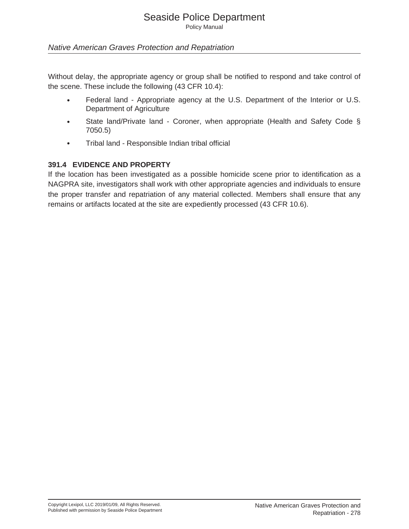## Seaside Police Department

Policy Manual

### *Native American Graves Protection and Repatriation*

Without delay, the appropriate agency or group shall be notified to respond and take control of the scene. These include the following (43 CFR 10.4):

- Federal land Appropriate agency at the U.S. Department of the Interior or U.S. Department of Agriculture
- State land/Private land Coroner, when appropriate (Health and Safety Code § 7050.5)
- Tribal land Responsible Indian tribal official

## **391.4 EVIDENCE AND PROPERTY**

If the location has been investigated as a possible homicide scene prior to identification as a NAGPRA site, investigators shall work with other appropriate agencies and individuals to ensure the proper transfer and repatriation of any material collected. Members shall ensure that any remains or artifacts located at the site are expediently processed (43 CFR 10.6).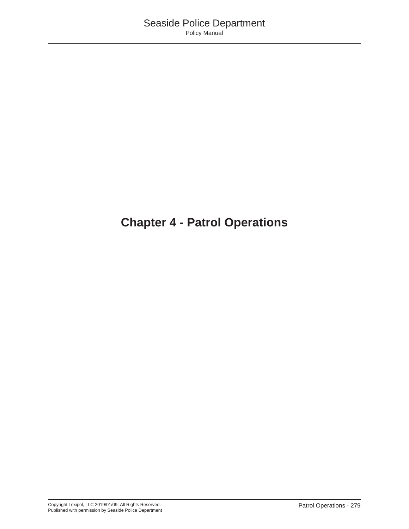## **Chapter 4 - Patrol Operations**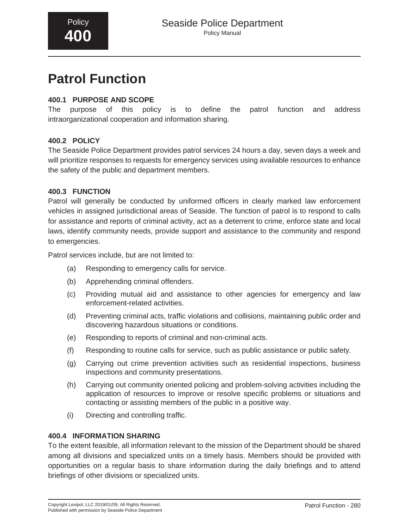## **Patrol Function**

## **400.1 PURPOSE AND SCOPE**

The purpose of this policy is to define the patrol function and address intraorganizational cooperation and information sharing.

## **400.2 POLICY**

The Seaside Police Department provides patrol services 24 hours a day, seven days a week and will prioritize responses to requests for emergency services using available resources to enhance the safety of the public and department members.

#### **400.3 FUNCTION**

Patrol will generally be conducted by uniformed officers in clearly marked law enforcement vehicles in assigned jurisdictional areas of Seaside. The function of patrol is to respond to calls for assistance and reports of criminal activity, act as a deterrent to crime, enforce state and local laws, identify community needs, provide support and assistance to the community and respond to emergencies.

Patrol services include, but are not limited to:

- (a) Responding to emergency calls for service.
- (b) Apprehending criminal offenders.
- (c) Providing mutual aid and assistance to other agencies for emergency and law enforcement-related activities.
- (d) Preventing criminal acts, traffic violations and collisions, maintaining public order and discovering hazardous situations or conditions.
- (e) Responding to reports of criminal and non-criminal acts.
- (f) Responding to routine calls for service, such as public assistance or public safety.
- (g) Carrying out crime prevention activities such as residential inspections, business inspections and community presentations.
- (h) Carrying out community oriented policing and problem-solving activities including the application of resources to improve or resolve specific problems or situations and contacting or assisting members of the public in a positive way.
- (i) Directing and controlling traffic.

#### **400.4 INFORMATION SHARING**

To the extent feasible, all information relevant to the mission of the Department should be shared among all divisions and specialized units on a timely basis. Members should be provided with opportunities on a regular basis to share information during the daily briefings and to attend briefings of other divisions or specialized units.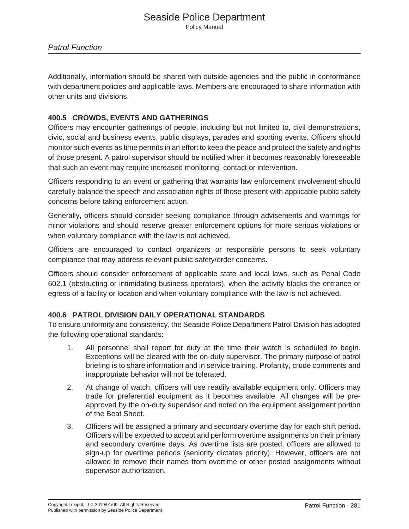Additionally, information should be shared with outside agencies and the public in conformance with department policies and applicable laws. Members are encouraged to share information with other units and divisions.

## **400.5 CROWDS, EVENTS AND GATHERINGS**

Officers may encounter gatherings of people, including but not limited to, civil demonstrations, civic, social and business events, public displays, parades and sporting events. Officers should monitor such events as time permits in an effort to keep the peace and protect the safety and rights of those present. A patrol supervisor should be notified when it becomes reasonably foreseeable that such an event may require increased monitoring, contact or intervention.

Officers responding to an event or gathering that warrants law enforcement involvement should carefully balance the speech and association rights of those present with applicable public safety concerns before taking enforcement action.

Generally, officers should consider seeking compliance through advisements and warnings for minor violations and should reserve greater enforcement options for more serious violations or when voluntary compliance with the law is not achieved.

Officers are encouraged to contact organizers or responsible persons to seek voluntary compliance that may address relevant public safety/order concerns.

Officers should consider enforcement of applicable state and local laws, such as Penal Code 602.1 (obstructing or intimidating business operators), when the activity blocks the entrance or egress of a facility or location and when voluntary compliance with the law is not achieved.

## **400.6 PATROL DIVISION DAILY OPERATIONAL STANDARDS**

To ensure uniformity and consistency, the Seaside Police Department Patrol Division has adopted the following operational standards:

- 1. All personnel shall report for duty at the time their watch is scheduled to begin. Exceptions will be cleared with the on-duty supervisor. The primary purpose of patrol briefing is to share information and in service training. Profanity, crude comments and inappropriate behavior will not be tolerated.
- 2. At change of watch, officers will use readily available equipment only. Officers may trade for preferential equipment as it becomes available. All changes will be preapproved by the on-duty supervisor and noted on the equipment assignment portion of the Beat Sheet.
- 3. Officers will be assigned a primary and secondary overtime day for each shift period. Officers will be expected to accept and perform overtime assignments on their primary and secondary overtime days. As overtime lists are posted, officers are allowed to sign-up for overtime periods (seniority dictates priority). However, officers are not allowed to remove their names from overtime or other posted assignments without supervisor authorization.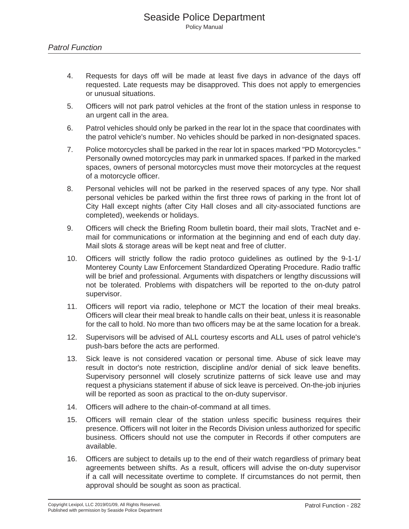- 4. Requests for days off will be made at least five days in advance of the days off requested. Late requests may be disapproved. This does not apply to emergencies or unusual situations.
- 5. Officers will not park patrol vehicles at the front of the station unless in response to an urgent call in the area.
- 6. Patrol vehicles should only be parked in the rear lot in the space that coordinates with the patrol vehicle's number. No vehicles should be parked in non-designated spaces.
- 7. Police motorcycles shall be parked in the rear lot in spaces marked "PD Motorcycles." Personally owned motorcycles may park in unmarked spaces. If parked in the marked spaces, owners of personal motorcycles must move their motorcycles at the request of a motorcycle officer.
- 8. Personal vehicles will not be parked in the reserved spaces of any type. Nor shall personal vehicles be parked within the first three rows of parking in the front lot of City Hall except nights (after City Hall closes and all city-associated functions are completed), weekends or holidays.
- 9. Officers will check the Briefing Room bulletin board, their mail slots, TracNet and email for communications or information at the beginning and end of each duty day. Mail slots & storage areas will be kept neat and free of clutter.
- 10. Officers will strictly follow the radio protoco guidelines as outlined by the 9-1-1/ Monterey County Law Enforcement Standardized Operating Procedure. Radio traffic will be brief and professional. Arguments with dispatchers or lengthy discussions will not be tolerated. Problems with dispatchers will be reported to the on-duty patrol supervisor.
- 11. Officers will report via radio, telephone or MCT the location of their meal breaks. Officers will clear their meal break to handle calls on their beat, unless it is reasonable for the call to hold. No more than two officers may be at the same location for a break.
- 12. Supervisors will be advised of ALL courtesy escorts and ALL uses of patrol vehicle's push-bars before the acts are performed.
- 13. Sick leave is not considered vacation or personal time. Abuse of sick leave may result in doctor's note restriction, discipline and/or denial of sick leave benefits. Supervisory personnel will closely scrutinize patterns of sick leave use and may request a physicians statement if abuse of sick leave is perceived. On-the-job injuries will be reported as soon as practical to the on-duty supervisor.
- 14. Officers will adhere to the chain-of-command at all times.
- 15. Officers will remain clear of the station unless specific business requires their presence. Officers will not loiter in the Records Division unless authorized for specific business. Officers should not use the computer in Records if other computers are available.
- 16. Officers are subject to details up to the end of their watch regardless of primary beat agreements between shifts. As a result, officers will advise the on-duty supervisor if a call will necessitate overtime to complete. If circumstances do not permit, then approval should be sought as soon as practical.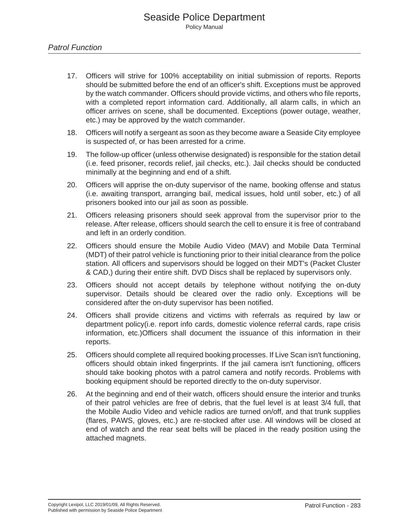- 17. Officers will strive for 100% acceptability on initial submission of reports. Reports should be submitted before the end of an officer's shift. Exceptions must be approved by the watch commander. Officers should provide victims, and others who file reports, with a completed report information card. Additionally, all alarm calls, in which an officer arrives on scene, shall be documented. Exceptions (power outage, weather, etc.) may be approved by the watch commander.
- 18. Officers will notify a sergeant as soon as they become aware a Seaside City employee is suspected of, or has been arrested for a crime.
- 19. The follow-up officer (unless otherwise designated) is responsible for the station detail (i.e. feed prisoner, records relief, jail checks, etc.). Jail checks should be conducted minimally at the beginning and end of a shift.
- 20. Officers will apprise the on-duty supervisor of the name, booking offense and status (i.e. awaiting transport, arranging bail, medical issues, hold until sober, etc.) of all prisoners booked into our jail as soon as possible.
- 21. Officers releasing prisoners should seek approval from the supervisor prior to the release. After release, officers should search the cell to ensure it is free of contraband and left in an orderly condition.
- 22. Officers should ensure the Mobile Audio Video (MAV) and Mobile Data Terminal (MDT) of their patrol vehicle is functioning prior to their initial clearance from the police station. All officers and supervisors should be logged on their MDT's (Packet Cluster & CAD,) during their entire shift. DVD Discs shall be replaced by supervisors only.
- 23. Officers should not accept details by telephone without notifying the on-duty supervisor. Details should be cleared over the radio only. Exceptions will be considered after the on-duty supervisor has been notified.
- 24. Officers shall provide citizens and victims with referrals as required by law or department policy(i.e. report info cards, domestic violence referral cards, rape crisis information, etc.)Officers shall document the issuance of this information in their reports.
- 25. Officers should complete all required booking processes. If Live Scan isn't functioning, officers should obtain inked fingerprints. If the jail camera isn't functioning, officers should take booking photos with a patrol camera and notify records. Problems with booking equipment should be reported directly to the on-duty supervisor.
- 26. At the beginning and end of their watch, officers should ensure the interior and trunks of their patrol vehicles are free of debris, that the fuel level is at least 3/4 full, that the Mobile Audio Video and vehicle radios are turned on/off, and that trunk supplies (flares, PAWS, gloves, etc.) are re-stocked after use. All windows will be closed at end of watch and the rear seat belts will be placed in the ready position using the attached magnets.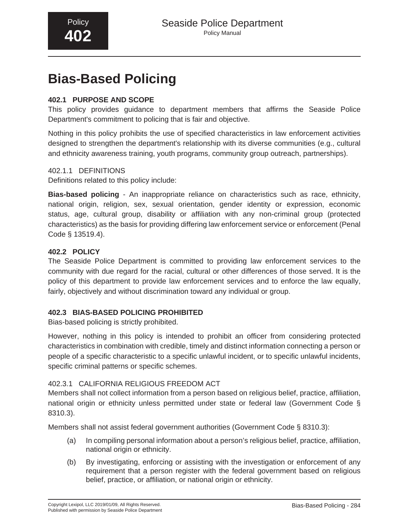## **Bias-Based Policing**

## **402.1 PURPOSE AND SCOPE**

This policy provides guidance to department members that affirms the Seaside Police Department's commitment to policing that is fair and objective.

Nothing in this policy prohibits the use of specified characteristics in law enforcement activities designed to strengthen the department's relationship with its diverse communities (e.g., cultural and ethnicity awareness training, youth programs, community group outreach, partnerships).

#### 402.1.1 DEFINITIONS

Definitions related to this policy include:

**Bias-based policing** - An inappropriate reliance on characteristics such as race, ethnicity, national origin, religion, sex, sexual orientation, gender identity or expression, economic status, age, cultural group, disability or affiliation with any non-criminal group (protected characteristics) as the basis for providing differing law enforcement service or enforcement (Penal Code § 13519.4).

## **402.2 POLICY**

The Seaside Police Department is committed to providing law enforcement services to the community with due regard for the racial, cultural or other differences of those served. It is the policy of this department to provide law enforcement services and to enforce the law equally, fairly, objectively and without discrimination toward any individual or group.

## **402.3 BIAS-BASED POLICING PROHIBITED**

Bias-based policing is strictly prohibited.

However, nothing in this policy is intended to prohibit an officer from considering protected characteristics in combination with credible, timely and distinct information connecting a person or people of a specific characteristic to a specific unlawful incident, or to specific unlawful incidents, specific criminal patterns or specific schemes.

## 402.3.1 CALIFORNIA RELIGIOUS FREEDOM ACT

Members shall not collect information from a person based on religious belief, practice, affiliation, national origin or ethnicity unless permitted under state or federal law (Government Code § 8310.3).

Members shall not assist federal government authorities (Government Code § 8310.3):

- (a) In compiling personal information about a person's religious belief, practice, affiliation, national origin or ethnicity.
- (b) By investigating, enforcing or assisting with the investigation or enforcement of any requirement that a person register with the federal government based on religious belief, practice, or affiliation, or national origin or ethnicity.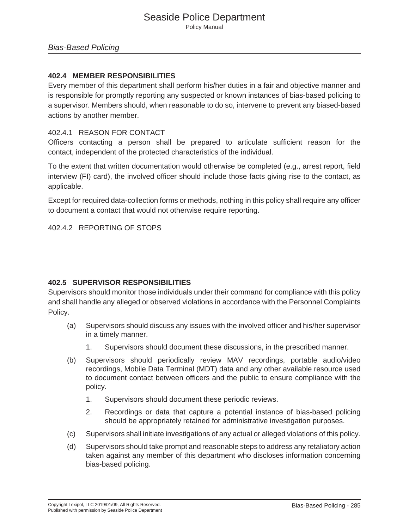#### **402.4 MEMBER RESPONSIBILITIES**

Every member of this department shall perform his/her duties in a fair and objective manner and is responsible for promptly reporting any suspected or known instances of bias-based policing to a supervisor. Members should, when reasonable to do so, intervene to prevent any biased-based actions by another member.

#### 402.4.1 REASON FOR CONTACT

Officers contacting a person shall be prepared to articulate sufficient reason for the contact, independent of the protected characteristics of the individual.

To the extent that written documentation would otherwise be completed (e.g., arrest report, field interview (FI) card), the involved officer should include those facts giving rise to the contact, as applicable.

Except for required data-collection forms or methods, nothing in this policy shall require any officer to document a contact that would not otherwise require reporting.

402.4.2 REPORTING OF STOPS

## **402.5 SUPERVISOR RESPONSIBILITIES**

Supervisors should monitor those individuals under their command for compliance with this policy and shall handle any alleged or observed violations in accordance with the Personnel Complaints Policy.

- (a) Supervisors should discuss any issues with the involved officer and his/her supervisor in a timely manner.
	- 1. Supervisors should document these discussions, in the prescribed manner.
- (b) Supervisors should periodically review MAV recordings, portable audio/video recordings, Mobile Data Terminal (MDT) data and any other available resource used to document contact between officers and the public to ensure compliance with the policy.
	- 1. Supervisors should document these periodic reviews.
	- 2. Recordings or data that capture a potential instance of bias-based policing should be appropriately retained for administrative investigation purposes.
- (c) Supervisors shall initiate investigations of any actual or alleged violations of this policy.
- (d) Supervisors should take prompt and reasonable steps to address any retaliatory action taken against any member of this department who discloses information concerning bias-based policing.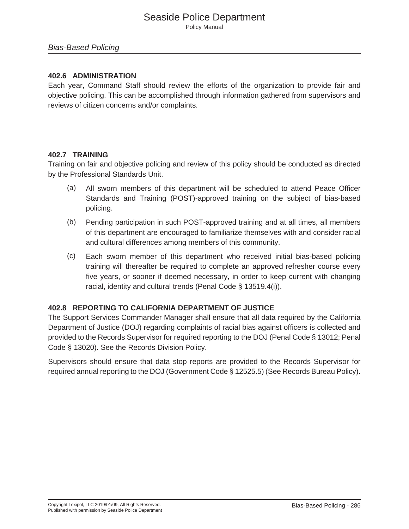#### *Bias-Based Policing*

#### **402.6 ADMINISTRATION**

Each year, Command Staff should review the efforts of the organization to provide fair and objective policing. This can be accomplished through information gathered from supervisors and reviews of citizen concerns and/or complaints.

#### **402.7 TRAINING**

Training on fair and objective policing and review of this policy should be conducted as directed by the Professional Standards Unit.

- (a) All sworn members of this department will be scheduled to attend Peace Officer Standards and Training (POST)-approved training on the subject of bias-based policing.
- (b) Pending participation in such POST-approved training and at all times, all members of this department are encouraged to familiarize themselves with and consider racial and cultural differences among members of this community.
- (c) Each sworn member of this department who received initial bias-based policing training will thereafter be required to complete an approved refresher course every five years, or sooner if deemed necessary, in order to keep current with changing racial, identity and cultural trends (Penal Code § 13519.4(i)).

## **402.8 REPORTING TO CALIFORNIA DEPARTMENT OF JUSTICE**

The Support Services Commander Manager shall ensure that all data required by the California Department of Justice (DOJ) regarding complaints of racial bias against officers is collected and provided to the Records Supervisor for required reporting to the DOJ (Penal Code § 13012; Penal Code § 13020). See the Records Division Policy.

Supervisors should ensure that data stop reports are provided to the Records Supervisor for required annual reporting to the DOJ (Government Code § 12525.5) (See Records Bureau Policy).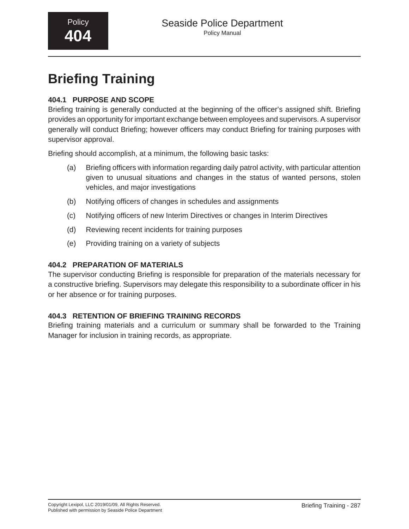# **Briefing Training**

## **404.1 PURPOSE AND SCOPE**

Briefing training is generally conducted at the beginning of the officer's assigned shift. Briefing provides an opportunity for important exchange between employees and supervisors. A supervisor generally will conduct Briefing; however officers may conduct Briefing for training purposes with supervisor approval.

Briefing should accomplish, at a minimum, the following basic tasks:

- (a) Briefing officers with information regarding daily patrol activity, with particular attention given to unusual situations and changes in the status of wanted persons, stolen vehicles, and major investigations
- (b) Notifying officers of changes in schedules and assignments
- (c) Notifying officers of new Interim Directives or changes in Interim Directives
- (d) Reviewing recent incidents for training purposes
- (e) Providing training on a variety of subjects

## **404.2 PREPARATION OF MATERIALS**

The supervisor conducting Briefing is responsible for preparation of the materials necessary for a constructive briefing. Supervisors may delegate this responsibility to a subordinate officer in his or her absence or for training purposes.

## **404.3 RETENTION OF BRIEFING TRAINING RECORDS**

Briefing training materials and a curriculum or summary shall be forwarded to the Training Manager for inclusion in training records, as appropriate.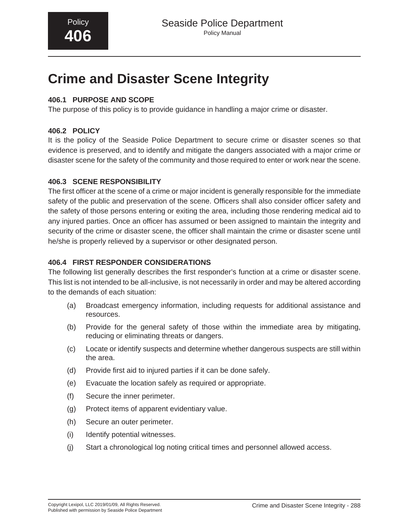## **Crime and Disaster Scene Integrity**

## **406.1 PURPOSE AND SCOPE**

The purpose of this policy is to provide guidance in handling a major crime or disaster.

## **406.2 POLICY**

It is the policy of the Seaside Police Department to secure crime or disaster scenes so that evidence is preserved, and to identify and mitigate the dangers associated with a major crime or disaster scene for the safety of the community and those required to enter or work near the scene.

## **406.3 SCENE RESPONSIBILITY**

The first officer at the scene of a crime or major incident is generally responsible for the immediate safety of the public and preservation of the scene. Officers shall also consider officer safety and the safety of those persons entering or exiting the area, including those rendering medical aid to any injured parties. Once an officer has assumed or been assigned to maintain the integrity and security of the crime or disaster scene, the officer shall maintain the crime or disaster scene until he/she is properly relieved by a supervisor or other designated person.

## **406.4 FIRST RESPONDER CONSIDERATIONS**

The following list generally describes the first responder's function at a crime or disaster scene. This list is not intended to be all-inclusive, is not necessarily in order and may be altered according to the demands of each situation:

- (a) Broadcast emergency information, including requests for additional assistance and resources.
- (b) Provide for the general safety of those within the immediate area by mitigating, reducing or eliminating threats or dangers.
- (c) Locate or identify suspects and determine whether dangerous suspects are still within the area.
- (d) Provide first aid to injured parties if it can be done safely.
- (e) Evacuate the location safely as required or appropriate.
- (f) Secure the inner perimeter.
- (g) Protect items of apparent evidentiary value.
- (h) Secure an outer perimeter.
- (i) Identify potential witnesses.
- (j) Start a chronological log noting critical times and personnel allowed access.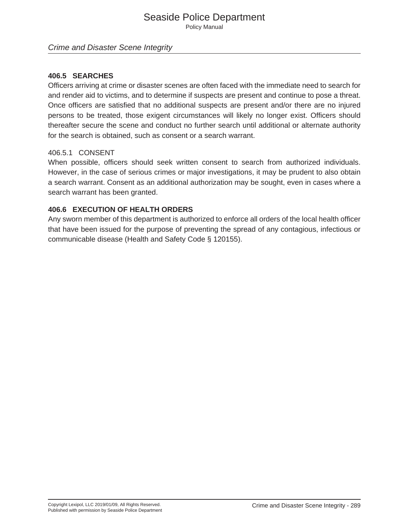#### *Crime and Disaster Scene Integrity*

#### **406.5 SEARCHES**

Officers arriving at crime or disaster scenes are often faced with the immediate need to search for and render aid to victims, and to determine if suspects are present and continue to pose a threat. Once officers are satisfied that no additional suspects are present and/or there are no injured persons to be treated, those exigent circumstances will likely no longer exist. Officers should thereafter secure the scene and conduct no further search until additional or alternate authority for the search is obtained, such as consent or a search warrant.

#### 406.5.1 CONSENT

When possible, officers should seek written consent to search from authorized individuals. However, in the case of serious crimes or major investigations, it may be prudent to also obtain a search warrant. Consent as an additional authorization may be sought, even in cases where a search warrant has been granted.

#### **406.6 EXECUTION OF HEALTH ORDERS**

Any sworn member of this department is authorized to enforce all orders of the local health officer that have been issued for the purpose of preventing the spread of any contagious, infectious or communicable disease (Health and Safety Code § 120155).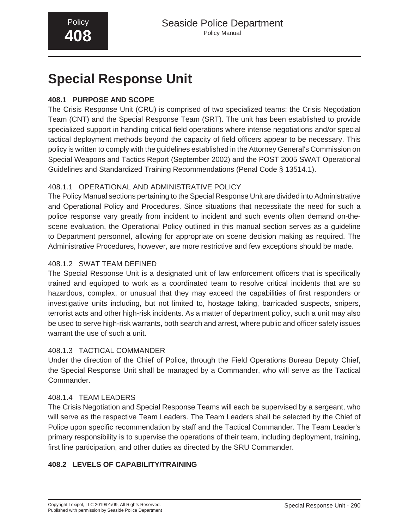## **Special Response Unit**

## **408.1 PURPOSE AND SCOPE**

The Crisis Response Unit (CRU) is comprised of two specialized teams: the Crisis Negotiation Team (CNT) and the Special Response Team (SRT). The unit has been established to provide specialized support in handling critical field operations where intense negotiations and/or special tactical deployment methods beyond the capacity of field officers appear to be necessary. This policy is written to comply with the guidelines established in the Attorney General's Commission on Special Weapons and Tactics Report (September 2002) and the POST 2005 SWAT Operational Guidelines and Standardized Training Recommendations (Penal Code § 13514.1).

## 408.1.1 OPERATIONAL AND ADMINISTRATIVE POLICY

The Policy Manual sections pertaining to the Special Response Unit are divided into Administrative and Operational Policy and Procedures. Since situations that necessitate the need for such a police response vary greatly from incident to incident and such events often demand on-thescene evaluation, the Operational Policy outlined in this manual section serves as a guideline to Department personnel, allowing for appropriate on scene decision making as required. The Administrative Procedures, however, are more restrictive and few exceptions should be made.

## 408.1.2 SWAT TEAM DEFINED

The Special Response Unit is a designated unit of law enforcement officers that is specifically trained and equipped to work as a coordinated team to resolve critical incidents that are so hazardous, complex, or unusual that they may exceed the capabilities of first responders or investigative units including, but not limited to, hostage taking, barricaded suspects, snipers, terrorist acts and other high-risk incidents. As a matter of department policy, such a unit may also be used to serve high-risk warrants, both search and arrest, where public and officer safety issues warrant the use of such a unit.

## 408.1.3 TACTICAL COMMANDER

Under the direction of the Chief of Police, through the Field Operations Bureau Deputy Chief, the Special Response Unit shall be managed by a Commander, who will serve as the Tactical Commander.

#### 408.1.4 TEAM LEADERS

The Crisis Negotiation and Special Response Teams will each be supervised by a sergeant, who will serve as the respective Team Leaders. The Team Leaders shall be selected by the Chief of Police upon specific recommendation by staff and the Tactical Commander. The Team Leader's primary responsibility is to supervise the operations of their team, including deployment, training, first line participation, and other duties as directed by the SRU Commander.

## **408.2 LEVELS OF CAPABILITY/TRAINING**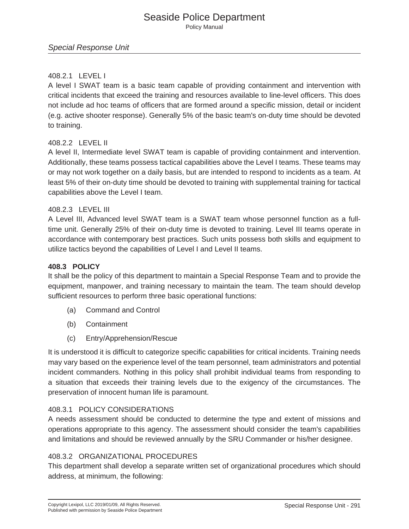*Special Response Unit*

## 408.2.1 LEVEL I

A level I SWAT team is a basic team capable of providing containment and intervention with critical incidents that exceed the training and resources available to line-level officers. This does not include ad hoc teams of officers that are formed around a specific mission, detail or incident (e.g. active shooter response). Generally 5% of the basic team's on-duty time should be devoted to training.

#### 408.2.2 LEVEL II

A level II, Intermediate level SWAT team is capable of providing containment and intervention. Additionally, these teams possess tactical capabilities above the Level I teams. These teams may or may not work together on a daily basis, but are intended to respond to incidents as a team. At least 5% of their on-duty time should be devoted to training with supplemental training for tactical capabilities above the Level I team.

#### 408.2.3 LEVEL III

A Level III, Advanced level SWAT team is a SWAT team whose personnel function as a fulltime unit. Generally 25% of their on-duty time is devoted to training. Level III teams operate in accordance with contemporary best practices. Such units possess both skills and equipment to utilize tactics beyond the capabilities of Level I and Level II teams.

#### **408.3 POLICY**

It shall be the policy of this department to maintain a Special Response Team and to provide the equipment, manpower, and training necessary to maintain the team. The team should develop sufficient resources to perform three basic operational functions:

- (a) Command and Control
- (b) Containment
- (c) Entry/Apprehension/Rescue

It is understood it is difficult to categorize specific capabilities for critical incidents. Training needs may vary based on the experience level of the team personnel, team administrators and potential incident commanders. Nothing in this policy shall prohibit individual teams from responding to a situation that exceeds their training levels due to the exigency of the circumstances. The preservation of innocent human life is paramount.

#### 408.3.1 POLICY CONSIDERATIONS

A needs assessment should be conducted to determine the type and extent of missions and operations appropriate to this agency. The assessment should consider the team's capabilities and limitations and should be reviewed annually by the SRU Commander or his/her designee.

#### 408.3.2 ORGANIZATIONAL PROCEDURES

This department shall develop a separate written set of organizational procedures which should address, at minimum, the following: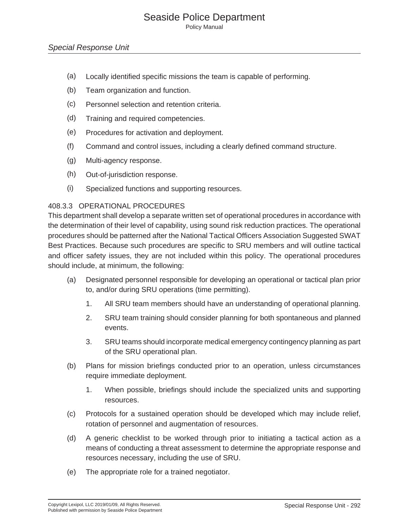- (a) Locally identified specific missions the team is capable of performing.
- (b) Team organization and function.
- (c) Personnel selection and retention criteria.
- (d) Training and required competencies.
- (e) Procedures for activation and deployment.
- (f) Command and control issues, including a clearly defined command structure.
- (g) Multi-agency response.
- (h) Out-of-jurisdiction response.
- (i) Specialized functions and supporting resources.

#### 408.3.3 OPERATIONAL PROCEDURES

This department shall develop a separate written set of operational procedures in accordance with the determination of their level of capability, using sound risk reduction practices. The operational procedures should be patterned after the National Tactical Officers Association Suggested SWAT Best Practices. Because such procedures are specific to SRU members and will outline tactical and officer safety issues, they are not included within this policy. The operational procedures should include, at minimum, the following:

- (a) Designated personnel responsible for developing an operational or tactical plan prior to, and/or during SRU operations (time permitting).
	- 1. All SRU team members should have an understanding of operational planning.
	- 2. SRU team training should consider planning for both spontaneous and planned events.
	- 3. SRU teams should incorporate medical emergency contingency planning as part of the SRU operational plan.
- (b) Plans for mission briefings conducted prior to an operation, unless circumstances require immediate deployment.
	- 1. When possible, briefings should include the specialized units and supporting resources.
- (c) Protocols for a sustained operation should be developed which may include relief, rotation of personnel and augmentation of resources.
- (d) A generic checklist to be worked through prior to initiating a tactical action as a means of conducting a threat assessment to determine the appropriate response and resources necessary, including the use of SRU.
- (e) The appropriate role for a trained negotiator.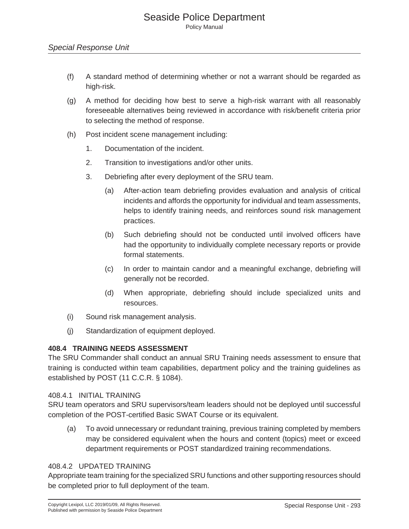- (f) A standard method of determining whether or not a warrant should be regarded as high-risk.
- (g) A method for deciding how best to serve a high-risk warrant with all reasonably foreseeable alternatives being reviewed in accordance with risk/benefit criteria prior to selecting the method of response.
- (h) Post incident scene management including:
	- 1. Documentation of the incident.
	- 2. Transition to investigations and/or other units.
	- 3. Debriefing after every deployment of the SRU team.
		- (a) After-action team debriefing provides evaluation and analysis of critical incidents and affords the opportunity for individual and team assessments, helps to identify training needs, and reinforces sound risk management practices.
		- (b) Such debriefing should not be conducted until involved officers have had the opportunity to individually complete necessary reports or provide formal statements.
		- (c) In order to maintain candor and a meaningful exchange, debriefing will generally not be recorded.
		- (d) When appropriate, debriefing should include specialized units and resources.
- (i) Sound risk management analysis.
- (j) Standardization of equipment deployed.

#### **408.4 TRAINING NEEDS ASSESSMENT**

The SRU Commander shall conduct an annual SRU Training needs assessment to ensure that training is conducted within team capabilities, department policy and the training guidelines as established by POST (11 C.C.R. § 1084).

#### 408.4.1 INITIAL TRAINING

SRU team operators and SRU supervisors/team leaders should not be deployed until successful completion of the POST-certified Basic SWAT Course or its equivalent.

(a) To avoid unnecessary or redundant training, previous training completed by members may be considered equivalent when the hours and content (topics) meet or exceed department requirements or POST standardized training recommendations.

#### 408.4.2 UPDATED TRAINING

Appropriate team training for the specialized SRU functions and other supporting resources should be completed prior to full deployment of the team.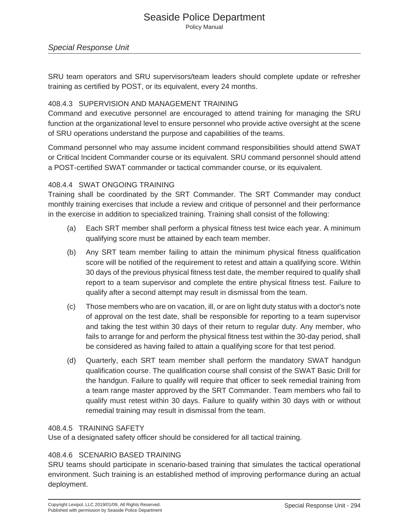### *Special Response Unit*

SRU team operators and SRU supervisors/team leaders should complete update or refresher training as certified by POST, or its equivalent, every 24 months.

#### 408.4.3 SUPERVISION AND MANAGEMENT TRAINING

Command and executive personnel are encouraged to attend training for managing the SRU function at the organizational level to ensure personnel who provide active oversight at the scene of SRU operations understand the purpose and capabilities of the teams.

Command personnel who may assume incident command responsibilities should attend SWAT or Critical Incident Commander course or its equivalent. SRU command personnel should attend a POST-certified SWAT commander or tactical commander course, or its equivalent.

#### 408.4.4 SWAT ONGOING TRAINING

Training shall be coordinated by the SRT Commander. The SRT Commander may conduct monthly training exercises that include a review and critique of personnel and their performance in the exercise in addition to specialized training. Training shall consist of the following:

- (a) Each SRT member shall perform a physical fitness test twice each year. A minimum qualifying score must be attained by each team member.
- (b) Any SRT team member failing to attain the minimum physical fitness qualification score will be notified of the requirement to retest and attain a qualifying score. Within 30 days of the previous physical fitness test date, the member required to qualify shall report to a team supervisor and complete the entire physical fitness test. Failure to qualify after a second attempt may result in dismissal from the team.
- (c) Those members who are on vacation, ill, or are on light duty status with a doctor's note of approval on the test date, shall be responsible for reporting to a team supervisor and taking the test within 30 days of their return to regular duty. Any member, who fails to arrange for and perform the physical fitness test within the 30-day period, shall be considered as having failed to attain a qualifying score for that test period.
- (d) Quarterly, each SRT team member shall perform the mandatory SWAT handgun qualification course. The qualification course shall consist of the SWAT Basic Drill for the handgun. Failure to qualify will require that officer to seek remedial training from a team range master approved by the SRT Commander. Team members who fail to qualify must retest within 30 days. Failure to qualify within 30 days with or without remedial training may result in dismissal from the team.

#### 408.4.5 TRAINING SAFETY

Use of a designated safety officer should be considered for all tactical training.

#### 408.4.6 SCENARIO BASED TRAINING

SRU teams should participate in scenario-based training that simulates the tactical operational environment. Such training is an established method of improving performance during an actual deployment.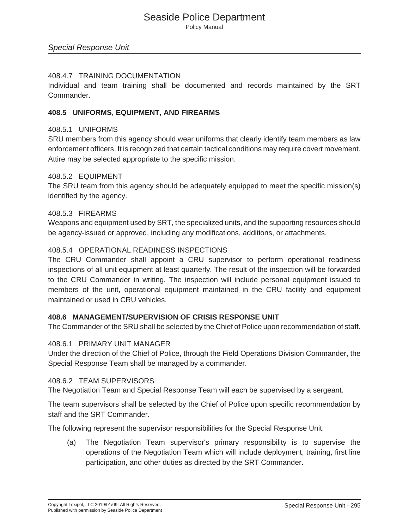#### 408.4.7 TRAINING DOCUMENTATION

Individual and team training shall be documented and records maintained by the SRT Commander.

#### **408.5 UNIFORMS, EQUIPMENT, AND FIREARMS**

#### 408.5.1 UNIFORMS

SRU members from this agency should wear uniforms that clearly identify team members as law enforcement officers. It is recognized that certain tactical conditions may require covert movement. Attire may be selected appropriate to the specific mission.

#### 408.5.2 EQUIPMENT

The SRU team from this agency should be adequately equipped to meet the specific mission(s) identified by the agency.

#### 408.5.3 FIREARMS

Weapons and equipment used by SRT, the specialized units, and the supporting resources should be agency-issued or approved, including any modifications, additions, or attachments.

#### 408.5.4 OPERATIONAL READINESS INSPECTIONS

The CRU Commander shall appoint a CRU supervisor to perform operational readiness inspections of all unit equipment at least quarterly. The result of the inspection will be forwarded to the CRU Commander in writing. The inspection will include personal equipment issued to members of the unit, operational equipment maintained in the CRU facility and equipment maintained or used in CRU vehicles.

#### **408.6 MANAGEMENT/SUPERVISION OF CRISIS RESPONSE UNIT**

The Commander of the SRU shall be selected by the Chief of Police upon recommendation of staff.

#### 408.6.1 PRIMARY UNIT MANAGER

Under the direction of the Chief of Police, through the Field Operations Division Commander, the Special Response Team shall be managed by a commander.

#### 408.6.2 TEAM SUPERVISORS

The Negotiation Team and Special Response Team will each be supervised by a sergeant.

The team supervisors shall be selected by the Chief of Police upon specific recommendation by staff and the SRT Commander.

The following represent the supervisor responsibilities for the Special Response Unit.

(a) The Negotiation Team supervisor's primary responsibility is to supervise the operations of the Negotiation Team which will include deployment, training, first line participation, and other duties as directed by the SRT Commander.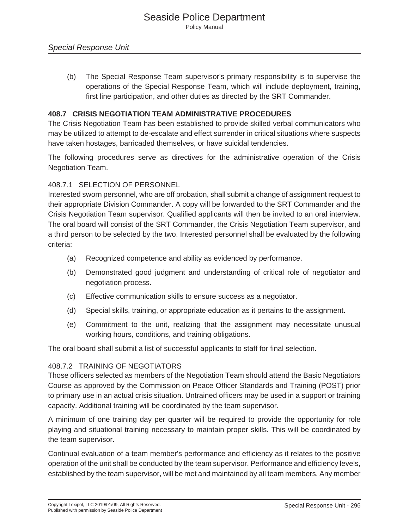(b) The Special Response Team supervisor's primary responsibility is to supervise the operations of the Special Response Team, which will include deployment, training, first line participation, and other duties as directed by the SRT Commander.

### **408.7 CRISIS NEGOTIATION TEAM ADMINISTRATIVE PROCEDURES**

The Crisis Negotiation Team has been established to provide skilled verbal communicators who may be utilized to attempt to de-escalate and effect surrender in critical situations where suspects have taken hostages, barricaded themselves, or have suicidal tendencies.

The following procedures serve as directives for the administrative operation of the Crisis Negotiation Team.

#### 408.7.1 SELECTION OF PERSONNEL

Interested sworn personnel, who are off probation, shall submit a change of assignment request to their appropriate Division Commander. A copy will be forwarded to the SRT Commander and the Crisis Negotiation Team supervisor. Qualified applicants will then be invited to an oral interview. The oral board will consist of the SRT Commander, the Crisis Negotiation Team supervisor, and a third person to be selected by the two. Interested personnel shall be evaluated by the following criteria:

- (a) Recognized competence and ability as evidenced by performance.
- (b) Demonstrated good judgment and understanding of critical role of negotiator and negotiation process.
- (c) Effective communication skills to ensure success as a negotiator.
- (d) Special skills, training, or appropriate education as it pertains to the assignment.
- (e) Commitment to the unit, realizing that the assignment may necessitate unusual working hours, conditions, and training obligations.

The oral board shall submit a list of successful applicants to staff for final selection.

#### 408.7.2 TRAINING OF NEGOTIATORS

Those officers selected as members of the Negotiation Team should attend the Basic Negotiators Course as approved by the Commission on Peace Officer Standards and Training (POST) prior to primary use in an actual crisis situation. Untrained officers may be used in a support or training capacity. Additional training will be coordinated by the team supervisor.

A minimum of one training day per quarter will be required to provide the opportunity for role playing and situational training necessary to maintain proper skills. This will be coordinated by the team supervisor.

Continual evaluation of a team member's performance and efficiency as it relates to the positive operation of the unit shall be conducted by the team supervisor. Performance and efficiency levels, established by the team supervisor, will be met and maintained by all team members. Any member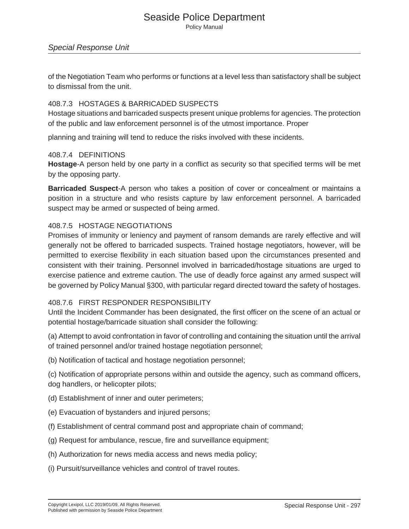## Seaside Police Department

Policy Manual

## *Special Response Unit*

of the Negotiation Team who performs or functions at a level less than satisfactory shall be subject to dismissal from the unit.

#### 408.7.3 HOSTAGES & BARRICADED SUSPECTS

Hostage situations and barricaded suspects present unique problems for agencies. The protection of the public and law enforcement personnel is of the utmost importance. Proper

planning and training will tend to reduce the risks involved with these incidents.

#### 408.7.4 DEFINITIONS

**Hostage**-A person held by one party in a conflict as security so that specified terms will be met by the opposing party.

**Barricaded Suspect**-A person who takes a position of cover or concealment or maintains a position in a structure and who resists capture by law enforcement personnel. A barricaded suspect may be armed or suspected of being armed.

#### 408.7.5 HOSTAGE NEGOTIATIONS

Promises of immunity or leniency and payment of ransom demands are rarely effective and will generally not be offered to barricaded suspects. Trained hostage negotiators, however, will be permitted to exercise flexibility in each situation based upon the circumstances presented and consistent with their training. Personnel involved in barricaded/hostage situations are urged to exercise patience and extreme caution. The use of deadly force against any armed suspect will be governed by Policy Manual §300, with particular regard directed toward the safety of hostages.

#### 408.7.6 FIRST RESPONDER RESPONSIBILITY

Until the Incident Commander has been designated, the first officer on the scene of an actual or potential hostage/barricade situation shall consider the following:

(a) Attempt to avoid confrontation in favor of controlling and containing the situation until the arrival of trained personnel and/or trained hostage negotiation personnel;

(b) Notification of tactical and hostage negotiation personnel;

(c) Notification of appropriate persons within and outside the agency, such as command officers, dog handlers, or helicopter pilots;

- (d) Establishment of inner and outer perimeters;
- (e) Evacuation of bystanders and injured persons;
- (f) Establishment of central command post and appropriate chain of command;
- (g) Request for ambulance, rescue, fire and surveillance equipment;
- (h) Authorization for news media access and news media policy;
- (i) Pursuit/surveillance vehicles and control of travel routes.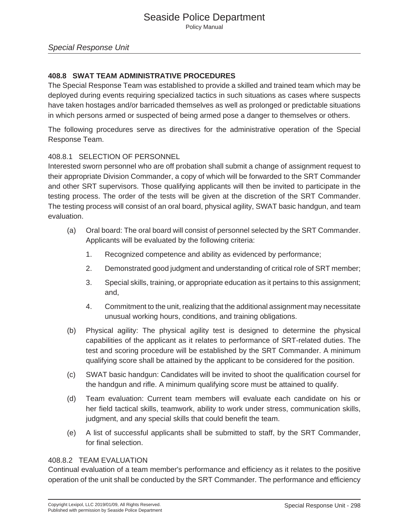## **408.8 SWAT TEAM ADMINISTRATIVE PROCEDURES**

The Special Response Team was established to provide a skilled and trained team which may be deployed during events requiring specialized tactics in such situations as cases where suspects have taken hostages and/or barricaded themselves as well as prolonged or predictable situations in which persons armed or suspected of being armed pose a danger to themselves or others.

The following procedures serve as directives for the administrative operation of the Special Response Team.

## 408.8.1 SELECTION OF PERSONNEL

Interested sworn personnel who are off probation shall submit a change of assignment request to their appropriate Division Commander, a copy of which will be forwarded to the SRT Commander and other SRT supervisors. Those qualifying applicants will then be invited to participate in the testing process. The order of the tests will be given at the discretion of the SRT Commander. The testing process will consist of an oral board, physical agility, SWAT basic handgun, and team evaluation.

- (a) Oral board: The oral board will consist of personnel selected by the SRT Commander. Applicants will be evaluated by the following criteria:
	- 1. Recognized competence and ability as evidenced by performance;
	- 2. Demonstrated good judgment and understanding of critical role of SRT member;
	- 3. Special skills, training, or appropriate education as it pertains to this assignment; and,
	- 4. Commitment to the unit, realizing that the additional assignment may necessitate unusual working hours, conditions, and training obligations.
- (b) Physical agility: The physical agility test is designed to determine the physical capabilities of the applicant as it relates to performance of SRT-related duties. The test and scoring procedure will be established by the SRT Commander. A minimum qualifying score shall be attained by the applicant to be considered for the position.
- (c) SWAT basic handgun: Candidates will be invited to shoot the qualification coursel for the handgun and rifle. A minimum qualifying score must be attained to qualify.
- (d) Team evaluation: Current team members will evaluate each candidate on his or her field tactical skills, teamwork, ability to work under stress, communication skills, judgment, and any special skills that could benefit the team.
- (e) A list of successful applicants shall be submitted to staff, by the SRT Commander, for final selection.

#### 408.8.2 TEAM EVALUATION

Continual evaluation of a team member's performance and efficiency as it relates to the positive operation of the unit shall be conducted by the SRT Commander. The performance and efficiency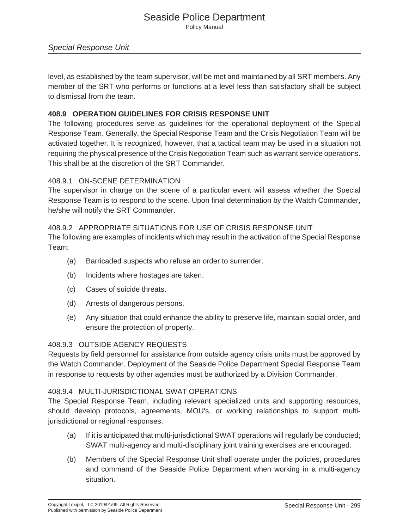### *Special Response Unit*

level, as established by the team supervisor, will be met and maintained by all SRT members. Any member of the SRT who performs or functions at a level less than satisfactory shall be subject to dismissal from the team.

#### **408.9 OPERATION GUIDELINES FOR CRISIS RESPONSE UNIT**

The following procedures serve as guidelines for the operational deployment of the Special Response Team. Generally, the Special Response Team and the Crisis Negotiation Team will be activated together. It is recognized, however, that a tactical team may be used in a situation not requiring the physical presence of the Crisis Negotiation Team such as warrant service operations. This shall be at the discretion of the SRT Commander.

#### 408.9.1 ON-SCENE DETERMINATION

The supervisor in charge on the scene of a particular event will assess whether the Special Response Team is to respond to the scene. Upon final determination by the Watch Commander, he/she will notify the SRT Commander.

#### 408.9.2 APPROPRIATE SITUATIONS FOR USE OF CRISIS RESPONSE UNIT

The following are examples of incidents which may result in the activation of the Special Response Team:

- (a) Barricaded suspects who refuse an order to surrender.
- (b) Incidents where hostages are taken.
- (c) Cases of suicide threats.
- (d) Arrests of dangerous persons.
- (e) Any situation that could enhance the ability to preserve life, maintain social order, and ensure the protection of property.

#### 408.9.3 OUTSIDE AGENCY REQUESTS

Requests by field personnel for assistance from outside agency crisis units must be approved by the Watch Commander. Deployment of the Seaside Police Department Special Response Team in response to requests by other agencies must be authorized by a Division Commander.

#### 408.9.4 MULTI-JURISDICTIONAL SWAT OPERATIONS

The Special Response Team, including relevant specialized units and supporting resources, should develop protocols, agreements, MOU's, or working relationships to support multijurisdictional or regional responses.

- (a) If it is anticipated that multi-jurisdictional SWAT operations will regularly be conducted; SWAT multi-agency and multi-disciplinary joint training exercises are encouraged.
- (b) Members of the Special Response Unit shall operate under the policies, procedures and command of the Seaside Police Department when working in a multi-agency situation.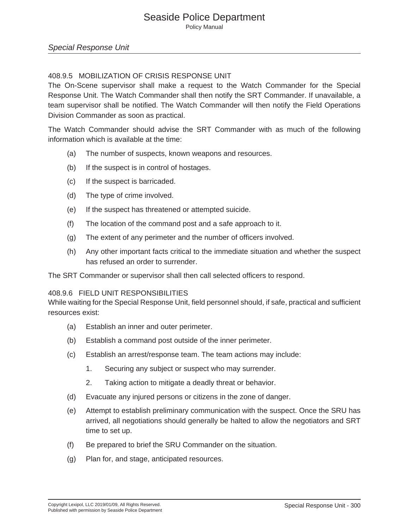## 408.9.5 MOBILIZATION OF CRISIS RESPONSE UNIT

The On-Scene supervisor shall make a request to the Watch Commander for the Special Response Unit. The Watch Commander shall then notify the SRT Commander. If unavailable, a team supervisor shall be notified. The Watch Commander will then notify the Field Operations Division Commander as soon as practical.

The Watch Commander should advise the SRT Commander with as much of the following information which is available at the time:

- (a) The number of suspects, known weapons and resources.
- (b) If the suspect is in control of hostages.
- (c) If the suspect is barricaded.
- (d) The type of crime involved.
- (e) If the suspect has threatened or attempted suicide.
- (f) The location of the command post and a safe approach to it.
- (g) The extent of any perimeter and the number of officers involved.
- (h) Any other important facts critical to the immediate situation and whether the suspect has refused an order to surrender.

The SRT Commander or supervisor shall then call selected officers to respond.

## 408.9.6 FIELD UNIT RESPONSIBILITIES

While waiting for the Special Response Unit, field personnel should, if safe, practical and sufficient resources exist:

- (a) Establish an inner and outer perimeter.
- (b) Establish a command post outside of the inner perimeter.
- (c) Establish an arrest/response team. The team actions may include:
	- 1. Securing any subject or suspect who may surrender.
	- 2. Taking action to mitigate a deadly threat or behavior.
- (d) Evacuate any injured persons or citizens in the zone of danger.
- (e) Attempt to establish preliminary communication with the suspect. Once the SRU has arrived, all negotiations should generally be halted to allow the negotiators and SRT time to set up.
- (f) Be prepared to brief the SRU Commander on the situation.
- (g) Plan for, and stage, anticipated resources.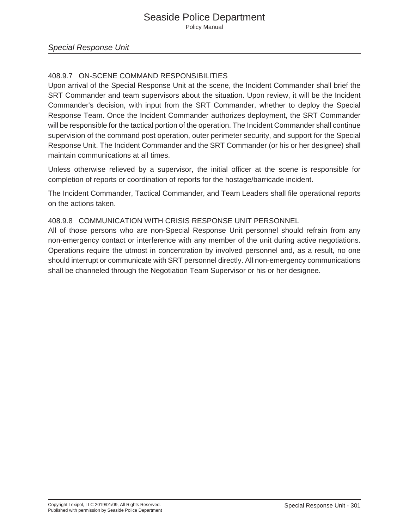## 408.9.7 ON-SCENE COMMAND RESPONSIBILITIES

Upon arrival of the Special Response Unit at the scene, the Incident Commander shall brief the SRT Commander and team supervisors about the situation. Upon review, it will be the Incident Commander's decision, with input from the SRT Commander, whether to deploy the Special Response Team. Once the Incident Commander authorizes deployment, the SRT Commander will be responsible for the tactical portion of the operation. The Incident Commander shall continue supervision of the command post operation, outer perimeter security, and support for the Special Response Unit. The Incident Commander and the SRT Commander (or his or her designee) shall maintain communications at all times.

Unless otherwise relieved by a supervisor, the initial officer at the scene is responsible for completion of reports or coordination of reports for the hostage/barricade incident.

The Incident Commander, Tactical Commander, and Team Leaders shall file operational reports on the actions taken.

## 408.9.8 COMMUNICATION WITH CRISIS RESPONSE UNIT PERSONNEL

All of those persons who are non-Special Response Unit personnel should refrain from any non-emergency contact or interference with any member of the unit during active negotiations. Operations require the utmost in concentration by involved personnel and, as a result, no one should interrupt or communicate with SRT personnel directly. All non-emergency communications shall be channeled through the Negotiation Team Supervisor or his or her designee.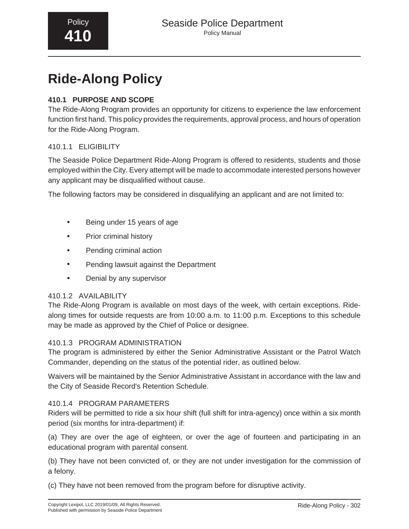# **Ride-Along Policy**

## **410.1 PURPOSE AND SCOPE**

The Ride-Along Program provides an opportunity for citizens to experience the law enforcement function first hand. This policy provides the requirements, approval process, and hours of operation for the Ride-Along Program.

## 410.1.1 ELIGIBILITY

The Seaside Police Department Ride-Along Program is offered to residents, students and those employed within the City. Every attempt will be made to accommodate interested persons however any applicant may be disqualified without cause.

The following factors may be considered in disqualifying an applicant and are not limited to:

- Being under 15 years of age
- Prior criminal history
- Pending criminal action
- Pending lawsuit against the Department
- Denial by any supervisor

## 410.1.2 AVAILABILITY

The Ride-Along Program is available on most days of the week, with certain exceptions. Ridealong times for outside requests are from 10:00 a.m. to 11:00 p.m. Exceptions to this schedule may be made as approved by the Chief of Police or designee.

## 410.1.3 PROGRAM ADMINISTRATION

The program is administered by either the Senior Administrative Assistant or the Patrol Watch Commander, depending on the status of the potential rider, as outlined below.

Waivers will be maintained by the Senior Administrative Assistant in accordance with the law and the City of Seaside Record's Retention Schedule.

## 410.1.4 PROGRAM PARAMETERS

Riders will be permitted to ride a six hour shift (full shift for intra-agency) once within a six month period (six months for intra-department) if:

(a) They are over the age of eighteen, or over the age of fourteen and participating in an educational program with parental consent.

(b) They have not been convicted of, or they are not under investigation for the commission of a felony.

(c) They have not been removed from the program before for disruptive activity.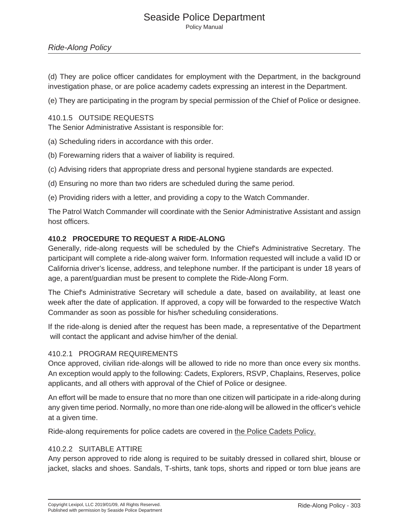(d) They are police officer candidates for employment with the Department, in the background investigation phase, or are police academy cadets expressing an interest in the Department.

(e) They are participating in the program by special permission of the Chief of Police or designee.

#### 410.1.5 OUTSIDE REQUESTS

The Senior Administrative Assistant is responsible for:

(a) Scheduling riders in accordance with this order.

(b) Forewarning riders that a waiver of liability is required.

(c) Advising riders that appropriate dress and personal hygiene standards are expected.

(d) Ensuring no more than two riders are scheduled during the same period.

(e) Providing riders with a letter, and providing a copy to the Watch Commander.

The Patrol Watch Commander will coordinate with the Senior Administrative Assistant and assign host officers.

#### **410.2 PROCEDURE TO REQUEST A RIDE-ALONG**

Generally, ride-along requests will be scheduled by the Chief's Administrative Secretary. The participant will complete a ride-along waiver form. Information requested will include a valid ID or California driver's license, address, and telephone number. If the participant is under 18 years of age, a parent/guardian must be present to complete the Ride-Along Form.

The Chief's Administrative Secretary will schedule a date, based on availability, at least one week after the date of application. If approved, a copy will be forwarded to the respective Watch Commander as soon as possible for his/her scheduling considerations.

If the ride-along is denied after the request has been made, a representative of the Department will contact the applicant and advise him/her of the denial.

#### 410.2.1 PROGRAM REQUIREMENTS

Once approved, civilian ride-alongs will be allowed to ride no more than once every six months. An exception would apply to the following: Cadets, Explorers, RSVP, Chaplains, Reserves, police applicants, and all others with approval of the Chief of Police or designee.

An effort will be made to ensure that no more than one citizen will participate in a ride-along during any given time period. Normally, no more than one ride-along will be allowed in the officer's vehicle at a given time.

Ride-along requirements for police cadets are covered in the Police Cadets Policy.

#### 410.2.2 SUITABLE ATTIRE

Any person approved to ride along is required to be suitably dressed in collared shirt, blouse or jacket, slacks and shoes. Sandals, T-shirts, tank tops, shorts and ripped or torn blue jeans are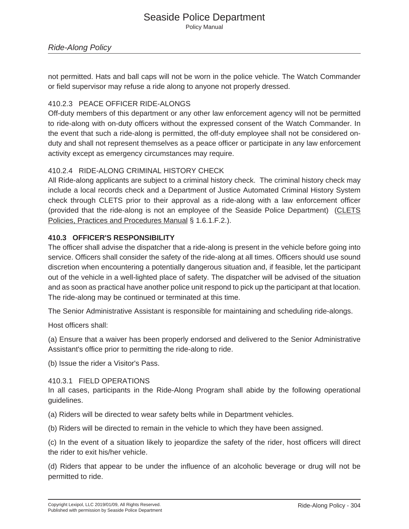not permitted. Hats and ball caps will not be worn in the police vehicle. The Watch Commander or field supervisor may refuse a ride along to anyone not properly dressed.

#### 410.2.3 PEACE OFFICER RIDE-ALONGS

Off-duty members of this department or any other law enforcement agency will not be permitted to ride-along with on-duty officers without the expressed consent of the Watch Commander. In the event that such a ride-along is permitted, the off-duty employee shall not be considered onduty and shall not represent themselves as a peace officer or participate in any law enforcement activity except as emergency circumstances may require.

## 410.2.4 RIDE-ALONG CRIMINAL HISTORY CHECK

All Ride-along applicants are subject to a criminal history check. The criminal history check may include a local records check and a Department of Justice Automated Criminal History System check through CLETS prior to their approval as a ride-along with a law enforcement officer (provided that the ride-along is not an employee of the Seaside Police Department) (CLETS Policies, Practices and Procedures Manual § 1.6.1.F.2.).

#### **410.3 OFFICER'S RESPONSIBILITY**

The officer shall advise the dispatcher that a ride-along is present in the vehicle before going into service. Officers shall consider the safety of the ride-along at all times. Officers should use sound discretion when encountering a potentially dangerous situation and, if feasible, let the participant out of the vehicle in a well-lighted place of safety. The dispatcher will be advised of the situation and as soon as practical have another police unit respond to pick up the participant at that location. The ride-along may be continued or terminated at this time.

The Senior Administrative Assistant is responsible for maintaining and scheduling ride-alongs.

Host officers shall:

(a) Ensure that a waiver has been properly endorsed and delivered to the Senior Administrative Assistant's office prior to permitting the ride-along to ride.

(b) Issue the rider a Visitor's Pass.

#### 410.3.1 FIELD OPERATIONS

In all cases, participants in the Ride-Along Program shall abide by the following operational guidelines.

(a) Riders will be directed to wear safety belts while in Department vehicles.

(b) Riders will be directed to remain in the vehicle to which they have been assigned.

(c) In the event of a situation likely to jeopardize the safety of the rider, host officers will direct the rider to exit his/her vehicle.

(d) Riders that appear to be under the influence of an alcoholic beverage or drug will not be permitted to ride.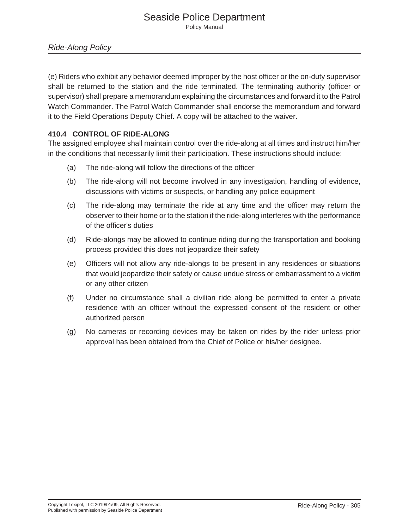(e) Riders who exhibit any behavior deemed improper by the host officer or the on-duty supervisor shall be returned to the station and the ride terminated. The terminating authority (officer or supervisor) shall prepare a memorandum explaining the circumstances and forward it to the Patrol Watch Commander. The Patrol Watch Commander shall endorse the memorandum and forward it to the Field Operations Deputy Chief. A copy will be attached to the waiver.

#### **410.4 CONTROL OF RIDE-ALONG**

The assigned employee shall maintain control over the ride-along at all times and instruct him/her in the conditions that necessarily limit their participation. These instructions should include:

- (a) The ride-along will follow the directions of the officer
- (b) The ride-along will not become involved in any investigation, handling of evidence, discussions with victims or suspects, or handling any police equipment
- (c) The ride-along may terminate the ride at any time and the officer may return the observer to their home or to the station if the ride-along interferes with the performance of the officer's duties
- (d) Ride-alongs may be allowed to continue riding during the transportation and booking process provided this does not jeopardize their safety
- (e) Officers will not allow any ride-alongs to be present in any residences or situations that would jeopardize their safety or cause undue stress or embarrassment to a victim or any other citizen
- (f) Under no circumstance shall a civilian ride along be permitted to enter a private residence with an officer without the expressed consent of the resident or other authorized person
- (g) No cameras or recording devices may be taken on rides by the rider unless prior approval has been obtained from the Chief of Police or his/her designee.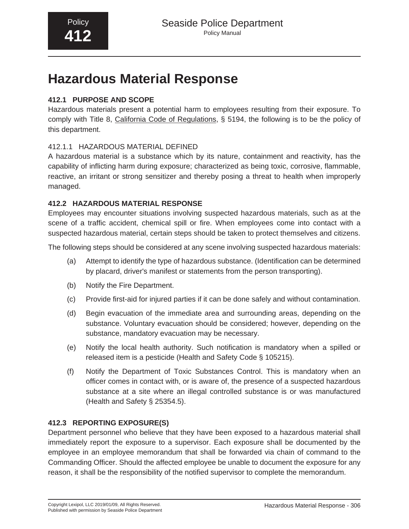## **Hazardous Material Response**

## **412.1 PURPOSE AND SCOPE**

Hazardous materials present a potential harm to employees resulting from their exposure. To comply with Title 8, California Code of Regulations, § 5194, the following is to be the policy of this department.

## 412.1.1 HAZARDOUS MATERIAL DEFINED

A hazardous material is a substance which by its nature, containment and reactivity, has the capability of inflicting harm during exposure; characterized as being toxic, corrosive, flammable, reactive, an irritant or strong sensitizer and thereby posing a threat to health when improperly managed.

## **412.2 HAZARDOUS MATERIAL RESPONSE**

Employees may encounter situations involving suspected hazardous materials, such as at the scene of a traffic accident, chemical spill or fire. When employees come into contact with a suspected hazardous material, certain steps should be taken to protect themselves and citizens.

The following steps should be considered at any scene involving suspected hazardous materials:

- (a) Attempt to identify the type of hazardous substance. (Identification can be determined by placard, driver's manifest or statements from the person transporting).
- (b) Notify the Fire Department.
- (c) Provide first-aid for injured parties if it can be done safely and without contamination.
- (d) Begin evacuation of the immediate area and surrounding areas, depending on the substance. Voluntary evacuation should be considered; however, depending on the substance, mandatory evacuation may be necessary.
- (e) Notify the local health authority. Such notification is mandatory when a spilled or released item is a pesticide (Health and Safety Code § 105215).
- (f) Notify the Department of Toxic Substances Control. This is mandatory when an officer comes in contact with, or is aware of, the presence of a suspected hazardous substance at a site where an illegal controlled substance is or was manufactured (Health and Safety § 25354.5).

## **412.3 REPORTING EXPOSURE(S)**

Department personnel who believe that they have been exposed to a hazardous material shall immediately report the exposure to a supervisor. Each exposure shall be documented by the employee in an employee memorandum that shall be forwarded via chain of command to the Commanding Officer. Should the affected employee be unable to document the exposure for any reason, it shall be the responsibility of the notified supervisor to complete the memorandum.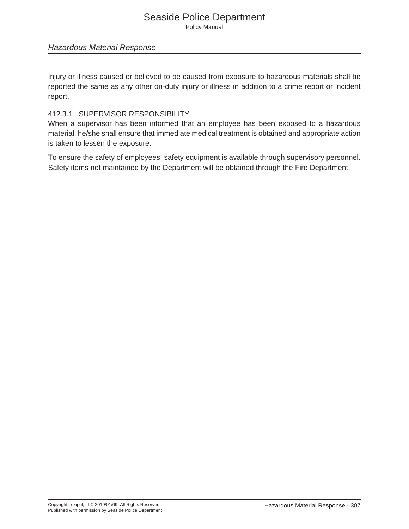*Hazardous Material Response*

Injury or illness caused or believed to be caused from exposure to hazardous materials shall be reported the same as any other on-duty injury or illness in addition to a crime report or incident report.

#### 412.3.1 SUPERVISOR RESPONSIBILITY

When a supervisor has been informed that an employee has been exposed to a hazardous material, he/she shall ensure that immediate medical treatment is obtained and appropriate action is taken to lessen the exposure.

To ensure the safety of employees, safety equipment is available through supervisory personnel. Safety items not maintained by the Department will be obtained through the Fire Department.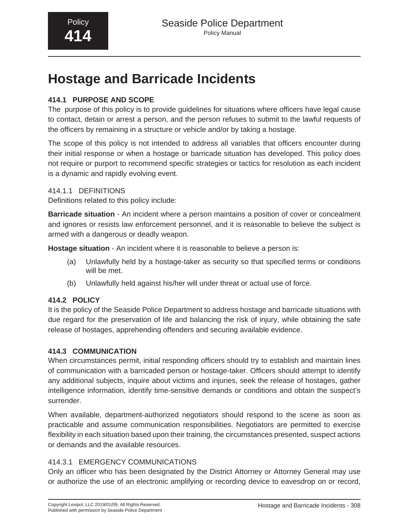## **Hostage and Barricade Incidents**

## **414.1 PURPOSE AND SCOPE**

The purpose of this policy is to provide guidelines for situations where officers have legal cause to contact, detain or arrest a person, and the person refuses to submit to the lawful requests of the officers by remaining in a structure or vehicle and/or by taking a hostage.

The scope of this policy is not intended to address all variables that officers encounter during their initial response or when a hostage or barricade situation has developed. This policy does not require or purport to recommend specific strategies or tactics for resolution as each incident is a dynamic and rapidly evolving event.

## 414.1.1 DEFINITIONS

Definitions related to this policy include:

**Barricade situation** - An incident where a person maintains a position of cover or concealment and ignores or resists law enforcement personnel, and it is reasonable to believe the subject is armed with a dangerous or deadly weapon.

**Hostage situation** - An incident where it is reasonable to believe a person is:

- (a) Unlawfully held by a hostage-taker as security so that specified terms or conditions will be met.
- (b) Unlawfully held against his/her will under threat or actual use of force.

## **414.2 POLICY**

It is the policy of the Seaside Police Department to address hostage and barricade situations with due regard for the preservation of life and balancing the risk of injury, while obtaining the safe release of hostages, apprehending offenders and securing available evidence.

## **414.3 COMMUNICATION**

When circumstances permit, initial responding officers should try to establish and maintain lines of communication with a barricaded person or hostage-taker. Officers should attempt to identify any additional subjects, inquire about victims and injuries, seek the release of hostages, gather intelligence information, identify time-sensitive demands or conditions and obtain the suspect's surrender.

When available, department-authorized negotiators should respond to the scene as soon as practicable and assume communication responsibilities. Negotiators are permitted to exercise flexibility in each situation based upon their training, the circumstances presented, suspect actions or demands and the available resources.

## 414.3.1 EMERGENCY COMMUNICATIONS

Only an officer who has been designated by the District Attorney or Attorney General may use or authorize the use of an electronic amplifying or recording device to eavesdrop on or record,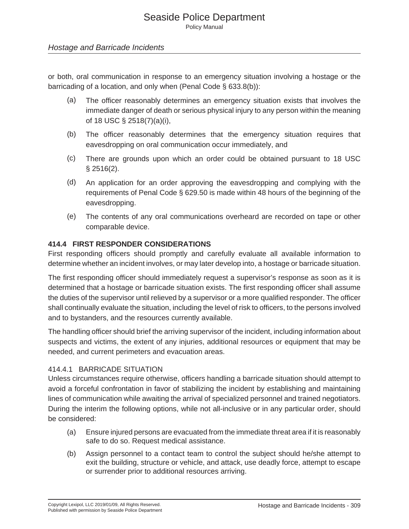## *Hostage and Barricade Incidents*

or both, oral communication in response to an emergency situation involving a hostage or the barricading of a location, and only when (Penal Code § 633.8(b)):

- (a) The officer reasonably determines an emergency situation exists that involves the immediate danger of death or serious physical injury to any person within the meaning of 18 USC § 2518(7)(a)(i),
- (b) The officer reasonably determines that the emergency situation requires that eavesdropping on oral communication occur immediately, and
- (c) There are grounds upon which an order could be obtained pursuant to 18 USC § 2516(2).
- (d) An application for an order approving the eavesdropping and complying with the requirements of Penal Code § 629.50 is made within 48 hours of the beginning of the eavesdropping.
- (e) The contents of any oral communications overheard are recorded on tape or other comparable device.

## **414.4 FIRST RESPONDER CONSIDERATIONS**

First responding officers should promptly and carefully evaluate all available information to determine whether an incident involves, or may later develop into, a hostage or barricade situation.

The first responding officer should immediately request a supervisor's response as soon as it is determined that a hostage or barricade situation exists. The first responding officer shall assume the duties of the supervisor until relieved by a supervisor or a more qualified responder. The officer shall continually evaluate the situation, including the level of risk to officers, to the persons involved and to bystanders, and the resources currently available.

The handling officer should brief the arriving supervisor of the incident, including information about suspects and victims, the extent of any injuries, additional resources or equipment that may be needed, and current perimeters and evacuation areas.

#### 414.4.1 BARRICADE SITUATION

Unless circumstances require otherwise, officers handling a barricade situation should attempt to avoid a forceful confrontation in favor of stabilizing the incident by establishing and maintaining lines of communication while awaiting the arrival of specialized personnel and trained negotiators. During the interim the following options, while not all-inclusive or in any particular order, should be considered:

- (a) Ensure injured persons are evacuated from the immediate threat area if it is reasonably safe to do so. Request medical assistance.
- (b) Assign personnel to a contact team to control the subject should he/she attempt to exit the building, structure or vehicle, and attack, use deadly force, attempt to escape or surrender prior to additional resources arriving.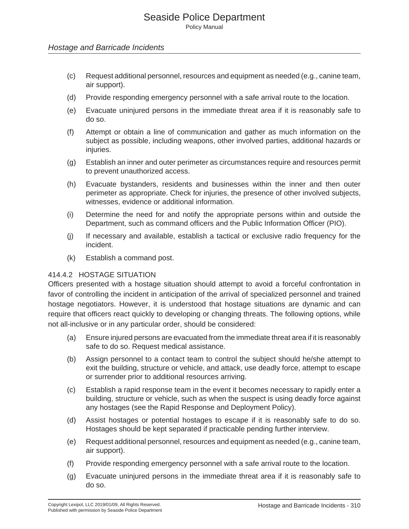# Seaside Police Department

Policy Manual

#### *Hostage and Barricade Incidents*

- (c) Request additional personnel, resources and equipment as needed (e.g., canine team, air support).
- (d) Provide responding emergency personnel with a safe arrival route to the location.
- (e) Evacuate uninjured persons in the immediate threat area if it is reasonably safe to do so.
- (f) Attempt or obtain a line of communication and gather as much information on the subject as possible, including weapons, other involved parties, additional hazards or injuries.
- (g) Establish an inner and outer perimeter as circumstances require and resources permit to prevent unauthorized access.
- (h) Evacuate bystanders, residents and businesses within the inner and then outer perimeter as appropriate. Check for injuries, the presence of other involved subjects, witnesses, evidence or additional information.
- (i) Determine the need for and notify the appropriate persons within and outside the Department, such as command officers and the Public Information Officer (PIO).
- (j) If necessary and available, establish a tactical or exclusive radio frequency for the incident.
- (k) Establish a command post.

#### 414.4.2 HOSTAGE SITUATION

Officers presented with a hostage situation should attempt to avoid a forceful confrontation in favor of controlling the incident in anticipation of the arrival of specialized personnel and trained hostage negotiators. However, it is understood that hostage situations are dynamic and can require that officers react quickly to developing or changing threats. The following options, while not all-inclusive or in any particular order, should be considered:

- (a) Ensure injured persons are evacuated from the immediate threat area if it is reasonably safe to do so. Request medical assistance.
- (b) Assign personnel to a contact team to control the subject should he/she attempt to exit the building, structure or vehicle, and attack, use deadly force, attempt to escape or surrender prior to additional resources arriving.
- (c) Establish a rapid response team in the event it becomes necessary to rapidly enter a building, structure or vehicle, such as when the suspect is using deadly force against any hostages (see the Rapid Response and Deployment Policy).
- (d) Assist hostages or potential hostages to escape if it is reasonably safe to do so. Hostages should be kept separated if practicable pending further interview.
- (e) Request additional personnel, resources and equipment as needed (e.g., canine team, air support).
- (f) Provide responding emergency personnel with a safe arrival route to the location.
- (g) Evacuate uninjured persons in the immediate threat area if it is reasonably safe to do so.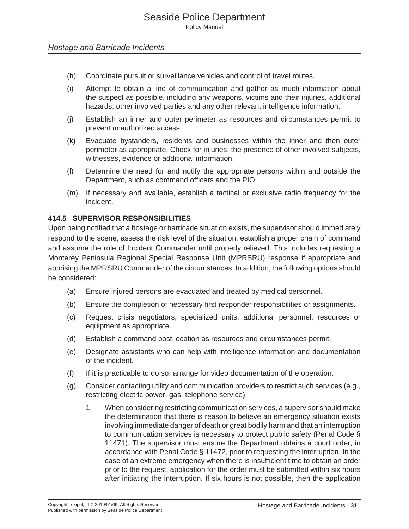## *Hostage and Barricade Incidents*

- (h) Coordinate pursuit or surveillance vehicles and control of travel routes.
- (i) Attempt to obtain a line of communication and gather as much information about the suspect as possible, including any weapons, victims and their injuries, additional hazards, other involved parties and any other relevant intelligence information.
- (j) Establish an inner and outer perimeter as resources and circumstances permit to prevent unauthorized access.
- (k) Evacuate bystanders, residents and businesses within the inner and then outer perimeter as appropriate. Check for injuries, the presence of other involved subjects, witnesses, evidence or additional information.
- (l) Determine the need for and notify the appropriate persons within and outside the Department, such as command officers and the PIO.
- (m) If necessary and available, establish a tactical or exclusive radio frequency for the incident.

#### **414.5 SUPERVISOR RESPONSIBILITIES**

Upon being notified that a hostage or barricade situation exists, the supervisor should immediately respond to the scene, assess the risk level of the situation, establish a proper chain of command and assume the role of Incident Commander until properly relieved. This includes requesting a Monterey Peninsula Regional Special Response Unit (MPRSRU) response if appropriate and apprising the MPRSRU Commander of the circumstances. In addition, the following options should be considered:

- (a) Ensure injured persons are evacuated and treated by medical personnel.
- (b) Ensure the completion of necessary first responder responsibilities or assignments.
- (c) Request crisis negotiators, specialized units, additional personnel, resources or equipment as appropriate.
- (d) Establish a command post location as resources and circumstances permit.
- (e) Designate assistants who can help with intelligence information and documentation of the incident.
- (f) If it is practicable to do so, arrange for video documentation of the operation.
- (g) Consider contacting utility and communication providers to restrict such services (e.g., restricting electric power, gas, telephone service).
	- 1. When considering restricting communication services, a supervisor should make the determination that there is reason to believe an emergency situation exists involving immediate danger of death or great bodily harm and that an interruption to communication services is necessary to protect public safety (Penal Code § 11471). The supervisor must ensure the Department obtains a court order, in accordance with Penal Code § 11472, prior to requesting the interruption. In the case of an extreme emergency when there is insufficient time to obtain an order prior to the request, application for the order must be submitted within six hours after initiating the interruption. If six hours is not possible, then the application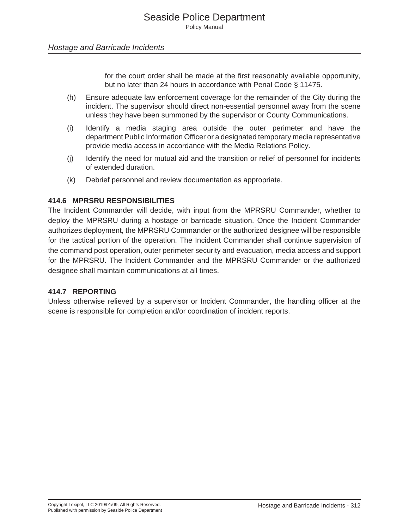for the court order shall be made at the first reasonably available opportunity, but no later than 24 hours in accordance with Penal Code § 11475.

- (h) Ensure adequate law enforcement coverage for the remainder of the City during the incident. The supervisor should direct non-essential personnel away from the scene unless they have been summoned by the supervisor or County Communications.
- (i) Identify a media staging area outside the outer perimeter and have the department Public Information Officer or a designated temporary media representative provide media access in accordance with the Media Relations Policy.
- (j) Identify the need for mutual aid and the transition or relief of personnel for incidents of extended duration.
- (k) Debrief personnel and review documentation as appropriate.

## **414.6 MPRSRU RESPONSIBILITIES**

The Incident Commander will decide, with input from the MPRSRU Commander, whether to deploy the MPRSRU during a hostage or barricade situation. Once the Incident Commander authorizes deployment, the MPRSRU Commander or the authorized designee will be responsible for the tactical portion of the operation. The Incident Commander shall continue supervision of the command post operation, outer perimeter security and evacuation, media access and support for the MPRSRU. The Incident Commander and the MPRSRU Commander or the authorized designee shall maintain communications at all times.

#### **414.7 REPORTING**

Unless otherwise relieved by a supervisor or Incident Commander, the handling officer at the scene is responsible for completion and/or coordination of incident reports.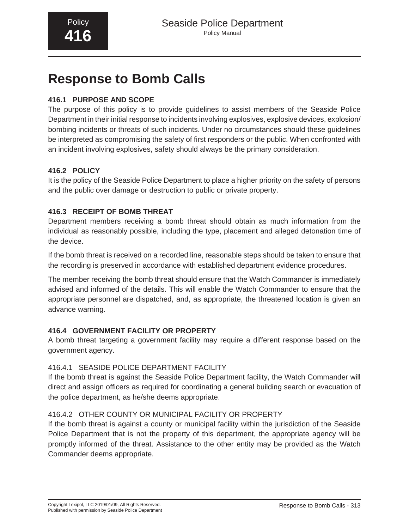# **Response to Bomb Calls**

# **416.1 PURPOSE AND SCOPE**

The purpose of this policy is to provide guidelines to assist members of the Seaside Police Department in their initial response to incidents involving explosives, explosive devices, explosion/ bombing incidents or threats of such incidents. Under no circumstances should these guidelines be interpreted as compromising the safety of first responders or the public. When confronted with an incident involving explosives, safety should always be the primary consideration.

# **416.2 POLICY**

It is the policy of the Seaside Police Department to place a higher priority on the safety of persons and the public over damage or destruction to public or private property.

# **416.3 RECEIPT OF BOMB THREAT**

Department members receiving a bomb threat should obtain as much information from the individual as reasonably possible, including the type, placement and alleged detonation time of the device.

If the bomb threat is received on a recorded line, reasonable steps should be taken to ensure that the recording is preserved in accordance with established department evidence procedures.

The member receiving the bomb threat should ensure that the Watch Commander is immediately advised and informed of the details. This will enable the Watch Commander to ensure that the appropriate personnel are dispatched, and, as appropriate, the threatened location is given an advance warning.

# **416.4 GOVERNMENT FACILITY OR PROPERTY**

A bomb threat targeting a government facility may require a different response based on the government agency.

# 416.4.1 SEASIDE POLICE DEPARTMENT FACILITY

If the bomb threat is against the Seaside Police Department facility, the Watch Commander will direct and assign officers as required for coordinating a general building search or evacuation of the police department, as he/she deems appropriate.

# 416.4.2 OTHER COUNTY OR MUNICIPAL FACILITY OR PROPERTY

If the bomb threat is against a county or municipal facility within the jurisdiction of the Seaside Police Department that is not the property of this department, the appropriate agency will be promptly informed of the threat. Assistance to the other entity may be provided as the Watch Commander deems appropriate.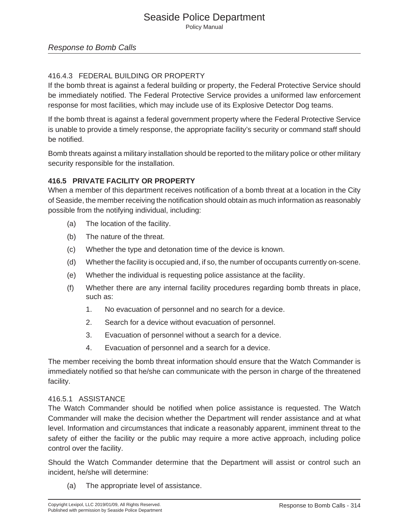# 416.4.3 FEDERAL BUILDING OR PROPERTY

If the bomb threat is against a federal building or property, the Federal Protective Service should be immediately notified. The Federal Protective Service provides a uniformed law enforcement response for most facilities, which may include use of its Explosive Detector Dog teams.

If the bomb threat is against a federal government property where the Federal Protective Service is unable to provide a timely response, the appropriate facility's security or command staff should be notified.

Bomb threats against a military installation should be reported to the military police or other military security responsible for the installation.

## **416.5 PRIVATE FACILITY OR PROPERTY**

When a member of this department receives notification of a bomb threat at a location in the City of Seaside, the member receiving the notification should obtain as much information as reasonably possible from the notifying individual, including:

- (a) The location of the facility.
- (b) The nature of the threat.
- (c) Whether the type and detonation time of the device is known.
- (d) Whether the facility is occupied and, if so, the number of occupants currently on-scene.
- (e) Whether the individual is requesting police assistance at the facility.
- (f) Whether there are any internal facility procedures regarding bomb threats in place, such as:
	- 1. No evacuation of personnel and no search for a device.
	- 2. Search for a device without evacuation of personnel.
	- 3. Evacuation of personnel without a search for a device.
	- 4. Evacuation of personnel and a search for a device.

The member receiving the bomb threat information should ensure that the Watch Commander is immediately notified so that he/she can communicate with the person in charge of the threatened facility.

#### 416.5.1 ASSISTANCE

The Watch Commander should be notified when police assistance is requested. The Watch Commander will make the decision whether the Department will render assistance and at what level. Information and circumstances that indicate a reasonably apparent, imminent threat to the safety of either the facility or the public may require a more active approach, including police control over the facility.

Should the Watch Commander determine that the Department will assist or control such an incident, he/she will determine:

(a) The appropriate level of assistance.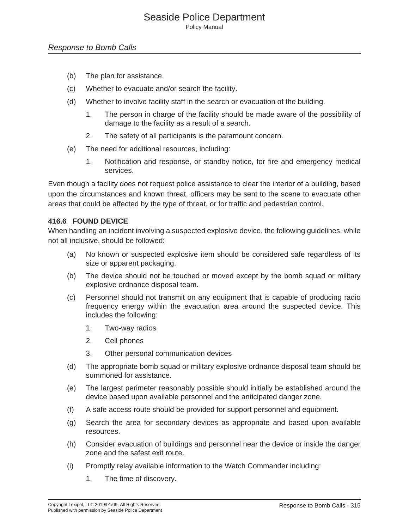- (b) The plan for assistance.
- (c) Whether to evacuate and/or search the facility.
- (d) Whether to involve facility staff in the search or evacuation of the building.
	- 1. The person in charge of the facility should be made aware of the possibility of damage to the facility as a result of a search.
	- 2. The safety of all participants is the paramount concern.
- (e) The need for additional resources, including:
	- 1. Notification and response, or standby notice, for fire and emergency medical services.

Even though a facility does not request police assistance to clear the interior of a building, based upon the circumstances and known threat, officers may be sent to the scene to evacuate other areas that could be affected by the type of threat, or for traffic and pedestrian control.

#### **416.6 FOUND DEVICE**

When handling an incident involving a suspected explosive device, the following guidelines, while not all inclusive, should be followed:

- (a) No known or suspected explosive item should be considered safe regardless of its size or apparent packaging.
- (b) The device should not be touched or moved except by the bomb squad or military explosive ordnance disposal team.
- (c) Personnel should not transmit on any equipment that is capable of producing radio frequency energy within the evacuation area around the suspected device. This includes the following:
	- 1. Two-way radios
	- 2. Cell phones
	- 3. Other personal communication devices
- (d) The appropriate bomb squad or military explosive ordnance disposal team should be summoned for assistance.
- (e) The largest perimeter reasonably possible should initially be established around the device based upon available personnel and the anticipated danger zone.
- (f) A safe access route should be provided for support personnel and equipment.
- (g) Search the area for secondary devices as appropriate and based upon available resources.
- (h) Consider evacuation of buildings and personnel near the device or inside the danger zone and the safest exit route.
- (i) Promptly relay available information to the Watch Commander including:
	- 1. The time of discovery.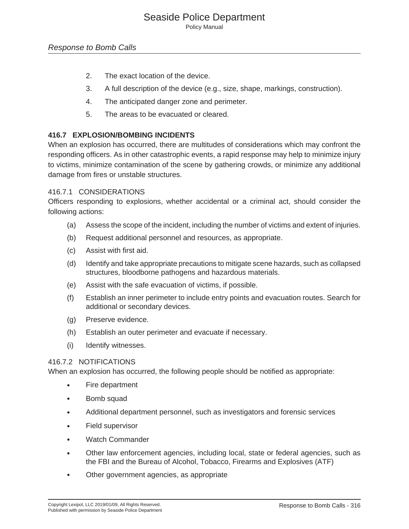Policy Manual

- 2. The exact location of the device.
- 3. A full description of the device (e.g., size, shape, markings, construction).
- 4. The anticipated danger zone and perimeter.
- 5. The areas to be evacuated or cleared.

#### **416.7 EXPLOSION/BOMBING INCIDENTS**

When an explosion has occurred, there are multitudes of considerations which may confront the responding officers. As in other catastrophic events, a rapid response may help to minimize injury to victims, minimize contamination of the scene by gathering crowds, or minimize any additional damage from fires or unstable structures.

#### 416.7.1 CONSIDERATIONS

Officers responding to explosions, whether accidental or a criminal act, should consider the following actions:

- (a) Assess the scope of the incident, including the number of victims and extent of injuries.
- (b) Request additional personnel and resources, as appropriate.
- (c) Assist with first aid.
- (d) Identify and take appropriate precautions to mitigate scene hazards, such as collapsed structures, bloodborne pathogens and hazardous materials.
- (e) Assist with the safe evacuation of victims, if possible.
- (f) Establish an inner perimeter to include entry points and evacuation routes. Search for additional or secondary devices.
- (g) Preserve evidence.
- (h) Establish an outer perimeter and evacuate if necessary.
- (i) Identify witnesses.

#### 416.7.2 NOTIFICATIONS

When an explosion has occurred, the following people should be notified as appropriate:

- Fire department
- Bomb squad
- Additional department personnel, such as investigators and forensic services
- Field supervisor
- Watch Commander
- Other law enforcement agencies, including local, state or federal agencies, such as the FBI and the Bureau of Alcohol, Tobacco, Firearms and Explosives (ATF)
- Other government agencies, as appropriate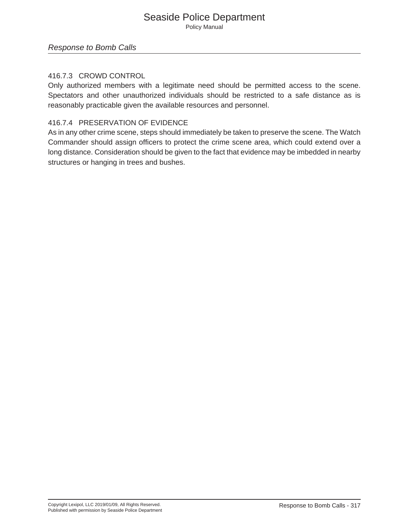### *Response to Bomb Calls*

## 416.7.3 CROWD CONTROL

Only authorized members with a legitimate need should be permitted access to the scene. Spectators and other unauthorized individuals should be restricted to a safe distance as is reasonably practicable given the available resources and personnel.

## 416.7.4 PRESERVATION OF EVIDENCE

As in any other crime scene, steps should immediately be taken to preserve the scene. The Watch Commander should assign officers to protect the crime scene area, which could extend over a long distance. Consideration should be given to the fact that evidence may be imbedded in nearby structures or hanging in trees and bushes.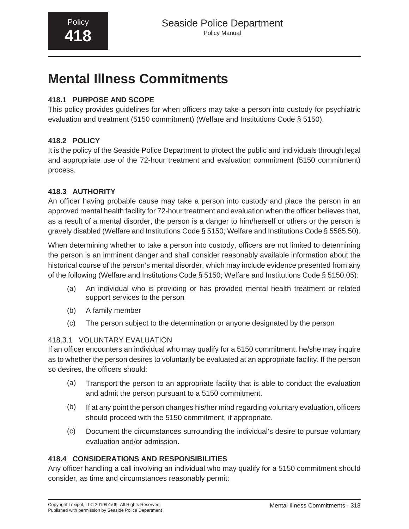# **Mental Illness Commitments**

# **418.1 PURPOSE AND SCOPE**

This policy provides guidelines for when officers may take a person into custody for psychiatric evaluation and treatment (5150 commitment) (Welfare and Institutions Code § 5150).

# **418.2 POLICY**

It is the policy of the Seaside Police Department to protect the public and individuals through legal and appropriate use of the 72-hour treatment and evaluation commitment (5150 commitment) process.

# **418.3 AUTHORITY**

An officer having probable cause may take a person into custody and place the person in an approved mental health facility for 72-hour treatment and evaluation when the officer believes that, as a result of a mental disorder, the person is a danger to him/herself or others or the person is gravely disabled (Welfare and Institutions Code § 5150; Welfare and Institutions Code § 5585.50).

When determining whether to take a person into custody, officers are not limited to determining the person is an imminent danger and shall consider reasonably available information about the historical course of the person's mental disorder, which may include evidence presented from any of the following (Welfare and Institutions Code § 5150; Welfare and Institutions Code § 5150.05):

- (a) An individual who is providing or has provided mental health treatment or related support services to the person
- (b) A family member
- (c) The person subject to the determination or anyone designated by the person

# 418.3.1 VOLUNTARY EVALUATION

If an officer encounters an individual who may qualify for a 5150 commitment, he/she may inquire as to whether the person desires to voluntarily be evaluated at an appropriate facility. If the person so desires, the officers should:

- (a) Transport the person to an appropriate facility that is able to conduct the evaluation and admit the person pursuant to a 5150 commitment.
- (b) If at any point the person changes his/her mind regarding voluntary evaluation, officers should proceed with the 5150 commitment, if appropriate.
- (c) Document the circumstances surrounding the individual's desire to pursue voluntary evaluation and/or admission.

# **418.4 CONSIDERATIONS AND RESPONSIBILITIES**

Any officer handling a call involving an individual who may qualify for a 5150 commitment should consider, as time and circumstances reasonably permit: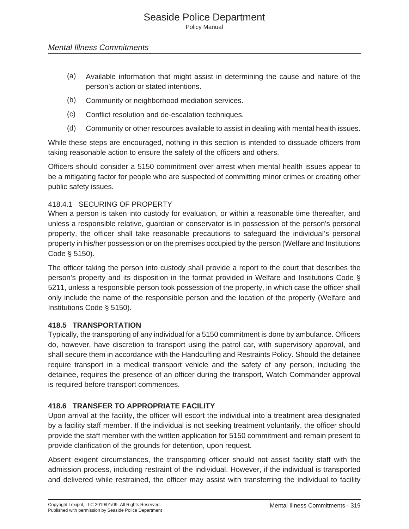- (a) Available information that might assist in determining the cause and nature of the person's action or stated intentions.
- (b) Community or neighborhood mediation services.
- (c) Conflict resolution and de-escalation techniques.
- (d) Community or other resources available to assist in dealing with mental health issues.

While these steps are encouraged, nothing in this section is intended to dissuade officers from taking reasonable action to ensure the safety of the officers and others.

Officers should consider a 5150 commitment over arrest when mental health issues appear to be a mitigating factor for people who are suspected of committing minor crimes or creating other public safety issues.

# 418.4.1 SECURING OF PROPERTY

When a person is taken into custody for evaluation, or within a reasonable time thereafter, and unless a responsible relative, guardian or conservator is in possession of the person's personal property, the officer shall take reasonable precautions to safeguard the individual's personal property in his/her possession or on the premises occupied by the person (Welfare and Institutions Code § 5150).

The officer taking the person into custody shall provide a report to the court that describes the person's property and its disposition in the format provided in Welfare and Institutions Code § 5211, unless a responsible person took possession of the property, in which case the officer shall only include the name of the responsible person and the location of the property (Welfare and Institutions Code § 5150).

# **418.5 TRANSPORTATION**

Typically, the transporting of any individual for a 5150 commitment is done by ambulance. Officers do, however, have discretion to transport using the patrol car, with supervisory approval, and shall secure them in accordance with the Handcuffing and Restraints Policy. Should the detainee require transport in a medical transport vehicle and the safety of any person, including the detainee, requires the presence of an officer during the transport, Watch Commander approval is required before transport commences.

# **418.6 TRANSFER TO APPROPRIATE FACILITY**

Upon arrival at the facility, the officer will escort the individual into a treatment area designated by a facility staff member. If the individual is not seeking treatment voluntarily, the officer should provide the staff member with the written application for 5150 commitment and remain present to provide clarification of the grounds for detention, upon request.

Absent exigent circumstances, the transporting officer should not assist facility staff with the admission process, including restraint of the individual. However, if the individual is transported and delivered while restrained, the officer may assist with transferring the individual to facility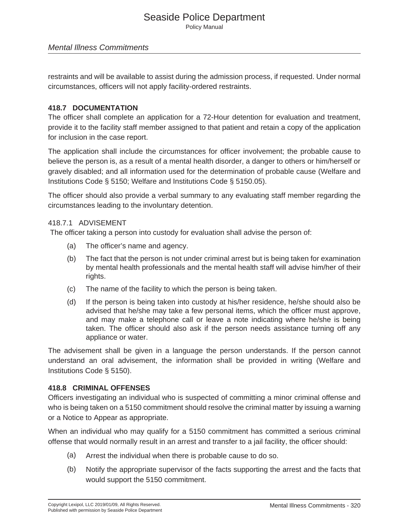## *Mental Illness Commitments*

restraints and will be available to assist during the admission process, if requested. Under normal circumstances, officers will not apply facility-ordered restraints.

#### **418.7 DOCUMENTATION**

The officer shall complete an application for a 72-Hour detention for evaluation and treatment, provide it to the facility staff member assigned to that patient and retain a copy of the application for inclusion in the case report.

The application shall include the circumstances for officer involvement; the probable cause to believe the person is, as a result of a mental health disorder, a danger to others or him/herself or gravely disabled; and all information used for the determination of probable cause (Welfare and Institutions Code § 5150; Welfare and Institutions Code § 5150.05).

The officer should also provide a verbal summary to any evaluating staff member regarding the circumstances leading to the involuntary detention.

#### 418.7.1 ADVISEMENT

The officer taking a person into custody for evaluation shall advise the person of:

- (a) The officer's name and agency.
- (b) The fact that the person is not under criminal arrest but is being taken for examination by mental health professionals and the mental health staff will advise him/her of their rights.
- (c) The name of the facility to which the person is being taken.
- (d) If the person is being taken into custody at his/her residence, he/she should also be advised that he/she may take a few personal items, which the officer must approve, and may make a telephone call or leave a note indicating where he/she is being taken. The officer should also ask if the person needs assistance turning off any appliance or water.

The advisement shall be given in a language the person understands. If the person cannot understand an oral advisement, the information shall be provided in writing (Welfare and Institutions Code § 5150).

#### **418.8 CRIMINAL OFFENSES**

Officers investigating an individual who is suspected of committing a minor criminal offense and who is being taken on a 5150 commitment should resolve the criminal matter by issuing a warning or a Notice to Appear as appropriate.

When an individual who may qualify for a 5150 commitment has committed a serious criminal offense that would normally result in an arrest and transfer to a jail facility, the officer should:

- (a) Arrest the individual when there is probable cause to do so.
- (b) Notify the appropriate supervisor of the facts supporting the arrest and the facts that would support the 5150 commitment.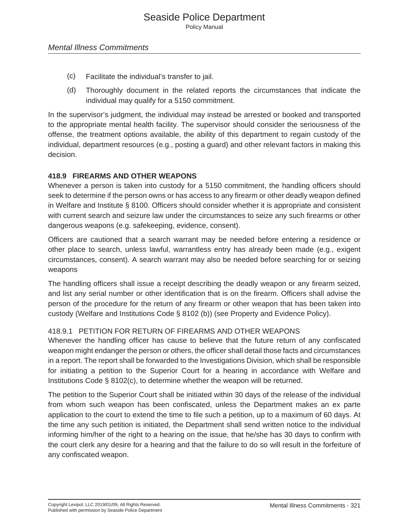- (c) Facilitate the individual's transfer to jail.
- (d) Thoroughly document in the related reports the circumstances that indicate the individual may qualify for a 5150 commitment.

In the supervisor's judgment, the individual may instead be arrested or booked and transported to the appropriate mental health facility. The supervisor should consider the seriousness of the offense, the treatment options available, the ability of this department to regain custody of the individual, department resources (e.g., posting a guard) and other relevant factors in making this decision.

## **418.9 FIREARMS AND OTHER WEAPONS**

Whenever a person is taken into custody for a 5150 commitment, the handling officers should seek to determine if the person owns or has access to any firearm or other deadly weapon defined in Welfare and Institute § 8100. Officers should consider whether it is appropriate and consistent with current search and seizure law under the circumstances to seize any such firearms or other dangerous weapons (e.g. safekeeping, evidence, consent).

Officers are cautioned that a search warrant may be needed before entering a residence or other place to search, unless lawful, warrantless entry has already been made (e.g., exigent circumstances, consent). A search warrant may also be needed before searching for or seizing weapons

The handling officers shall issue a receipt describing the deadly weapon or any firearm seized, and list any serial number or other identification that is on the firearm. Officers shall advise the person of the procedure for the return of any firearm or other weapon that has been taken into custody (Welfare and Institutions Code § 8102 (b)) (see Property and Evidence Policy).

### 418.9.1 PETITION FOR RETURN OF FIREARMS AND OTHER WEAPONS

Whenever the handling officer has cause to believe that the future return of any confiscated weapon might endanger the person or others, the officer shall detail those facts and circumstances in a report. The report shall be forwarded to the Investigations Division, which shall be responsible for initiating a petition to the Superior Court for a hearing in accordance with Welfare and Institutions Code § 8102(c), to determine whether the weapon will be returned.

The petition to the Superior Court shall be initiated within 30 days of the release of the individual from whom such weapon has been confiscated, unless the Department makes an ex parte application to the court to extend the time to file such a petition, up to a maximum of 60 days. At the time any such petition is initiated, the Department shall send written notice to the individual informing him/her of the right to a hearing on the issue, that he/she has 30 days to confirm with the court clerk any desire for a hearing and that the failure to do so will result in the forfeiture of any confiscated weapon.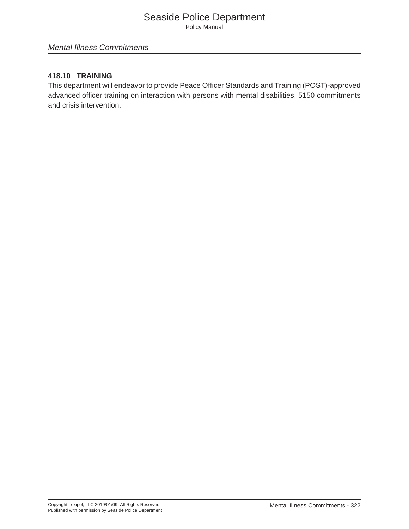# *Mental Illness Commitments*

## **418.10 TRAINING**

This department will endeavor to provide Peace Officer Standards and Training (POST)-approved advanced officer training on interaction with persons with mental disabilities, 5150 commitments and crisis intervention.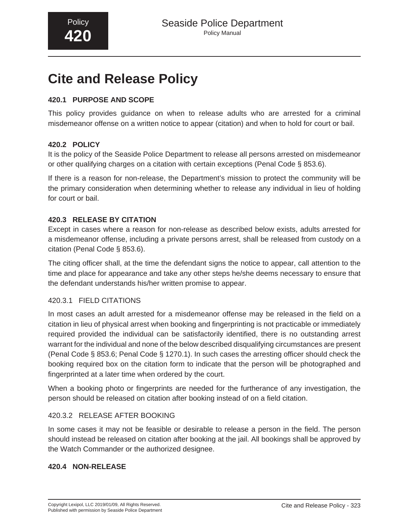# **Cite and Release Policy**

# **420.1 PURPOSE AND SCOPE**

This policy provides guidance on when to release adults who are arrested for a criminal misdemeanor offense on a written notice to appear (citation) and when to hold for court or bail.

# **420.2 POLICY**

It is the policy of the Seaside Police Department to release all persons arrested on misdemeanor or other qualifying charges on a citation with certain exceptions (Penal Code § 853.6).

If there is a reason for non-release, the Department's mission to protect the community will be the primary consideration when determining whether to release any individual in lieu of holding for court or bail.

## **420.3 RELEASE BY CITATION**

Except in cases where a reason for non-release as described below exists, adults arrested for a misdemeanor offense, including a private persons arrest, shall be released from custody on a citation (Penal Code § 853.6).

The citing officer shall, at the time the defendant signs the notice to appear, call attention to the time and place for appearance and take any other steps he/she deems necessary to ensure that the defendant understands his/her written promise to appear.

#### 420.3.1 FIELD CITATIONS

In most cases an adult arrested for a misdemeanor offense may be released in the field on a citation in lieu of physical arrest when booking and fingerprinting is not practicable or immediately required provided the individual can be satisfactorily identified, there is no outstanding arrest warrant for the individual and none of the below described disqualifying circumstances are present (Penal Code § 853.6; Penal Code § 1270.1). In such cases the arresting officer should check the booking required box on the citation form to indicate that the person will be photographed and fingerprinted at a later time when ordered by the court.

When a booking photo or fingerprints are needed for the furtherance of any investigation, the person should be released on citation after booking instead of on a field citation.

# 420.3.2 RELEASE AFTER BOOKING

In some cases it may not be feasible or desirable to release a person in the field. The person should instead be released on citation after booking at the jail. All bookings shall be approved by the Watch Commander or the authorized designee.

#### **420.4 NON-RELEASE**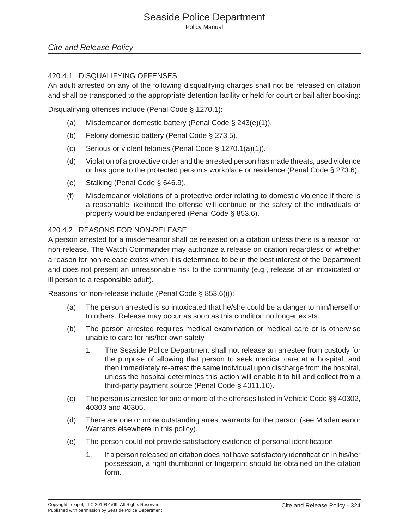## 420.4.1 DISQUALIFYING OFFENSES

An adult arrested on any of the following disqualifying charges shall not be released on citation and shall be transported to the appropriate detention facility or held for court or bail after booking:

Disqualifying offenses include (Penal Code § 1270.1):

- (a) Misdemeanor domestic battery (Penal Code § 243(e)(1)).
- (b) Felony domestic battery (Penal Code § 273.5).
- (c) Serious or violent felonies (Penal Code § 1270.1(a)(1)).
- (d) Violation of a protective order and the arrested person has made threats, used violence or has gone to the protected person's workplace or residence (Penal Code § 273.6).
- (e) Stalking (Penal Code § 646.9).
- (f) Misdemeanor violations of a protective order relating to domestic violence if there is a reasonable likelihood the offense will continue or the safety of the individuals or property would be endangered (Penal Code § 853.6).

#### 420.4.2 REASONS FOR NON-RELEASE

A person arrested for a misdemeanor shall be released on a citation unless there is a reason for non-release. The Watch Commander may authorize a release on citation regardless of whether a reason for non-release exists when it is determined to be in the best interest of the Department and does not present an unreasonable risk to the community (e.g., release of an intoxicated or ill person to a responsible adult).

Reasons for non-release include (Penal Code § 853.6(i)):

- (a) The person arrested is so intoxicated that he/she could be a danger to him/herself or to others. Release may occur as soon as this condition no longer exists.
- (b) The person arrested requires medical examination or medical care or is otherwise unable to care for his/her own safety
	- 1. The Seaside Police Department shall not release an arrestee from custody for the purpose of allowing that person to seek medical care at a hospital, and then immediately re-arrest the same individual upon discharge from the hospital, unless the hospital determines this action will enable it to bill and collect from a third-party payment source (Penal Code § 4011.10).
- (c) The person is arrested for one or more of the offenses listed in Vehicle Code §§ 40302, 40303 and 40305.
- (d) There are one or more outstanding arrest warrants for the person (see Misdemeanor Warrants elsewhere in this policy).
- (e) The person could not provide satisfactory evidence of personal identification.
	- 1. If a person released on citation does not have satisfactory identification in his/her possession, a right thumbprint or fingerprint should be obtained on the citation form.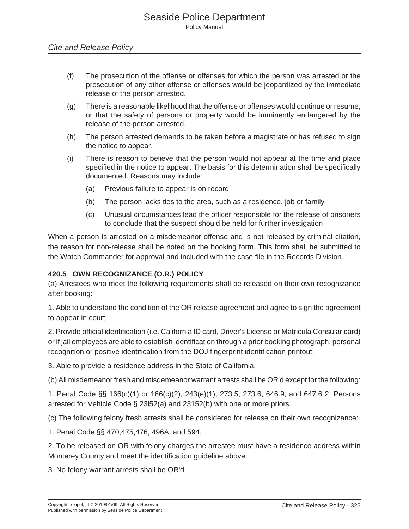- (f) The prosecution of the offense or offenses for which the person was arrested or the prosecution of any other offense or offenses would be jeopardized by the immediate release of the person arrested.
- (g) There is a reasonable likelihood that the offense or offenses would continue or resume, or that the safety of persons or property would be imminently endangered by the release of the person arrested.
- (h) The person arrested demands to be taken before a magistrate or has refused to sign the notice to appear.
- (i) There is reason to believe that the person would not appear at the time and place specified in the notice to appear. The basis for this determination shall be specifically documented. Reasons may include:
	- (a) Previous failure to appear is on record
	- (b) The person lacks ties to the area, such as a residence, job or family
	- (c) Unusual circumstances lead the officer responsible for the release of prisoners to conclude that the suspect should be held for further investigation

When a person is arrested on a misdemeanor offense and is not released by criminal citation, the reason for non-release shall be noted on the booking form. This form shall be submitted to the Watch Commander for approval and included with the case file in the Records Division.

# **420.5 OWN RECOGNIZANCE (O.R.) POLICY**

(a) Arrestees who meet the following requirements shall be released on their own recognizance after booking:

1. Able to understand the condition of the OR release agreement and agree to sign the agreement to appear in court.

2. Provide official identification (i.e. California ID card, Driver's License or Matricula Consular card) or if jail employees are able to establish identification through a prior booking photograph, personal recognition or positive identification from the DOJ fingerprint identification printout.

3. Able to provide a residence address in the State of California.

(b) All misdemeanor fresh and misdemeanor warrant arrests shall be OR'd except for the following:

1. Penal Code §§ 166(c)(1) or 166(c)(2), 243(e)(1), 273.5, 273.6, 646.9, and 647.6 2. Persons arrested for Vehicle Code § 23l52(a) and 23152(b) with one or more priors.

(c) The following felony fresh arrests shall be considered for release on their own recognizance:

1. Penal Code §§ 470,475,476, 496A, and 594.

2. To be released on OR with felony charges the arrestee must have a residence address within Monterey County and meet the identification guideline above.

3. No felony warrant arrests shall be OR'd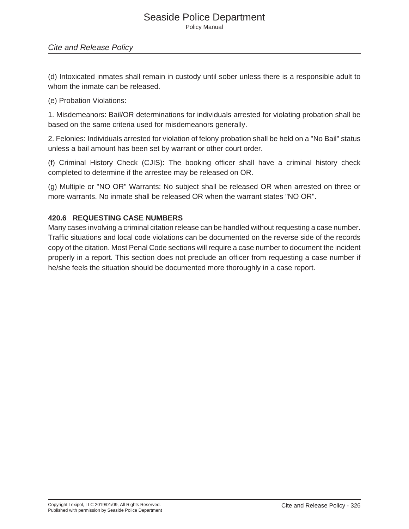## *Cite and Release Policy*

(d) Intoxicated inmates shall remain in custody until sober unless there is a responsible adult to whom the inmate can be released.

(e) Probation Violations:

1. Misdemeanors: Bail/OR determinations for individuals arrested for violating probation shall be based on the same criteria used for misdemeanors generally.

2. Felonies: Individuals arrested for violation of felony probation shall be held on a "No Bail" status unless a bail amount has been set by warrant or other court order.

(f) Criminal History Check (CJIS): The booking officer shall have a criminal history check completed to determine if the arrestee may be released on OR.

(g) Multiple or "NO OR" Warrants: No subject shall be released OR when arrested on three or more warrants. No inmate shall be released OR when the warrant states "NO OR".

### **420.6 REQUESTING CASE NUMBERS**

Many cases involving a criminal citation release can be handled without requesting a case number. Traffic situations and local code violations can be documented on the reverse side of the records copy of the citation. Most Penal Code sections will require a case number to document the incident properly in a report. This section does not preclude an officer from requesting a case number if he/she feels the situation should be documented more thoroughly in a case report.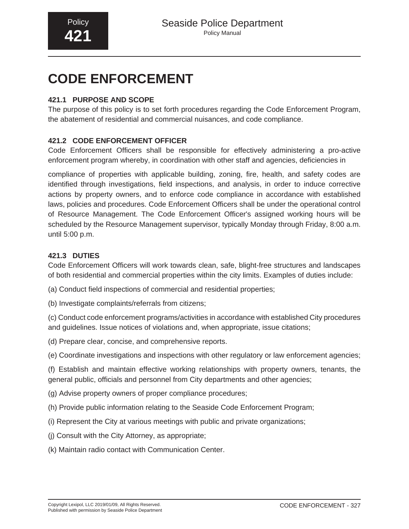# **CODE ENFORCEMENT**

# **421.1 PURPOSE AND SCOPE**

The purpose of this policy is to set forth procedures regarding the Code Enforcement Program, the abatement of residential and commercial nuisances, and code compliance.

# **421.2 CODE ENFORCEMENT OFFICER**

Code Enforcement Officers shall be responsible for effectively administering a pro-active enforcement program whereby, in coordination with other staff and agencies, deficiencies in

compliance of properties with applicable building, zoning, fire, health, and safety codes are identified through investigations, field inspections, and analysis, in order to induce corrective actions by property owners, and to enforce code compliance in accordance with established laws, policies and procedures. Code Enforcement Officers shall be under the operational control of Resource Management. The Code Enforcement Officer's assigned working hours will be scheduled by the Resource Management supervisor, typically Monday through Friday, 8:00 a.m. until 5:00 p.m.

# **421.3 DUTIES**

Code Enforcement Officers will work towards clean, safe, blight-free structures and landscapes of both residential and commercial properties within the city limits. Examples of duties include:

(a) Conduct field inspections of commercial and residential properties;

(b) Investigate complaints/referrals from citizens;

(c) Conduct code enforcement programs/activities in accordance with established City procedures and guidelines. Issue notices of violations and, when appropriate, issue citations;

(d) Prepare clear, concise, and comprehensive reports.

(e) Coordinate investigations and inspections with other regulatory or law enforcement agencies;

(f) Establish and maintain effective working relationships with property owners, tenants, the general public, officials and personnel from City departments and other agencies;

- (g) Advise property owners of proper compliance procedures;
- (h) Provide public information relating to the Seaside Code Enforcement Program;
- (i) Represent the City at various meetings with public and private organizations;
- (j) Consult with the City Attorney, as appropriate;
- (k) Maintain radio contact with Communication Center.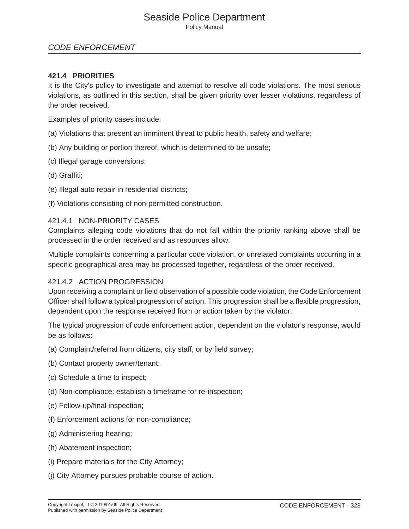*CODE ENFORCEMENT*

## **421.4 PRIORITIES**

It is the City's policy to investigate and attempt to resolve all code violations. The most serious violations, as outlined in this section, shall be given priority over lesser violations, regardless of the order received.

Examples of priority cases include:

- (a) Violations that present an imminent threat to public health, safety and welfare;
- (b) Any building or portion thereof, which is determined to be unsafe;
- (c) Illegal garage conversions;
- (d) Graffiti;
- (e) Illegal auto repair in residential districts;
- (f) Violations consisting of non-permitted construction.

#### 421.4.1 NON-PRIORITY CASES

Complaints alleging code violations that do not fall within the priority ranking above shall be processed in the order received and as resources allow.

Multiple complaints concerning a particular code violation, or unrelated complaints occurring in a specific geographical area may be processed together, regardless of the order received.

#### 421.4.2 ACTION PROGRESSION

Upon receiving a complaint or field observation of a possible code violation, the Code Enforcement Officer shall follow a typical progression of action. This progression shall be a flexible progression, dependent upon the response received from or action taken by the violator.

The typical progression of code enforcement action, dependent on the violator's response, would be as follows:

- (a) Complaint/referral from citizens, city staff, or by field survey;
- (b) Contact property owner/tenant;
- (c) Schedule a time to inspect;
- (d) Non-compliance: establish a timeframe for re-inspection;
- (e) Follow-up/final inspection;
- (f) Enforcement actions for non-compliance;
- (g) Administering hearing;
- (h) Abatement inspection;
- (i) Prepare materials for the City Attorney;
- (j) City Attorney pursues probable course of action.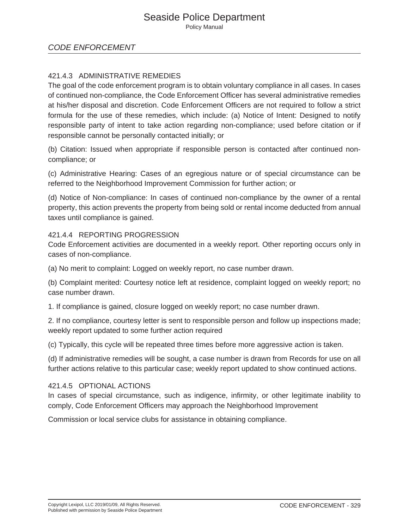# *CODE ENFORCEMENT*

## 421.4.3 ADMINISTRATIVE REMEDIES

The goal of the code enforcement program is to obtain voluntary compliance in all cases. In cases of continued non-compliance, the Code Enforcement Officer has several administrative remedies at his/her disposal and discretion. Code Enforcement Officers are not required to follow a strict formula for the use of these remedies, which include: (a) Notice of Intent: Designed to notify responsible party of intent to take action regarding non-compliance; used before citation or if responsible cannot be personally contacted initially; or

(b) Citation: Issued when appropriate if responsible person is contacted after continued noncompliance; or

(c) Administrative Hearing: Cases of an egregious nature or of special circumstance can be referred to the Neighborhood Improvement Commission for further action; or

(d) Notice of Non-compliance: In cases of continued non-compliance by the owner of a rental property, this action prevents the property from being sold or rental income deducted from annual taxes until compliance is gained.

#### 421.4.4 REPORTING PROGRESSION

Code Enforcement activities are documented in a weekly report. Other reporting occurs only in cases of non-compliance.

(a) No merit to complaint: Logged on weekly report, no case number drawn.

(b) Complaint merited: Courtesy notice left at residence, complaint logged on weekly report; no case number drawn.

1. If compliance is gained, closure logged on weekly report; no case number drawn.

2. If no compliance, courtesy letter is sent to responsible person and follow up inspections made; weekly report updated to some further action required

(c) Typically, this cycle will be repeated three times before more aggressive action is taken.

(d) If administrative remedies will be sought, a case number is drawn from Records for use on all further actions relative to this particular case; weekly report updated to show continued actions.

#### 421.4.5 OPTIONAL ACTIONS

In cases of special circumstance, such as indigence, infirmity, or other legitimate inability to comply, Code Enforcement Officers may approach the Neighborhood Improvement

Commission or local service clubs for assistance in obtaining compliance.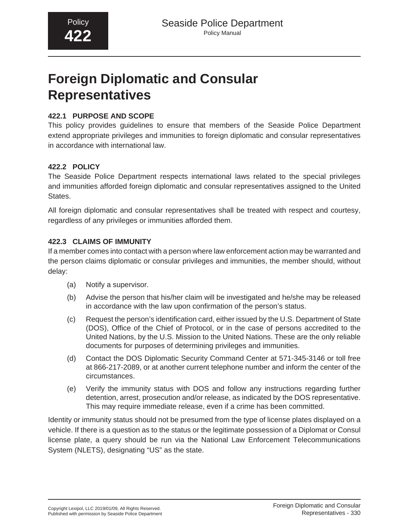# **Foreign Diplomatic and Consular Representatives**

# **422.1 PURPOSE AND SCOPE**

This policy provides guidelines to ensure that members of the Seaside Police Department extend appropriate privileges and immunities to foreign diplomatic and consular representatives in accordance with international law.

# **422.2 POLICY**

The Seaside Police Department respects international laws related to the special privileges and immunities afforded foreign diplomatic and consular representatives assigned to the United States.

All foreign diplomatic and consular representatives shall be treated with respect and courtesy, regardless of any privileges or immunities afforded them.

# **422.3 CLAIMS OF IMMUNITY**

If a member comes into contact with a person where law enforcement action may be warranted and the person claims diplomatic or consular privileges and immunities, the member should, without delay:

- (a) Notify a supervisor.
- (b) Advise the person that his/her claim will be investigated and he/she may be released in accordance with the law upon confirmation of the person's status.
- (c) Request the person's identification card, either issued by the U.S. Department of State (DOS), Office of the Chief of Protocol, or in the case of persons accredited to the United Nations, by the U.S. Mission to the United Nations. These are the only reliable documents for purposes of determining privileges and immunities.
- (d) Contact the DOS Diplomatic Security Command Center at 571-345-3146 or toll free at 866-217-2089, or at another current telephone number and inform the center of the circumstances.
- (e) Verify the immunity status with DOS and follow any instructions regarding further detention, arrest, prosecution and/or release, as indicated by the DOS representative. This may require immediate release, even if a crime has been committed.

Identity or immunity status should not be presumed from the type of license plates displayed on a vehicle. If there is a question as to the status or the legitimate possession of a Diplomat or Consul license plate, a query should be run via the National Law Enforcement Telecommunications System (NLETS), designating "US" as the state.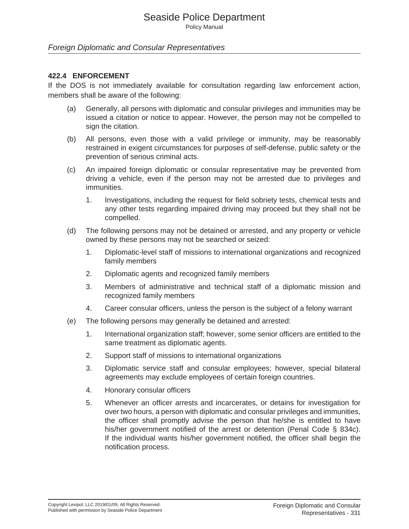Policy Manual

#### *Foreign Diplomatic and Consular Representatives*

#### **422.4 ENFORCEMENT**

If the DOS is not immediately available for consultation regarding law enforcement action, members shall be aware of the following:

- (a) Generally, all persons with diplomatic and consular privileges and immunities may be issued a citation or notice to appear. However, the person may not be compelled to sign the citation.
- (b) All persons, even those with a valid privilege or immunity, may be reasonably restrained in exigent circumstances for purposes of self-defense, public safety or the prevention of serious criminal acts.
- (c) An impaired foreign diplomatic or consular representative may be prevented from driving a vehicle, even if the person may not be arrested due to privileges and immunities.
	- 1. Investigations, including the request for field sobriety tests, chemical tests and any other tests regarding impaired driving may proceed but they shall not be compelled.
- (d) The following persons may not be detained or arrested, and any property or vehicle owned by these persons may not be searched or seized:
	- 1. Diplomatic-level staff of missions to international organizations and recognized family members
	- 2. Diplomatic agents and recognized family members
	- 3. Members of administrative and technical staff of a diplomatic mission and recognized family members
	- 4. Career consular officers, unless the person is the subject of a felony warrant
- (e) The following persons may generally be detained and arrested:
	- 1. International organization staff; however, some senior officers are entitled to the same treatment as diplomatic agents.
	- 2. Support staff of missions to international organizations
	- 3. Diplomatic service staff and consular employees; however, special bilateral agreements may exclude employees of certain foreign countries.
	- 4. Honorary consular officers
	- 5. Whenever an officer arrests and incarcerates, or detains for investigation for over two hours, a person with diplomatic and consular privileges and immunities, the officer shall promptly advise the person that he/she is entitled to have his/her government notified of the arrest or detention (Penal Code § 834c). If the individual wants his/her government notified, the officer shall begin the notification process.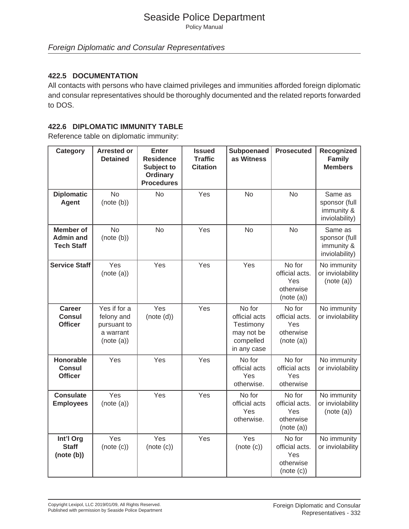Policy Manual

## *Foreign Diplomatic and Consular Representatives*

## **422.5 DOCUMENTATION**

All contacts with persons who have claimed privileges and immunities afforded foreign diplomatic and consular representatives should be thoroughly documented and the related reports forwarded to DOS.

## **422.6 DIPLOMATIC IMMUNITY TABLE**

Reference table on diplomatic immunity:

| <b>Category</b>                                           | <b>Arrested or</b><br><b>Detained</b>                                | <b>Enter</b><br><b>Residence</b><br>Subject to<br><b>Ordinary</b><br><b>Procedures</b> | <b>Issued</b><br><b>Traffic</b><br><b>Citation</b> | Subpoenaed<br>as Witness                                                       | <b>Prosecuted</b>                                          | Recognized<br><b>Family</b><br><b>Members</b>            |
|-----------------------------------------------------------|----------------------------------------------------------------------|----------------------------------------------------------------------------------------|----------------------------------------------------|--------------------------------------------------------------------------------|------------------------------------------------------------|----------------------------------------------------------|
| <b>Diplomatic</b><br><b>Agent</b>                         | <b>No</b><br>(note(b))                                               | <b>No</b>                                                                              | Yes                                                | <b>No</b>                                                                      | <b>No</b>                                                  | Same as<br>sponsor (full<br>immunity &<br>inviolability) |
| <b>Member of</b><br><b>Admin and</b><br><b>Tech Staff</b> | <b>No</b><br>(note(b))                                               | <b>No</b>                                                                              | Yes                                                | <b>No</b>                                                                      | <b>No</b>                                                  | Same as<br>sponsor (full<br>immunity &<br>inviolability) |
| <b>Service Staff</b>                                      | Yes<br>(note (a))                                                    | Yes                                                                                    | Yes                                                | Yes                                                                            | No for<br>official acts.<br>Yes<br>otherwise<br>(note (a)) | No immunity<br>or inviolability<br>(note (a))            |
| <b>Career</b><br><b>Consul</b><br><b>Officer</b>          | Yes if for a<br>felony and<br>pursuant to<br>a warrant<br>(note (a)) | Yes<br>(note(d))                                                                       | Yes                                                | No for<br>official acts<br>Testimony<br>may not be<br>compelled<br>in any case | No for<br>official acts.<br>Yes<br>otherwise<br>(note (a)) | No immunity<br>or inviolability                          |
| <b>Honorable</b><br><b>Consul</b><br><b>Officer</b>       | Yes                                                                  | Yes                                                                                    | Yes                                                | No for<br>official acts<br>Yes<br>otherwise.                                   | No for<br>official acts<br>Yes<br>otherwise                | No immunity<br>or inviolability                          |
| <b>Consulate</b><br><b>Employees</b>                      | Yes<br>(note (a))                                                    | Yes                                                                                    | Yes                                                | No for<br>official acts<br>Yes<br>otherwise.                                   | No for<br>official acts.<br>Yes<br>otherwise<br>(note (a)) | No immunity<br>or inviolability<br>(note (a))            |
| Int'l Org<br><b>Staff</b><br>(note (b))                   | Yes<br>(note (c))                                                    | Yes<br>(note (c))                                                                      | Yes                                                | Yes<br>(note (c))                                                              | No for<br>official acts.<br>Yes<br>otherwise<br>(note (c)) | No immunity<br>or inviolability                          |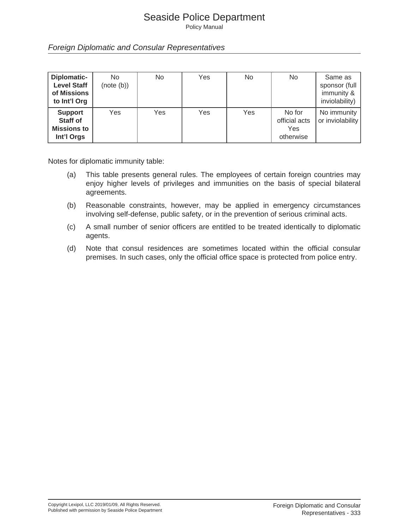Policy Manual

## *Foreign Diplomatic and Consular Representatives*

| Diplomatic-<br><b>Level Staff</b><br>of Missions<br>to Int'l Org      | No.<br>(note (b)) | N <sub>o</sub> | Yes | <b>No</b> | No                                          | Same as<br>sponsor (full<br>immunity &<br>inviolability) |
|-----------------------------------------------------------------------|-------------------|----------------|-----|-----------|---------------------------------------------|----------------------------------------------------------|
| <b>Support</b><br><b>Staff of</b><br><b>Missions to</b><br>Int'l Orgs | Yes               | Yes            | Yes | Yes       | No for<br>official acts<br>Yes<br>otherwise | No immunity<br>or inviolability                          |

Notes for diplomatic immunity table:

- (a) This table presents general rules. The employees of certain foreign countries may enjoy higher levels of privileges and immunities on the basis of special bilateral agreements.
- (b) Reasonable constraints, however, may be applied in emergency circumstances involving self-defense, public safety, or in the prevention of serious criminal acts.
- (c) A small number of senior officers are entitled to be treated identically to diplomatic agents.
- (d) Note that consul residences are sometimes located within the official consular premises. In such cases, only the official office space is protected from police entry.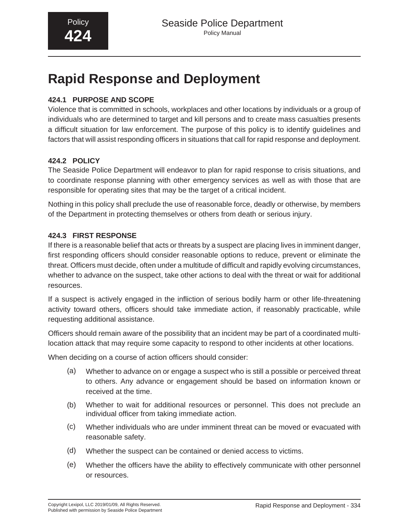# **Rapid Response and Deployment**

# **424.1 PURPOSE AND SCOPE**

Violence that is committed in schools, workplaces and other locations by individuals or a group of individuals who are determined to target and kill persons and to create mass casualties presents a difficult situation for law enforcement. The purpose of this policy is to identify guidelines and factors that will assist responding officers in situations that call for rapid response and deployment.

# **424.2 POLICY**

The Seaside Police Department will endeavor to plan for rapid response to crisis situations, and to coordinate response planning with other emergency services as well as with those that are responsible for operating sites that may be the target of a critical incident.

Nothing in this policy shall preclude the use of reasonable force, deadly or otherwise, by members of the Department in protecting themselves or others from death or serious injury.

# **424.3 FIRST RESPONSE**

If there is a reasonable belief that acts or threats by a suspect are placing lives in imminent danger, first responding officers should consider reasonable options to reduce, prevent or eliminate the threat. Officers must decide, often under a multitude of difficult and rapidly evolving circumstances, whether to advance on the suspect, take other actions to deal with the threat or wait for additional resources.

If a suspect is actively engaged in the infliction of serious bodily harm or other life-threatening activity toward others, officers should take immediate action, if reasonably practicable, while requesting additional assistance.

Officers should remain aware of the possibility that an incident may be part of a coordinated multilocation attack that may require some capacity to respond to other incidents at other locations.

When deciding on a course of action officers should consider:

- (a) Whether to advance on or engage a suspect who is still a possible or perceived threat to others. Any advance or engagement should be based on information known or received at the time.
- (b) Whether to wait for additional resources or personnel. This does not preclude an individual officer from taking immediate action.
- (c) Whether individuals who are under imminent threat can be moved or evacuated with reasonable safety.
- (d) Whether the suspect can be contained or denied access to victims.
- (e) Whether the officers have the ability to effectively communicate with other personnel or resources.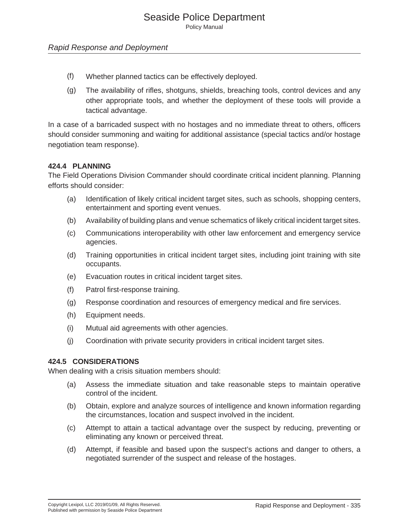# *Rapid Response and Deployment*

- (f) Whether planned tactics can be effectively deployed.
- (g) The availability of rifles, shotguns, shields, breaching tools, control devices and any other appropriate tools, and whether the deployment of these tools will provide a tactical advantage.

In a case of a barricaded suspect with no hostages and no immediate threat to others, officers should consider summoning and waiting for additional assistance (special tactics and/or hostage negotiation team response).

## **424.4 PLANNING**

The Field Operations Division Commander should coordinate critical incident planning. Planning efforts should consider:

- (a) Identification of likely critical incident target sites, such as schools, shopping centers, entertainment and sporting event venues.
- (b) Availability of building plans and venue schematics of likely critical incident target sites.
- (c) Communications interoperability with other law enforcement and emergency service agencies.
- (d) Training opportunities in critical incident target sites, including joint training with site occupants.
- (e) Evacuation routes in critical incident target sites.
- (f) Patrol first-response training.
- (g) Response coordination and resources of emergency medical and fire services.
- (h) Equipment needs.
- (i) Mutual aid agreements with other agencies.
- (j) Coordination with private security providers in critical incident target sites.

#### **424.5 CONSIDERATIONS**

When dealing with a crisis situation members should:

- (a) Assess the immediate situation and take reasonable steps to maintain operative control of the incident.
- (b) Obtain, explore and analyze sources of intelligence and known information regarding the circumstances, location and suspect involved in the incident.
- (c) Attempt to attain a tactical advantage over the suspect by reducing, preventing or eliminating any known or perceived threat.
- (d) Attempt, if feasible and based upon the suspect's actions and danger to others, a negotiated surrender of the suspect and release of the hostages.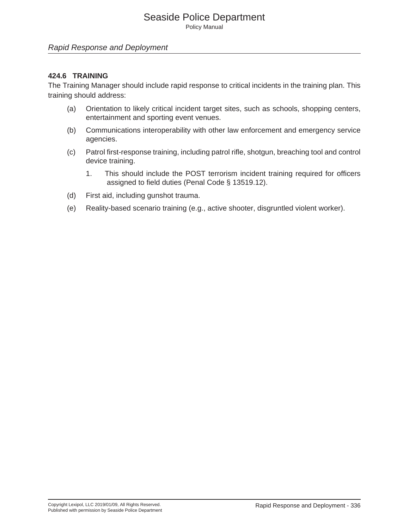## *Rapid Response and Deployment*

#### **424.6 TRAINING**

The Training Manager should include rapid response to critical incidents in the training plan. This training should address:

- (a) Orientation to likely critical incident target sites, such as schools, shopping centers, entertainment and sporting event venues.
- (b) Communications interoperability with other law enforcement and emergency service agencies.
- (c) Patrol first-response training, including patrol rifle, shotgun, breaching tool and control device training.
	- 1. This should include the POST terrorism incident training required for officers assigned to field duties (Penal Code § 13519.12).
- (d) First aid, including gunshot trauma.
- (e) Reality-based scenario training (e.g., active shooter, disgruntled violent worker).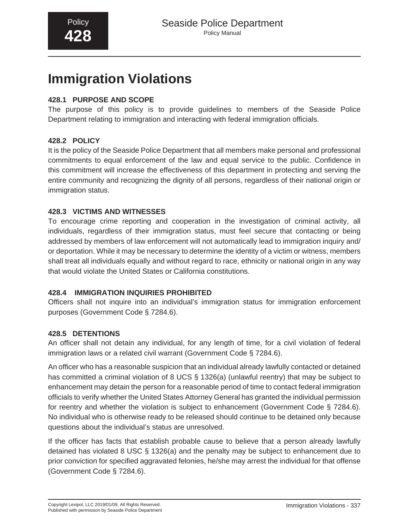# **Immigration Violations**

# **428.1 PURPOSE AND SCOPE**

The purpose of this policy is to provide guidelines to members of the Seaside Police Department relating to immigration and interacting with federal immigration officials.

# **428.2 POLICY**

It is the policy of the Seaside Police Department that all members make personal and professional commitments to equal enforcement of the law and equal service to the public. Confidence in this commitment will increase the effectiveness of this department in protecting and serving the entire community and recognizing the dignity of all persons, regardless of their national origin or immigration status.

# **428.3 VICTIMS AND WITNESSES**

To encourage crime reporting and cooperation in the investigation of criminal activity, all individuals, regardless of their immigration status, must feel secure that contacting or being addressed by members of law enforcement will not automatically lead to immigration inquiry and/ or deportation. While it may be necessary to determine the identity of a victim or witness, members shall treat all individuals equally and without regard to race, ethnicity or national origin in any way that would violate the United States or California constitutions.

# **428.4 IMMIGRATION INQUIRIES PROHIBITED**

Officers shall not inquire into an individual's immigration status for immigration enforcement purposes (Government Code § 7284.6).

# **428.5 DETENTIONS**

An officer shall not detain any individual, for any length of time, for a civil violation of federal immigration laws or a related civil warrant (Government Code § 7284.6).

An officer who has a reasonable suspicion that an individual already lawfully contacted or detained has committed a criminal violation of 8 UCS § 1326(a) (unlawful reentry) that may be subject to enhancement may detain the person for a reasonable period of time to contact federal immigration officials to verify whether the United States Attorney General has granted the individual permission for reentry and whether the violation is subject to enhancement (Government Code § 7284.6). No individual who is otherwise ready to be released should continue to be detained only because questions about the individual's status are unresolved.

If the officer has facts that establish probable cause to believe that a person already lawfully detained has violated 8 USC § 1326(a) and the penalty may be subject to enhancement due to prior conviction for specified aggravated felonies, he/she may arrest the individual for that offense (Government Code § 7284.6).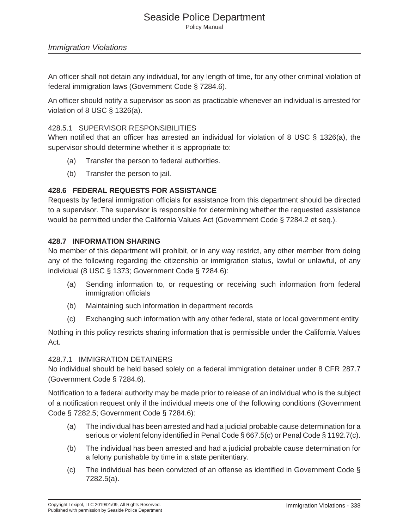## *Immigration Violations*

An officer shall not detain any individual, for any length of time, for any other criminal violation of federal immigration laws (Government Code § 7284.6).

An officer should notify a supervisor as soon as practicable whenever an individual is arrested for violation of 8 USC § 1326(a).

#### 428.5.1 SUPERVISOR RESPONSIBILITIES

When notified that an officer has arrested an individual for violation of 8 USC § 1326(a), the supervisor should determine whether it is appropriate to:

- (a) Transfer the person to federal authorities.
- (b) Transfer the person to jail.

#### **428.6 FEDERAL REQUESTS FOR ASSISTANCE**

Requests by federal immigration officials for assistance from this department should be directed to a supervisor. The supervisor is responsible for determining whether the requested assistance would be permitted under the California Values Act (Government Code § 7284.2 et seq.).

#### **428.7 INFORMATION SHARING**

No member of this department will prohibit, or in any way restrict, any other member from doing any of the following regarding the citizenship or immigration status, lawful or unlawful, of any individual (8 USC § 1373; Government Code § 7284.6):

- (a) Sending information to, or requesting or receiving such information from federal immigration officials
- (b) Maintaining such information in department records
- (c) Exchanging such information with any other federal, state or local government entity

Nothing in this policy restricts sharing information that is permissible under the California Values Act.

#### 428.7.1 IMMIGRATION DETAINERS

No individual should be held based solely on a federal immigration detainer under 8 CFR 287.7 (Government Code § 7284.6).

Notification to a federal authority may be made prior to release of an individual who is the subject of a notification request only if the individual meets one of the following conditions (Government Code § 7282.5; Government Code § 7284.6):

- (a) The individual has been arrested and had a judicial probable cause determination for a serious or violent felony identified in Penal Code § 667.5(c) or Penal Code § 1192.7(c).
- (b) The individual has been arrested and had a judicial probable cause determination for a felony punishable by time in a state penitentiary.
- (c) The individual has been convicted of an offense as identified in Government Code § 7282.5(a).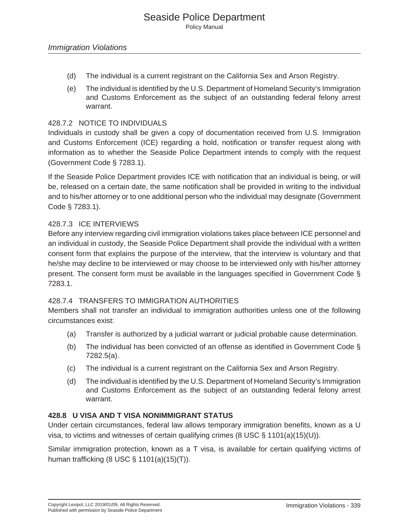- (d) The individual is a current registrant on the California Sex and Arson Registry.
- (e) The individual is identified by the U.S. Department of Homeland Security's Immigration and Customs Enforcement as the subject of an outstanding federal felony arrest warrant.

## 428.7.2 NOTICE TO INDIVIDUALS

Individuals in custody shall be given a copy of documentation received from U.S. Immigration and Customs Enforcement (ICE) regarding a hold, notification or transfer request along with information as to whether the Seaside Police Department intends to comply with the request (Government Code § 7283.1).

If the Seaside Police Department provides ICE with notification that an individual is being, or will be, released on a certain date, the same notification shall be provided in writing to the individual and to his/her attorney or to one additional person who the individual may designate (Government Code § 7283.1).

#### 428.7.3 ICE INTERVIEWS

Before any interview regarding civil immigration violations takes place between ICE personnel and an individual in custody, the Seaside Police Department shall provide the individual with a written consent form that explains the purpose of the interview, that the interview is voluntary and that he/she may decline to be interviewed or may choose to be interviewed only with his/her attorney present. The consent form must be available in the languages specified in Government Code § 7283.1.

#### 428.7.4 TRANSFERS TO IMMIGRATION AUTHORITIES

Members shall not transfer an individual to immigration authorities unless one of the following circumstances exist:

- (a) Transfer is authorized by a judicial warrant or judicial probable cause determination.
- (b) The individual has been convicted of an offense as identified in Government Code § 7282.5(a).
- (c) The individual is a current registrant on the California Sex and Arson Registry.
- (d) The individual is identified by the U.S. Department of Homeland Security's Immigration and Customs Enforcement as the subject of an outstanding federal felony arrest warrant.

## **428.8 U VISA AND T VISA NONIMMIGRANT STATUS**

Under certain circumstances, federal law allows temporary immigration benefits, known as a U visa, to victims and witnesses of certain qualifying crimes (8 USC  $\S$  1101(a)(15)(U)).

Similar immigration protection, known as a T visa, is available for certain qualifying victims of human trafficking (8 USC § 1101(a)(15)(T)).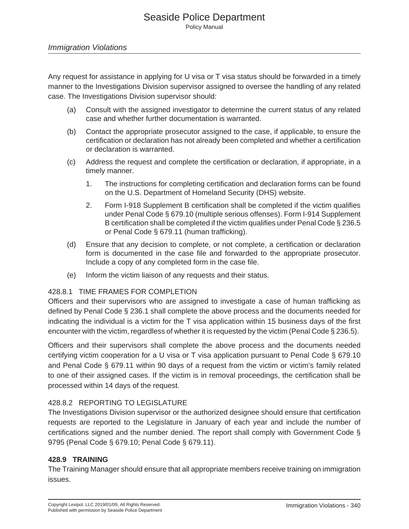## *Immigration Violations*

Any request for assistance in applying for U visa or T visa status should be forwarded in a timely manner to the Investigations Division supervisor assigned to oversee the handling of any related case. The Investigations Division supervisor should:

- (a) Consult with the assigned investigator to determine the current status of any related case and whether further documentation is warranted.
- (b) Contact the appropriate prosecutor assigned to the case, if applicable, to ensure the certification or declaration has not already been completed and whether a certification or declaration is warranted.
- (c) Address the request and complete the certification or declaration, if appropriate, in a timely manner.
	- 1. The instructions for completing certification and declaration forms can be found on the U.S. Department of Homeland Security (DHS) website.
	- 2. Form I-918 Supplement B certification shall be completed if the victim qualifies under Penal Code § 679.10 (multiple serious offenses). Form I-914 Supplement B certification shall be completed if the victim qualifies under Penal Code § 236.5 or Penal Code § 679.11 (human trafficking).
- (d) Ensure that any decision to complete, or not complete, a certification or declaration form is documented in the case file and forwarded to the appropriate prosecutor. Include a copy of any completed form in the case file.
- (e) Inform the victim liaison of any requests and their status.

#### 428.8.1 TIME FRAMES FOR COMPLETION

Officers and their supervisors who are assigned to investigate a case of human trafficking as defined by Penal Code § 236.1 shall complete the above process and the documents needed for indicating the individual is a victim for the T visa application within 15 business days of the first encounter with the victim, regardless of whether it is requested by the victim (Penal Code § 236.5).

Officers and their supervisors shall complete the above process and the documents needed certifying victim cooperation for a U visa or T visa application pursuant to Penal Code § 679.10 and Penal Code § 679.11 within 90 days of a request from the victim or victim's family related to one of their assigned cases. If the victim is in removal proceedings, the certification shall be processed within 14 days of the request.

# 428.8.2 REPORTING TO LEGISLATURE

The Investigations Division supervisor or the authorized designee should ensure that certification requests are reported to the Legislature in January of each year and include the number of certifications signed and the number denied. The report shall comply with Government Code § 9795 (Penal Code § 679.10; Penal Code § 679.11).

# **428.9 TRAINING**

The Training Manager should ensure that all appropriate members receive training on immigration issues.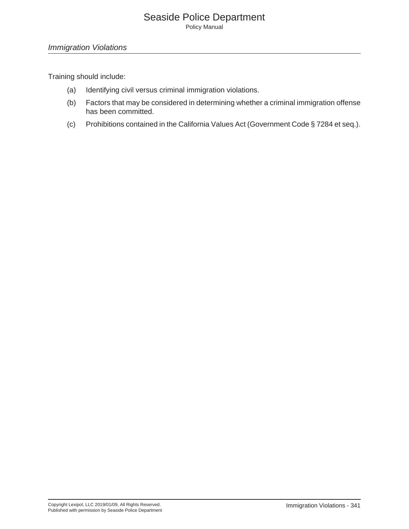### *Immigration Violations*

Training should include:

- (a) Identifying civil versus criminal immigration violations.
- (b) Factors that may be considered in determining whether a criminal immigration offense has been committed.
- (c) Prohibitions contained in the California Values Act (Government Code § 7284 et seq.).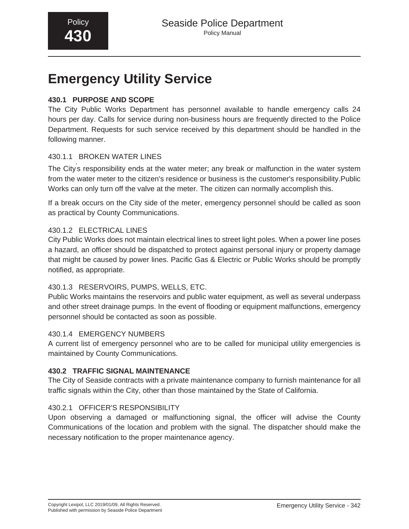# **Emergency Utility Service**

# **430.1 PURPOSE AND SCOPE**

The City Public Works Department has personnel available to handle emergency calls 24 hours per day. Calls for service during non-business hours are frequently directed to the Police Department. Requests for such service received by this department should be handled in the following manner.

# 430.1.1 BROKEN WATER LINES

The City' s responsibility ends at the water meter; any break or malfunction in the water system from the water meter to the citizen's residence or business is the customer's responsibility.Public Works can only turn off the valve at the meter. The citizen can normally accomplish this.

If a break occurs on the City side of the meter, emergency personnel should be called as soon as practical by County Communications.

## 430.1.2 ELECTRICAL LINES

City Public Works does not maintain electrical lines to street light poles. When a power line poses a hazard, an officer should be dispatched to protect against personal injury or property damage that might be caused by power lines. Pacific Gas & Electric or Public Works should be promptly notified, as appropriate.

# 430.1.3 RESERVOIRS, PUMPS, WELLS, ETC.

Public Works maintains the reservoirs and public water equipment, as well as several underpass and other street drainage pumps. In the event of flooding or equipment malfunctions, emergency personnel should be contacted as soon as possible.

#### 430.1.4 EMERGENCY NUMBERS

A current list of emergency personnel who are to be called for municipal utility emergencies is maintained by County Communications.

### **430.2 TRAFFIC SIGNAL MAINTENANCE**

The City of Seaside contracts with a private maintenance company to furnish maintenance for all traffic signals within the City, other than those maintained by the State of California.

# 430.2.1 OFFICER'S RESPONSIBILITY

Upon observing a damaged or malfunctioning signal, the officer will advise the County Communications of the location and problem with the signal. The dispatcher should make the necessary notification to the proper maintenance agency.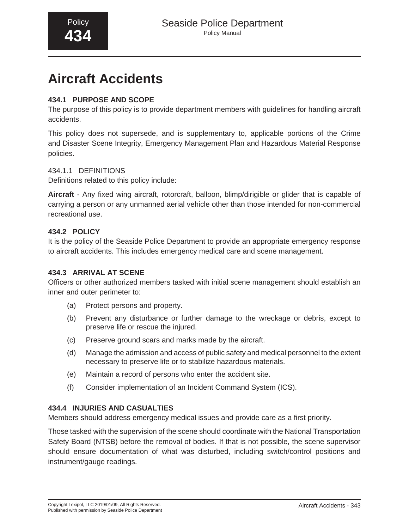# **Aircraft Accidents**

# **434.1 PURPOSE AND SCOPE**

The purpose of this policy is to provide department members with guidelines for handling aircraft accidents.

This policy does not supersede, and is supplementary to, applicable portions of the Crime and Disaster Scene Integrity, Emergency Management Plan and Hazardous Material Response policies.

# 434.1.1 DEFINITIONS

Definitions related to this policy include:

**Aircraft** - Any fixed wing aircraft, rotorcraft, balloon, blimp/dirigible or glider that is capable of carrying a person or any unmanned aerial vehicle other than those intended for non-commercial recreational use.

# **434.2 POLICY**

It is the policy of the Seaside Police Department to provide an appropriate emergency response to aircraft accidents. This includes emergency medical care and scene management.

# **434.3 ARRIVAL AT SCENE**

Officers or other authorized members tasked with initial scene management should establish an inner and outer perimeter to:

- (a) Protect persons and property.
- (b) Prevent any disturbance or further damage to the wreckage or debris, except to preserve life or rescue the injured.
- (c) Preserve ground scars and marks made by the aircraft.
- (d) Manage the admission and access of public safety and medical personnel to the extent necessary to preserve life or to stabilize hazardous materials.
- (e) Maintain a record of persons who enter the accident site.
- (f) Consider implementation of an Incident Command System (ICS).

# **434.4 INJURIES AND CASUALTIES**

Members should address emergency medical issues and provide care as a first priority.

Those tasked with the supervision of the scene should coordinate with the National Transportation Safety Board (NTSB) before the removal of bodies. If that is not possible, the scene supervisor should ensure documentation of what was disturbed, including switch/control positions and instrument/gauge readings.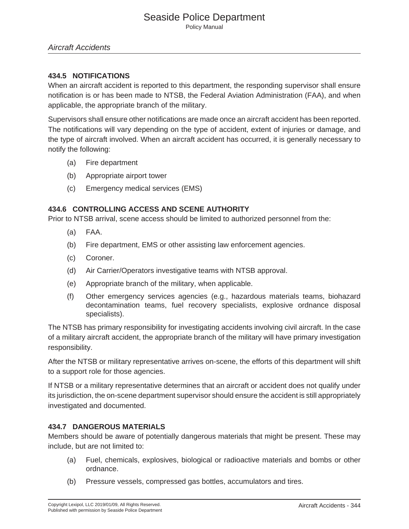# **434.5 NOTIFICATIONS**

When an aircraft accident is reported to this department, the responding supervisor shall ensure notification is or has been made to NTSB, the Federal Aviation Administration (FAA), and when applicable, the appropriate branch of the military.

Supervisors shall ensure other notifications are made once an aircraft accident has been reported. The notifications will vary depending on the type of accident, extent of injuries or damage, and the type of aircraft involved. When an aircraft accident has occurred, it is generally necessary to notify the following:

- (a) Fire department
- (b) Appropriate airport tower
- (c) Emergency medical services (EMS)

# **434.6 CONTROLLING ACCESS AND SCENE AUTHORITY**

Prior to NTSB arrival, scene access should be limited to authorized personnel from the:

- (a) FAA.
- (b) Fire department, EMS or other assisting law enforcement agencies.
- (c) Coroner.
- (d) Air Carrier/Operators investigative teams with NTSB approval.
- (e) Appropriate branch of the military, when applicable.
- (f) Other emergency services agencies (e.g., hazardous materials teams, biohazard decontamination teams, fuel recovery specialists, explosive ordnance disposal specialists).

The NTSB has primary responsibility for investigating accidents involving civil aircraft. In the case of a military aircraft accident, the appropriate branch of the military will have primary investigation responsibility.

After the NTSB or military representative arrives on-scene, the efforts of this department will shift to a support role for those agencies.

If NTSB or a military representative determines that an aircraft or accident does not qualify under its jurisdiction, the on-scene department supervisor should ensure the accident is still appropriately investigated and documented.

# **434.7 DANGEROUS MATERIALS**

Members should be aware of potentially dangerous materials that might be present. These may include, but are not limited to:

- (a) Fuel, chemicals, explosives, biological or radioactive materials and bombs or other ordnance.
- (b) Pressure vessels, compressed gas bottles, accumulators and tires.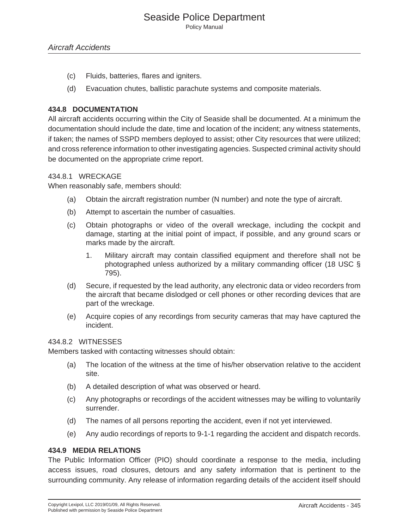Policy Manual

- (c) Fluids, batteries, flares and igniters.
- (d) Evacuation chutes, ballistic parachute systems and composite materials.

## **434.8 DOCUMENTATION**

All aircraft accidents occurring within the City of Seaside shall be documented. At a minimum the documentation should include the date, time and location of the incident; any witness statements, if taken; the names of SSPD members deployed to assist; other City resources that were utilized; and cross reference information to other investigating agencies. Suspected criminal activity should be documented on the appropriate crime report.

#### 434.8.1 WRECKAGE

When reasonably safe, members should:

- (a) Obtain the aircraft registration number (N number) and note the type of aircraft.
- (b) Attempt to ascertain the number of casualties.
- (c) Obtain photographs or video of the overall wreckage, including the cockpit and damage, starting at the initial point of impact, if possible, and any ground scars or marks made by the aircraft.
	- 1. Military aircraft may contain classified equipment and therefore shall not be photographed unless authorized by a military commanding officer (18 USC § 795).
- (d) Secure, if requested by the lead authority, any electronic data or video recorders from the aircraft that became dislodged or cell phones or other recording devices that are part of the wreckage.
- (e) Acquire copies of any recordings from security cameras that may have captured the incident.

#### 434.8.2 WITNESSES

Members tasked with contacting witnesses should obtain:

- (a) The location of the witness at the time of his/her observation relative to the accident site.
- (b) A detailed description of what was observed or heard.
- (c) Any photographs or recordings of the accident witnesses may be willing to voluntarily surrender.
- (d) The names of all persons reporting the accident, even if not yet interviewed.
- (e) Any audio recordings of reports to 9-1-1 regarding the accident and dispatch records.

#### **434.9 MEDIA RELATIONS**

The Public Information Officer (PIO) should coordinate a response to the media, including access issues, road closures, detours and any safety information that is pertinent to the surrounding community. Any release of information regarding details of the accident itself should